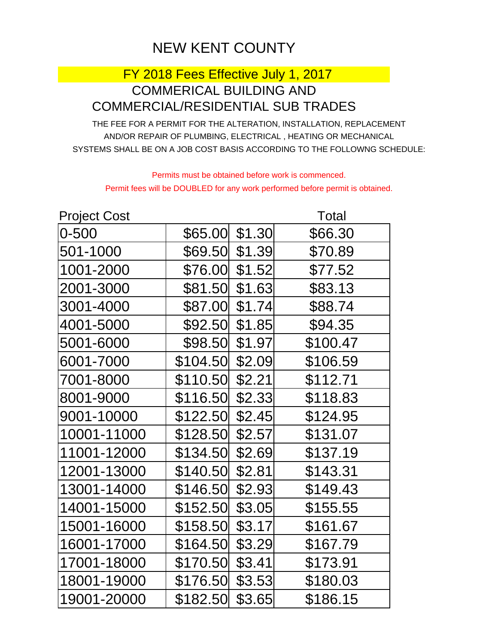## NEW KENT COUNTY

## FY 2018 Fees Effective July 1, 2017 COMMERICAL BUILDING AND COMMERCIAL/RESIDENTIAL SUB TRADES

THE FEE FOR A PERMIT FOR THE ALTERATION, INSTALLATION, REPLACEMENT AND/OR REPAIR OF PLUMBING, ELECTRICAL , HEATING OR MECHANICAL SYSTEMS SHALL BE ON A JOB COST BASIS ACCORDING TO THE FOLLOWNG SCHEDULE:

Permits must be obtained before work is commenced. Permit fees will be DOUBLED for any work performed before permit is obtained.

| Project Cost |                |        | <b>Total</b> |
|--------------|----------------|--------|--------------|
| 0-500        | \$65.00        | \$1.30 | \$66.30      |
| 501-1000     | \$69.50 \$1.39 |        | \$70.89      |
| 1001-2000    | \$76.00 \$1.52 |        | \$77.52      |
| 2001-3000    | \$81.50        | \$1.63 | \$83.13      |
| 3001-4000    | \$87.00        | \$1.74 | \$88.74      |
| 4001-5000    | \$92.50        | \$1.85 | \$94.35      |
| 5001-6000    | \$98.50        | \$1.97 | \$100.47     |
| 6001-7000    | \$104.50       | \$2.09 | \$106.59     |
| 7001-8000    | \$110.50       | \$2.21 | \$112.71     |
| 8001-9000    | \$116.50       | \$2.33 | \$118.83     |
| 9001-10000   | \$122.50       | \$2.45 | \$124.95     |
| 10001-11000  | \$128.50       | \$2.57 | \$131.07     |
| 11001-12000  | \$134.50       | \$2.69 | \$137.19     |
| 12001-13000  | \$140.50       | \$2.81 | \$143.31     |
| 13001-14000  | \$146.50       | \$2.93 | \$149.43     |
| 14001-15000  | \$152.50       | \$3.05 | \$155.55     |
| 15001-16000  | \$158.50       | \$3.17 | \$161.67     |
| 16001-17000  | \$164.50       | \$3.29 | \$167.79     |
| 17001-18000  | \$170.50       | \$3.41 | \$173.91     |
| 18001-19000  | \$176.50       | \$3.53 | \$180.03     |
| 19001-20000  | \$182.50       | \$3.65 | \$186.15     |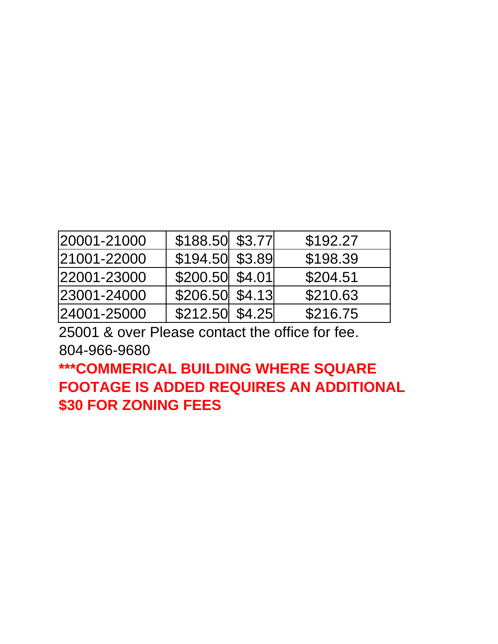| 20001-21000 | \$188.50 \$3.77   | \$192.27 |
|-------------|-------------------|----------|
| 21001-22000 | \$194.50 \$3.89   | \$198.39 |
| 22001-23000 | \$200.50 \$4.01   | \$204.51 |
| 23001-24000 | \$206.50  \$4.13] | \$210.63 |
| 24001-25000 | $$212.50$ $$4.25$ | \$216.75 |

25001 & over Please contact the office for fee. 804-966-9680

**\*\*\*COMMERICAL BUILDING WHERE SQUARE FOOTAGE IS ADDED REQUIRES AN ADDITIONAL \$30 FOR ZONING FEES**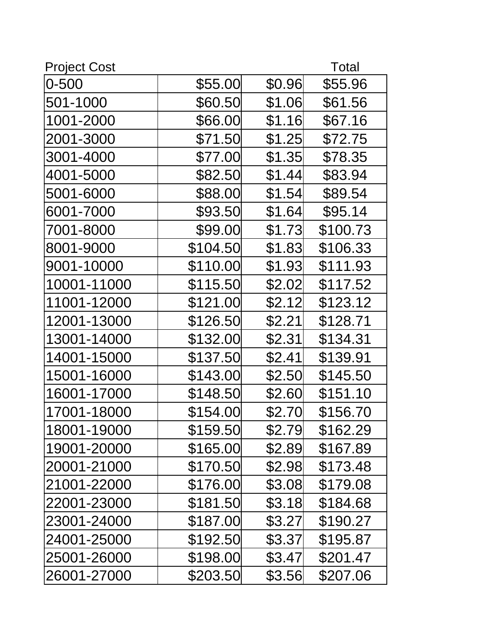| <b>Project Cost</b> |          |        | <b>Total</b> |
|---------------------|----------|--------|--------------|
| $0 - 500$           | \$55.00  | \$0.96 | \$55.96      |
| 501-1000            | \$60.50  | \$1.06 | \$61.56      |
| 1001-2000           | \$66.00  | \$1.16 | \$67.16      |
| 2001-3000           | \$71.50  | \$1.25 | \$72.75      |
| 3001-4000           | \$77.00  | \$1.35 | \$78.35      |
| 4001-5000           | \$82.50  | \$1.44 | \$83.94      |
| 5001-6000           | \$88.00  | \$1.54 | \$89.54      |
| 6001-7000           | \$93.50  | \$1.64 | \$95.14      |
| 7001-8000           | \$99.00  | \$1.73 | \$100.73     |
| 8001-9000           | \$104.50 | \$1.83 | \$106.33     |
| 9001-10000          | \$110.00 | \$1.93 | \$111.93     |
| 10001-11000         | \$115.50 | \$2.02 | \$117.52     |
| 11001-12000         | \$121.00 | \$2.12 | \$123.12     |
| 12001-13000         | \$126.50 | \$2.21 | \$128.71     |
| 13001-14000         | \$132.00 | \$2.31 | \$134.31     |
| 14001-15000         | \$137.50 | \$2.41 | \$139.91     |
| 15001-16000         | \$143.00 | \$2.50 | \$145.50     |
| 16001-17000         | \$148.50 | \$2.60 | \$151.10     |
| 17001-18000         | \$154.00 | \$2.70 | \$156.70     |
| 18001-19000         | \$159.50 | \$2.79 | \$162.29     |
| 19001-20000         | \$165.00 | \$2.89 | \$167.89     |
| 20001-21000         | \$170.50 | \$2.98 | \$173.48     |
| 21001-22000         | \$176.00 | \$3.08 | \$179.08     |
| 22001-23000         | \$181.50 | \$3.18 | \$184.68     |
| 23001-24000         | \$187.00 | \$3.27 | \$190.27     |
| 24001-25000         | \$192.50 | \$3.37 | \$195.87     |
| 25001-26000         | \$198.00 | \$3.47 | \$201.47     |
| 26001-27000         | \$203.50 | \$3.56 | \$207.06     |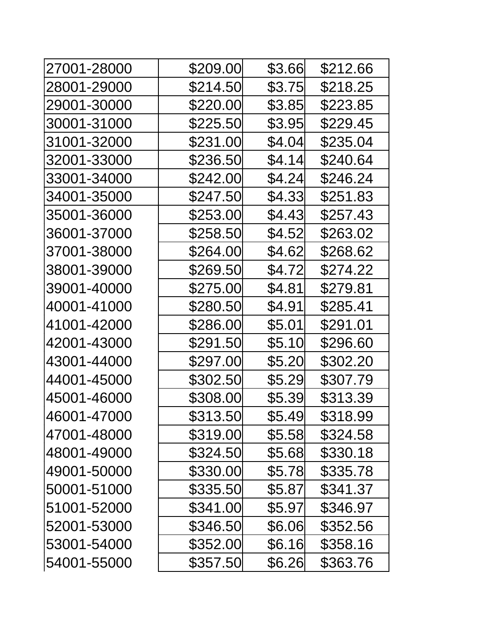| 27001-28000 | \$209.00 | \$3.66  | \$212.66 |
|-------------|----------|---------|----------|
| 28001-29000 | \$214.50 | \$3.75  | \$218.25 |
| 29001-30000 | \$220.00 | \$3.85  | \$223.85 |
| 30001-31000 | \$225.50 | \$3.95  | \$229.45 |
| 31001-32000 | \$231.00 | \$4.04] | \$235.04 |
| 32001-33000 | \$236.50 | \$4.14  | \$240.64 |
| 33001-34000 | \$242.00 | \$4.24  | \$246.24 |
| 34001-35000 | \$247.50 | \$4.33  | \$251.83 |
| 35001-36000 | \$253.00 | \$4.43  | \$257.43 |
| 36001-37000 | \$258.50 | \$4.52  | \$263.02 |
| 37001-38000 | \$264.00 | \$4.62  | \$268.62 |
| 38001-39000 | \$269.50 | \$4.72  | \$274.22 |
| 39001-40000 | \$275.00 | \$4.81  | \$279.81 |
| 40001-41000 | \$280.50 | \$4.91  | \$285.41 |
| 41001-42000 | \$286.00 | \$5.01  | \$291.01 |
| 42001-43000 | \$291.50 | \$5.10  | \$296.60 |
| 43001-44000 | \$297.00 | \$5.20  | \$302.20 |
| 44001-45000 | \$302.50 | \$5.29  | \$307.79 |
| 45001-46000 | \$308.00 | \$5.39  | \$313.39 |
| 46001-47000 | \$313.50 | \$5.49  | \$318.99 |
| 47001-48000 | \$319.00 | \$5.58  | \$324.58 |
| 48001-49000 | \$324.50 | \$5.68  | \$330.18 |
| 49001-50000 | \$330.00 | \$5.78  | \$335.78 |
| 50001-51000 | \$335.50 | \$5.87  | \$341.37 |
| 51001-52000 | \$341.00 | \$5.97  | \$346.97 |
| 52001-53000 | \$346.50 | \$6.06  | \$352.56 |
| 53001-54000 | \$352.00 | \$6.16  | \$358.16 |
| 54001-55000 | \$357.50 | \$6.26  | \$363.76 |
|             |          |         |          |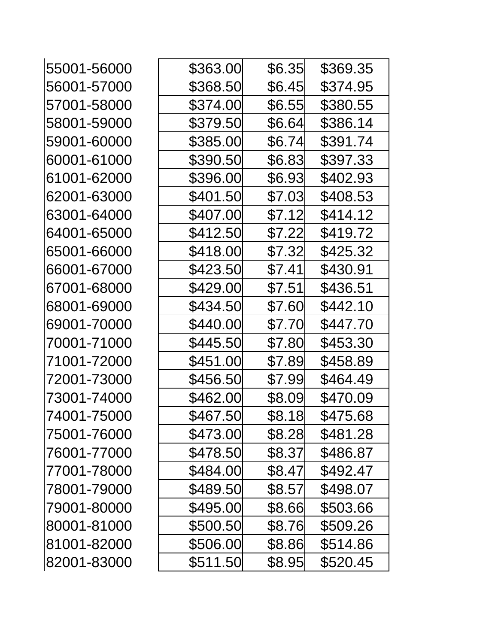| \$363.00 | \$6.35 | \$369.35 |
|----------|--------|----------|
| \$368.50 | \$6.45 | \$374.95 |
| \$374.00 | \$6.55 | \$380.55 |
| \$379.50 | \$6.64 | \$386.14 |
| \$385.00 | \$6.74 | \$391.74 |
| \$390.50 | \$6.83 | \$397.33 |
| \$396.00 | \$6.93 | \$402.93 |
| \$401.50 | \$7.03 | \$408.53 |
| \$407.00 | \$7.12 | \$414.12 |
| \$412.50 | \$7.22 | \$419.72 |
| \$418.00 | \$7.32 | \$425.32 |
| \$423.50 | \$7.41 | \$430.91 |
| \$429.00 | \$7.51 | \$436.51 |
| \$434.50 | \$7.60 | \$442.10 |
| \$440.00 | \$7.70 | \$447.70 |
| \$445.50 | \$7.80 | \$453.30 |
| \$451.00 | \$7.89 | \$458.89 |
| \$456.50 | \$7.99 | \$464.49 |
| \$462.00 | \$8.09 | \$470.09 |
| \$467.50 | \$8.18 | \$475.68 |
| \$473.00 | \$8.28 | \$481.28 |
| \$478.50 | \$8.37 | \$486.87 |
| \$484.00 | \$8.47 | \$492.47 |
| \$489.50 | \$8.57 | \$498.07 |
| \$495.00 | \$8.66 | \$503.66 |
| \$500.50 | \$8.76 | \$509.26 |
| \$506.00 | \$8.86 | \$514.86 |
| \$511.50 | \$8.95 | \$520.45 |
|          |        |          |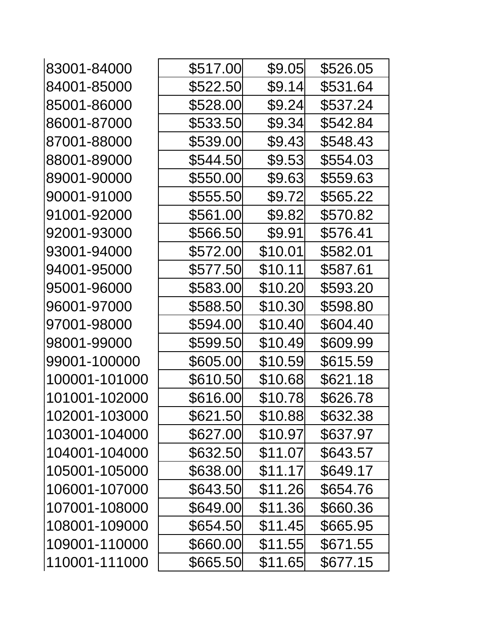| 83001-84000   | \$517.00 | \$9.05  | \$526.05 |
|---------------|----------|---------|----------|
| 84001-85000   | \$522.50 | \$9.14  | \$531.64 |
| 85001-86000   | \$528.00 | \$9.24  | \$537.24 |
| 86001-87000   | \$533.50 | \$9.34  | \$542.84 |
| 87001-88000   | \$539.00 | \$9.43  | \$548.43 |
| 88001-89000   | \$544.50 | \$9.53  | \$554.03 |
| 89001-90000   | \$550.00 | \$9.63  | \$559.63 |
| 90001-91000   | \$555.50 | \$9.72  | \$565.22 |
| 91001-92000   | \$561.00 | \$9.82  | \$570.82 |
| 92001-93000   | \$566.50 | \$9.91  | \$576.41 |
| 93001-94000   | \$572.00 | \$10.01 | \$582.01 |
| 94001-95000   | \$577.50 | \$10.11 | \$587.61 |
| 95001-96000   | \$583.00 | \$10.20 | \$593.20 |
| 96001-97000   | \$588.50 | \$10.30 | \$598.80 |
| 97001-98000   | \$594.00 | \$10.40 | \$604.40 |
| 98001-99000   | \$599.50 | \$10.49 | \$609.99 |
| 99001-100000  | \$605.00 | \$10.59 | \$615.59 |
| 100001-101000 | \$610.50 | \$10.68 | \$621.18 |
| 101001-102000 | \$616.00 | \$10.78 | \$626.78 |
| 102001-103000 | \$621.50 | \$10.88 | \$632.38 |
| 103001-104000 | \$627.00 | \$10.97 | \$637.97 |
| 104001-104000 | \$632.50 | \$11.07 | \$643.57 |
| 105001-105000 | \$638.00 | \$11.17 | \$649.17 |
| 106001-107000 | \$643.50 | \$11.26 | \$654.76 |
| 107001-108000 | \$649.00 | \$11.36 | \$660.36 |
| 108001-109000 | \$654.50 | \$11.45 | \$665.95 |
| 109001-110000 | \$660.00 | \$11.55 | \$671.55 |
| 110001-111000 | \$665.50 | \$11.65 | \$677.15 |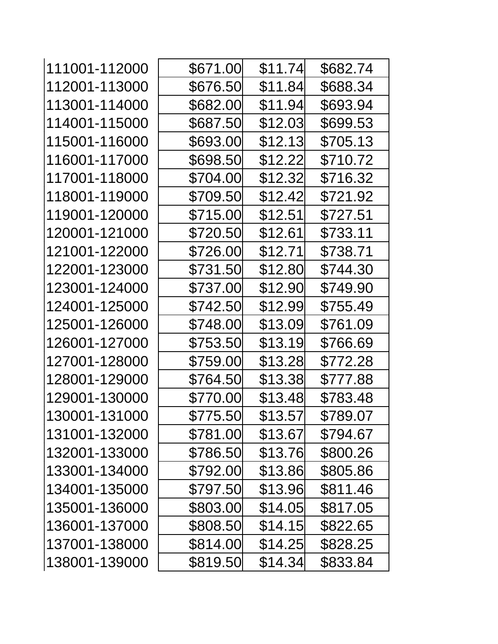| 111001-112000 | \$671.00 | \$11.74 | \$682.74 |
|---------------|----------|---------|----------|
| 112001-113000 | \$676.50 | \$11.84 | \$688.34 |
| 113001-114000 | \$682.00 | \$11.94 | \$693.94 |
| 114001-115000 | \$687.50 | \$12.03 | \$699.53 |
| 115001-116000 | \$693.00 | \$12.13 | \$705.13 |
| 116001-117000 | \$698.50 | \$12.22 | \$710.72 |
| 117001-118000 | \$704.00 | \$12.32 | \$716.32 |
| 118001-119000 | \$709.50 | \$12.42 | \$721.92 |
| 119001-120000 | \$715.00 | \$12.51 | \$727.51 |
| 120001-121000 | \$720.50 | \$12.61 | \$733.11 |
| 121001-122000 | \$726.00 | \$12.71 | \$738.71 |
| 122001-123000 | \$731.50 | \$12.80 | \$744.30 |
| 123001-124000 | \$737.00 | \$12.90 | \$749.90 |
| 124001-125000 | \$742.50 | \$12.99 | \$755.49 |
| 125001-126000 | \$748.00 | \$13.09 | \$761.09 |
| 126001-127000 | \$753.50 | \$13.19 | \$766.69 |
| 127001-128000 | \$759.00 | \$13.28 | \$772.28 |
| 128001-129000 | \$764.50 | \$13.38 | \$777.88 |
| 129001-130000 | \$770.00 | \$13.48 | \$783.48 |
| 130001-131000 | \$775.50 | \$13.57 | \$789.07 |
| 131001-132000 | \$781.00 | \$13.67 | \$794.67 |
| 132001-133000 | \$786.50 | \$13.76 | \$800.26 |
| 133001-134000 | \$792.00 | \$13.86 | \$805.86 |
| 134001-135000 | \$797.50 | \$13.96 | \$811.46 |
| 135001-136000 | \$803.00 | \$14.05 | \$817.05 |
| 136001-137000 | \$808.50 | \$14.15 | \$822.65 |
| 137001-138000 | \$814.00 | \$14.25 | \$828.25 |
| 138001-139000 | \$819.50 | \$14.34 | \$833.84 |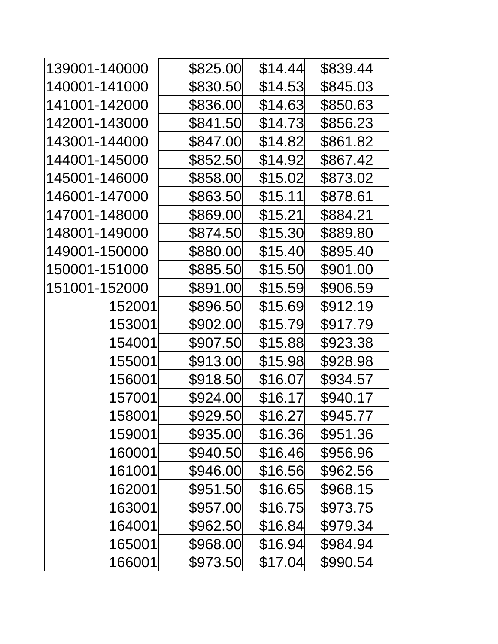| 139001-140000 | \$825.00 | \$14.44 | \$839.44 |
|---------------|----------|---------|----------|
| 140001-141000 | \$830.50 | \$14.53 | \$845.03 |
| 141001-142000 | \$836.00 | \$14.63 | \$850.63 |
| 142001-143000 | \$841.50 | \$14.73 | \$856.23 |
| 143001-144000 | \$847.00 | \$14.82 | \$861.82 |
| 144001-145000 | \$852.50 | \$14.92 | \$867.42 |
| 145001-146000 | \$858.00 | \$15.02 | \$873.02 |
| 146001-147000 | \$863.50 | \$15.11 | \$878.61 |
| 147001-148000 | \$869.00 | \$15.21 | \$884.21 |
| 148001-149000 | \$874.50 | \$15.30 | \$889.80 |
| 149001-150000 | \$880.00 | \$15.40 | \$895.40 |
| 150001-151000 | \$885.50 | \$15.50 | \$901.00 |
| 151001-152000 | \$891.00 | \$15.59 | \$906.59 |
| 152001        | \$896.50 | \$15.69 | \$912.19 |
| 153001        | \$902.00 | \$15.79 | \$917.79 |
| 154001        | \$907.50 | \$15.88 | \$923.38 |
| 155001        | \$913.00 | \$15.98 | \$928.98 |
| 156001        | \$918.50 | \$16.07 | \$934.57 |
| 157001        | \$924.00 | \$16.17 | \$940.17 |
| 158001        | \$929.50 | \$16.27 | \$945.77 |
| 159001        | \$935.00 | \$16.36 | \$951.36 |
| 160001        | \$940.50 | \$16.46 | \$956.96 |
| 161001        | \$946.00 | \$16.56 | \$962.56 |
| 162001        | \$951.50 | \$16.65 | \$968.15 |
| 163001        | \$957.00 | \$16.75 | \$973.75 |
| 164001        | \$962.50 | \$16.84 | \$979.34 |
| 165001        | \$968.00 | \$16.94 | \$984.94 |
| 166001        | \$973.50 | \$17.04 | \$990.54 |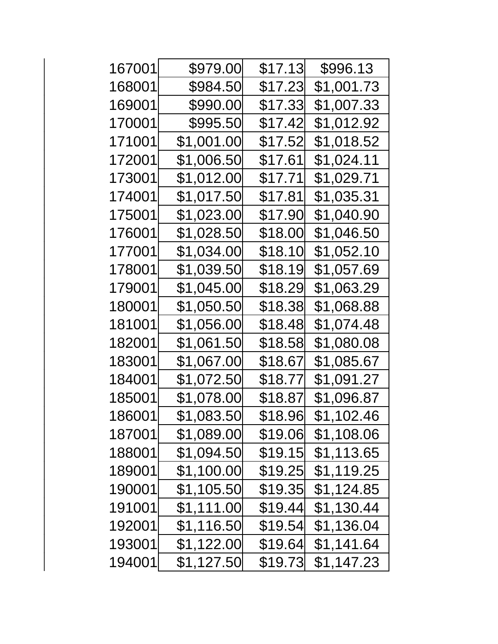| 167001 | \$979.00    | \$17.13        | \$996.13           |
|--------|-------------|----------------|--------------------|
| 168001 | \$984.50    | \$17.23        | \$1,001.73         |
| 169001 | \$990.00    | \$17.33        | \$1,007.33         |
| 170001 | \$995.50    | \$17.42        | \$1,012.92         |
| 171001 | \$1,001.00  | \$17.52        | \$1,018.52         |
| 172001 | \$1,006.50  | \$17.61        | \$1,024.11         |
| 173001 | \$1,012.00  | \$17.71        | \$1,029.71         |
| 174001 | \$1,017.50∣ | \$17.81        | \$1,035.31         |
| 175001 | \$1,023.00  | \$17.90        | \$1,040.90         |
| 176001 | \$1,028.50  | \$18.00        | \$1,046.50         |
| 177001 | \$1,034.00  | \$18.10        | \$1,052.10         |
| 178001 | \$1,039.50  | \$18.19        | \$1,057.69         |
| 179001 | \$1,045.00  | \$18.29        | \$1,063.29         |
| 180001 | \$1,050.50  | \$18.38        | \$1,068.88         |
| 181001 | \$1,056.00  | \$18.48        | \$1,074.48         |
| 182001 | \$1,061.50  | \$18.58        | \$1,080.08         |
| 183001 | \$1,067.00∣ | \$18.67        | \$1,085. <u>67</u> |
| 184001 | \$1,072.50  | \$18.77        | \$1,091. <u>27</u> |
| 185001 | \$1,078.00  | \$18.87        | \$1,096.87         |
| 186001 | \$1,083.50  | \$18.96        | \$1,102.46         |
| 187001 | \$1,089.00  | \$19.06        | \$1,108.06         |
| 188001 | \$1,094.50  | <b>\$19.15</b> | \$1,113.65         |
| 189001 | \$1,100.00  | \$19.25        | \$1,119.25         |
| 190001 | \$1,105.50  | \$19.35        | \$1,124.85         |
| 191001 | \$1,111.00  | \$19.44        | \$1,130.44         |
| 192001 | \$1,116.50  | \$19.54        | \$1,136.04         |
| 193001 | \$1,122.00  | \$19.64        | \$1,141.64         |
| 194001 | \$1,127.50  | \$19.73        | \$1,147.23         |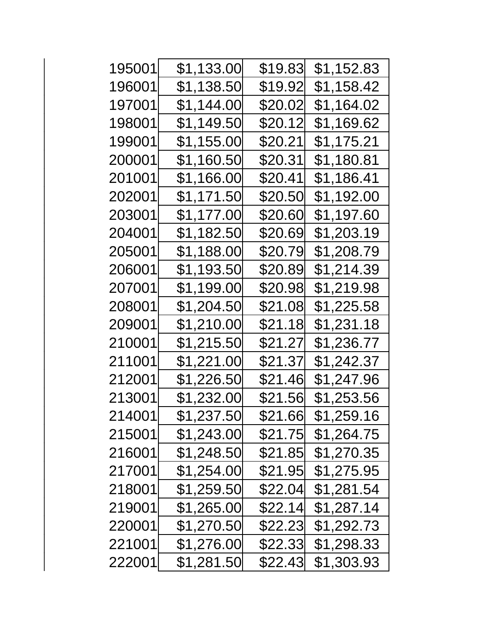| 195001 | \$1,133.00 | \$19.83 | \$1,152.83        |
|--------|------------|---------|-------------------|
| 196001 | \$1,138.50 | \$19.92 | \$1,158.42        |
| 197001 | \$1,144.00 | \$20.02 | \$1,164.02        |
| 198001 | \$1,149.50 | \$20.12 | \$1,169.62        |
| 199001 | \$1,155.00 | \$20.21 | \$1,175.21        |
| 200001 | \$1,160.50 | \$20.31 | \$1,180.81        |
| 201001 | \$1,166.00 | \$20.41 | \$1,186.41        |
| 202001 | \$1,171.50 | \$20.50 | \$1,192.00        |
| 203001 | \$1,177.00 | \$20.60 | \$1,197.60        |
| 204001 | \$1,182.50 | \$20.69 | \$1,203.19        |
| 205001 | \$1,188.00 | \$20.79 | \$1,208.79        |
| 206001 | \$1,193.50 | \$20.89 | \$1,214.39        |
| 207001 | \$1,199.00 | \$20.98 | \$1,219.98        |
| 208001 | \$1,204.50 | \$21.08 | \$1,225.58        |
| 209001 | \$1,210.00 | \$21.18 | \$1,231.18        |
| 210001 | \$1,215.50 | \$21.27 | <b>\$1,236.77</b> |
| 211001 | \$1,221.00 | \$21.37 | \$1,242.37        |
| 212001 | \$1,226.50 | \$21.46 | \$1,247.96        |
| 213001 | \$1,232.00 | \$21.56 | \$1,253.56        |
| 214001 | \$1,237.50 | \$21.66 | \$1,259.16        |
| 215001 | \$1,243.00 | \$21.75 | \$1,264.75        |
| 216001 | \$1,248.50 | \$21.85 | \$1,270.35        |
| 217001 | \$1,254.00 | \$21.95 | \$1,275.95        |
| 218001 | \$1,259.50 | \$22.04 | \$1,281.54        |
| 219001 | \$1,265.00 | \$22.14 | \$1,287.14        |
| 220001 | \$1,270.50 | \$22.23 | \$1,292.73        |
| 221001 | \$1,276.00 | \$22.33 | \$1,298.33        |
| 222001 | \$1,281.50 | \$22.43 | \$1,303.93        |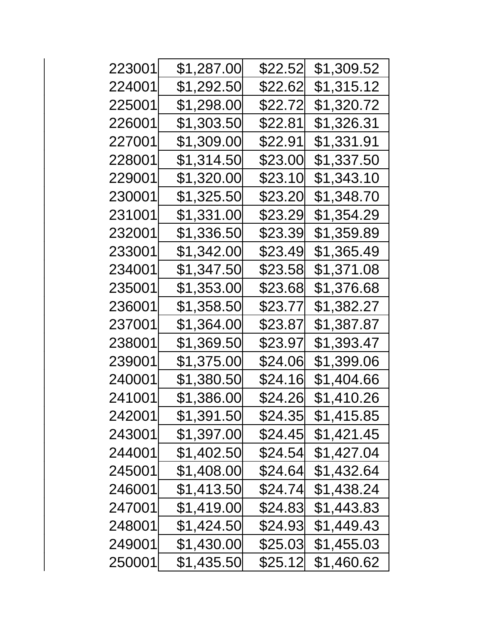| 223001 | \$1,287.00  | \$22.52 | \$1,309.52 |
|--------|-------------|---------|------------|
| 224001 | \$1,292.50  | \$22.62 | \$1,315.12 |
| 225001 | \$1,298.00  | \$22.72 | \$1,320.72 |
| 226001 | \$1,303.50  | \$22.81 | \$1,326.31 |
| 227001 | \$1,309.00  | \$22.91 | \$1,331.91 |
| 228001 | \$1,314.50  | \$23.00 | \$1,337.50 |
| 229001 | \$1,320.00  | \$23.10 | \$1,343.10 |
| 230001 | \$1,325.50  | \$23.20 | \$1,348.70 |
| 231001 | \$1,331.00  | \$23.29 | \$1,354.29 |
| 232001 | \$1,336.50  | \$23.39 | \$1,359.89 |
| 233001 | \$1,342.00  | \$23.49 | \$1,365.49 |
| 234001 | \$1,347.50  | \$23.58 | \$1,371.08 |
| 235001 | \$1,353.00  | \$23.68 | \$1,376.68 |
| 236001 | \$1,358.50  | \$23.77 | \$1,382.27 |
| 237001 | \$1,364.00  | \$23.87 | \$1,387.87 |
| 238001 | \$1,369.50  | \$23.97 | \$1,393.47 |
| 239001 | \$1,375.00  | \$24.06 | \$1,399.06 |
| 240001 | \$1,380.50  | \$24.16 | \$1,404.66 |
| 241001 | \$1,386.00  | \$24.26 | \$1,410.26 |
| 242001 | \$1,391.50  | \$24.35 | \$1,415.85 |
| 243001 | \$1,397.00  | \$24.45 | \$1,421.45 |
| 244001 | \$1,402.50  | \$24.54 | \$1,427.04 |
| 245001 | \$1,408.00  | \$24.64 | \$1,432.64 |
| 246001 | \$1,413.50  | \$24.74 | \$1,438.24 |
| 247001 | \$1,419.00  | \$24.83 | \$1,443.83 |
| 248001 | \$1,424.50  | \$24.93 | \$1,449.43 |
| 249001 | \$1,430.00  | \$25.03 | \$1,455.03 |
| 250001 | \$1,435.50∣ | \$25.12 | \$1,460.62 |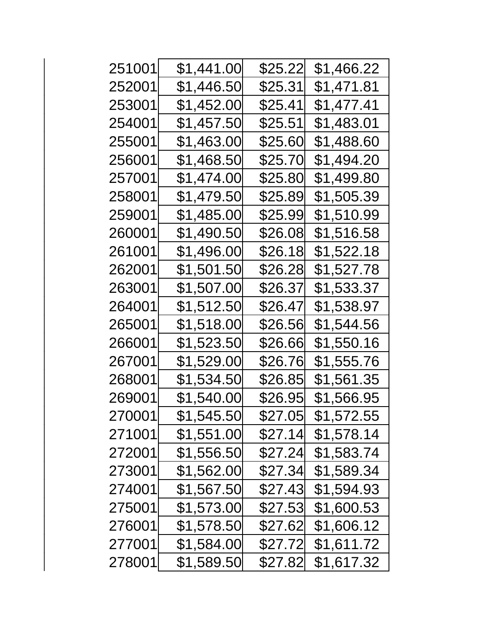| 251001 | \$1,441.00 | \$25.22 | \$1,466.22 |
|--------|------------|---------|------------|
| 252001 | \$1,446.50 | \$25.31 | \$1,471.81 |
| 253001 | \$1,452.00 | \$25.41 | \$1,477.41 |
| 254001 | \$1,457.50 | \$25.51 | \$1,483.01 |
| 255001 | \$1,463.00 | \$25.60 | \$1,488.60 |
| 256001 | \$1,468.50 | \$25.70 | \$1,494.20 |
| 257001 | \$1,474.00 | \$25.80 | \$1,499.80 |
| 258001 | \$1,479.50 | \$25.89 | \$1,505.39 |
| 259001 | \$1,485.00 | \$25.99 | \$1,510.99 |
| 260001 | \$1,490.50 | \$26.08 | \$1,516.58 |
| 261001 | \$1,496.00 | \$26.18 | \$1,522.18 |
| 262001 | \$1,501.50 | \$26.28 | \$1,527.78 |
| 263001 | \$1,507.00 | \$26.37 | \$1,533.37 |
| 264001 | \$1,512.50 | \$26.47 | \$1,538.97 |
| 265001 | \$1,518.00 | \$26.56 | \$1,544.56 |
| 266001 | \$1,523.50 | \$26.66 | \$1,550.16 |
| 267001 | \$1,529.00 | \$26.76 | \$1,555.76 |
| 268001 | \$1,534.50 | \$26.85 | \$1,561.35 |
| 269001 | \$1,540.00 | \$26.95 | \$1,566.95 |
| 270001 | \$1,545.50 | \$27.05 | \$1,572.55 |
| 271001 | \$1,551.00 | \$27.14 | \$1,578.14 |
| 272001 | \$1,556.50 | \$27.24 | \$1,583.74 |
| 273001 | \$1,562.00 | \$27.34 | \$1,589.34 |
| 274001 | \$1,567.50 | \$27.43 | \$1,594.93 |
| 275001 | \$1,573.00 | \$27.53 | \$1,600.53 |
| 276001 | \$1,578.50 | \$27.62 | \$1,606.12 |
| 277001 | \$1,584.00 | \$27.72 | \$1,611.72 |
| 278001 | \$1,589.50 | \$27.82 | \$1,617.32 |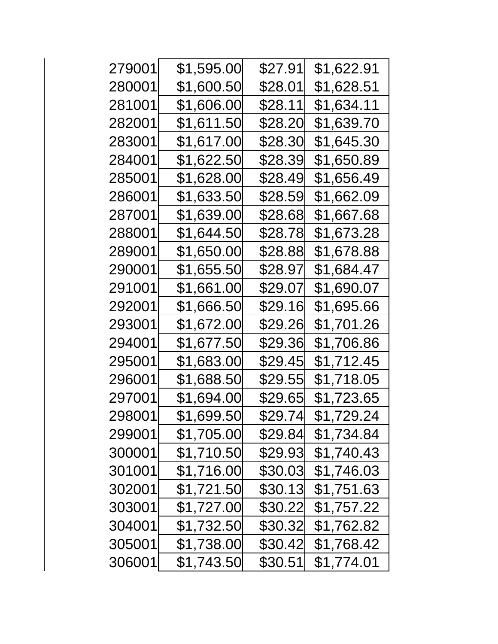| 279001 | \$1,595.00  | \$27.91 | \$1,622.91 |
|--------|-------------|---------|------------|
| 280001 | \$1,600.50  | \$28.01 | \$1,628.51 |
| 281001 | \$1,606.00  | \$28.11 | \$1,634.11 |
| 282001 | \$1,611.50  | \$28.20 | \$1,639.70 |
| 283001 | \$1,617.00  | \$28.30 | \$1,645.30 |
| 284001 | \$1,622.50  | \$28.39 | \$1,650.89 |
| 285001 | \$1,628.00  | \$28.49 | \$1,656.49 |
| 286001 | \$1,633.50  | \$28.59 | \$1,662.09 |
| 287001 | \$1,639.00  | \$28.68 | \$1,667.68 |
| 288001 | \$1,644.50  | \$28.78 | \$1,673.28 |
| 289001 | \$1,650.00  | \$28.88 | \$1,678.88 |
| 290001 | \$1,655.50  | \$28.97 | \$1,684.47 |
| 291001 | \$1,661.00  | \$29.07 | \$1,690.07 |
| 292001 | \$1,666.50  | \$29.16 | \$1,695.66 |
| 293001 | \$1,672.00  | \$29.26 | \$1,701.26 |
| 294001 | \$1,677.50∣ | \$29.36 | \$1,706.86 |
| 295001 | \$1,683.00  | \$29.45 | \$1,712.45 |
| 296001 | \$1,688.50  | \$29.55 | \$1,718.05 |
| 297001 | \$1,694.00  | \$29.65 | \$1,723.65 |
| 298001 | \$1,699.50  | \$29.74 | \$1,729.24 |
| 299001 | \$1,705.00  | \$29.84 | \$1,734.84 |
| 300001 | \$1,710.50  | \$29.93 | \$1,740.43 |
| 301001 | \$1,716.00  | \$30.03 | \$1,746.03 |
| 302001 | \$1,721.50  | \$30.13 | \$1,751.63 |
| 303001 | \$1,727.00  | \$30.22 | \$1,757.22 |
| 304001 | \$1,732.50  | \$30.32 | \$1,762.82 |
| 305001 | \$1,738.00  | \$30.42 | \$1,768.42 |
| 306001 | \$1,743.50  | \$30.51 | \$1,774.01 |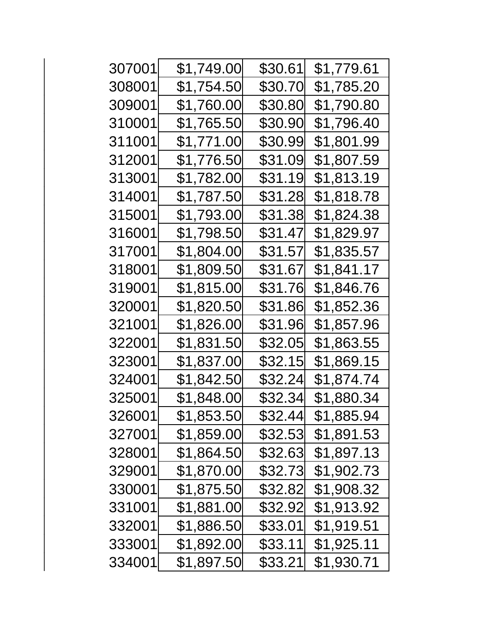| 307001 | \$1,749.00  | \$30.61 | \$1,779.61 |
|--------|-------------|---------|------------|
| 308001 | \$1,754.50  | \$30.70 | \$1,785.20 |
| 309001 | \$1,760.00  | \$30.80 | \$1,790.80 |
| 310001 | \$1,765.50  | \$30.90 | \$1,796.40 |
| 311001 | \$1,771.00  | \$30.99 | \$1,801.99 |
| 312001 | \$1,776.50  | \$31.09 | \$1,807.59 |
| 313001 | \$1,782.00  | \$31.19 | \$1,813.19 |
| 314001 | \$1,787.50∣ | \$31.28 | \$1,818.78 |
| 315001 | \$1,793.00  | \$31.38 | \$1,824.38 |
| 316001 | \$1,798.50  | \$31.47 | \$1,829.97 |
| 317001 | \$1,804.00  | \$31.57 | \$1,835.57 |
| 318001 | \$1,809.50  | \$31.67 | \$1,841.17 |
| 319001 | \$1,815.00  | \$31.76 | \$1,846.76 |
| 320001 | \$1,820.50∣ | \$31.86 | \$1,852.36 |
| 321001 | \$1,826.00  | \$31.96 | \$1,857.96 |
| 322001 | \$1,831.50  | \$32.05 | \$1,863.55 |
| 323001 | \$1,837.00  | \$32.15 | \$1,869.15 |
| 324001 | \$1,842.50  | \$32.24 | \$1,874.74 |
| 325001 | \$1,848.00  | \$32.34 | \$1,880.34 |
| 326001 | \$1,853.50  | \$32.44 | \$1,885.94 |
| 327001 | \$1,859.00  | \$32.53 | \$1,891.53 |
| 328001 | \$1,864.50  | \$32.63 | \$1,897.13 |
| 329001 | \$1,870.00  | \$32.73 | \$1,902.73 |
| 330001 | \$1,875.50  | \$32.82 | \$1,908.32 |
| 331001 | \$1,881.00  | \$32.92 | \$1,913.92 |
| 332001 | \$1,886.50  | \$33.01 | \$1,919.51 |
| 333001 | \$1,892.00  | \$33.11 | \$1,925.11 |
| 334001 | \$1,897.50  | \$33.21 | \$1,930.71 |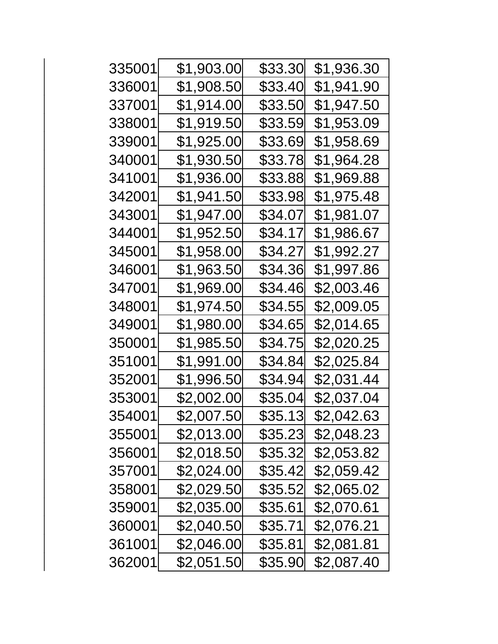| 335001 | \$1,903.00 | \$33.30 | \$1,936.30 |
|--------|------------|---------|------------|
| 336001 | \$1,908.50 | \$33.40 | \$1,941.90 |
| 337001 | \$1,914.00 | \$33.50 | \$1,947.50 |
| 338001 | \$1,919.50 | \$33.59 | \$1,953.09 |
| 339001 | \$1,925.00 | \$33.69 | \$1,958.69 |
| 340001 | \$1,930.50 | \$33.78 | \$1,964.28 |
| 341001 | \$1,936.00 | \$33.88 | \$1,969.88 |
| 342001 | \$1,941.50 | \$33.98 | \$1,975.48 |
| 343001 | \$1,947.00 | \$34.07 | \$1,981.07 |
| 344001 | \$1,952.50 | \$34.17 | \$1,986.67 |
| 345001 | \$1,958.00 | \$34.27 | \$1,992.27 |
| 346001 | \$1,963.50 | \$34.36 | \$1,997.86 |
| 347001 | \$1,969.00 | \$34.46 | \$2,003.46 |
| 348001 | \$1,974.50 | \$34.55 | \$2,009.05 |
| 349001 | \$1,980.00 | \$34.65 | \$2,014.65 |
| 350001 | \$1,985.50 | \$34.75 | \$2,020.25 |
| 351001 | \$1,991.00 | \$34.84 | \$2,025.84 |
| 352001 | \$1,996.50 | \$34.94 | \$2,031.44 |
| 353001 | \$2,002.00 | \$35.04 | \$2,037.04 |
| 354001 | \$2,007.50 | \$35.13 | \$2,042.63 |
| 355001 | \$2,013.00 | \$35.23 | \$2,048.23 |
| 356001 | \$2,018.50 | \$35.32 | \$2,053.82 |
| 357001 | \$2,024.00 | \$35.42 | \$2,059.42 |
| 358001 | \$2,029.50 | \$35.52 | \$2,065.02 |
| 359001 | \$2,035.00 | \$35.61 | \$2,070.61 |
| 360001 | \$2,040.50 | \$35.71 | \$2,076.21 |
| 361001 | \$2,046.00 | \$35.81 | \$2,081.81 |
| 362001 | \$2,051.50 | \$35.90 | \$2,087.40 |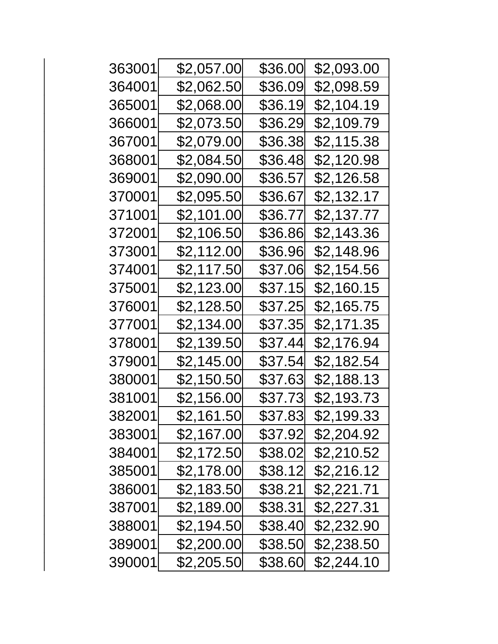| 363001 | \$2,057.00 | \$36.00 | \$2,093.00 |
|--------|------------|---------|------------|
| 364001 | \$2,062.50 | \$36.09 | \$2,098.59 |
| 365001 | \$2,068.00 | \$36.19 | \$2,104.19 |
| 366001 | \$2,073.50 | \$36.29 | \$2,109.79 |
| 367001 | \$2,079.00 | \$36.38 | \$2,115.38 |
| 368001 | \$2,084.50 | \$36.48 | \$2,120.98 |
| 369001 | \$2,090.00 | \$36.57 | \$2,126.58 |
| 370001 | \$2,095.50 | \$36.67 | \$2,132.17 |
| 371001 | \$2,101.00 | \$36.77 | \$2,137.77 |
| 372001 | \$2,106.50 | \$36.86 | \$2,143.36 |
| 373001 | \$2,112.00 | \$36.96 | \$2,148.96 |
| 374001 | \$2,117.50 | \$37.06 | \$2,154.56 |
| 375001 | \$2,123.00 | \$37.15 | \$2,160.15 |
| 376001 | \$2,128.50 | \$37.25 | \$2,165.75 |
| 377001 | \$2,134.00 | \$37.35 | \$2,171.35 |
| 378001 | \$2,139.50 | \$37.44 | \$2,176.94 |
| 379001 | \$2,145.00 | \$37.54 | \$2,182.54 |
| 380001 | \$2,150.50 | \$37.63 | \$2,188.13 |
| 381001 | \$2,156.00 | \$37.73 | \$2,193.73 |
| 382001 | \$2,161.50 | \$37.83 | \$2,199.33 |
| 383001 | \$2,167.00 | \$37.92 | \$2,204.92 |
| 384001 | \$2,172.50 | \$38.02 | \$2,210.52 |
| 385001 | \$2,178.00 | \$38.12 | \$2,216.12 |
| 386001 | \$2,183.50 | \$38.21 | \$2,221.71 |
| 387001 | \$2,189.00 | \$38.31 | \$2,227.31 |
| 388001 | \$2,194.50 | \$38.40 | \$2,232.90 |
| 389001 | \$2,200.00 | \$38.50 | \$2,238.50 |
| 390001 | \$2,205.50 | \$38.60 | \$2,244.10 |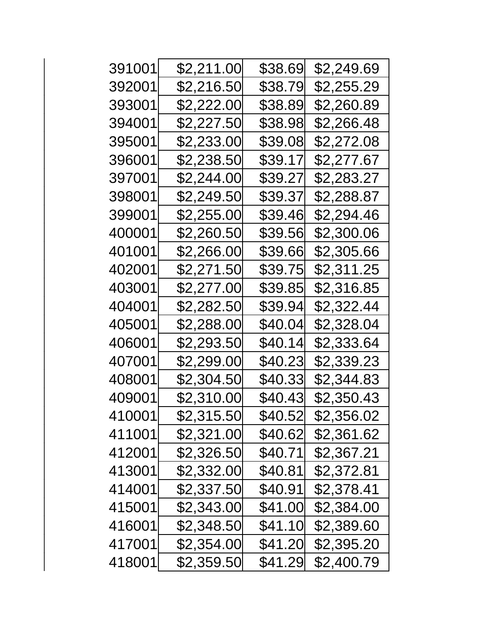| 391001 | \$2,211.00 | \$38.69 | \$2,249.69 |
|--------|------------|---------|------------|
| 392001 | \$2,216.50 | \$38.79 | \$2,255.29 |
| 393001 | \$2,222.00 | \$38.89 | \$2,260.89 |
| 394001 | \$2,227.50 | \$38.98 | \$2,266.48 |
| 395001 | \$2,233.00 | \$39.08 | \$2,272.08 |
| 396001 | \$2,238.50 | \$39.17 | \$2,277.67 |
| 397001 | \$2,244.00 | \$39.27 | \$2,283.27 |
| 398001 | \$2,249.50 | \$39.37 | \$2,288.87 |
| 399001 | \$2,255.00 | \$39.46 | \$2,294.46 |
| 400001 | \$2,260.50 | \$39.56 | \$2,300.06 |
| 401001 | \$2,266.00 | \$39.66 | \$2,305.66 |
| 402001 | \$2,271.50 | \$39.75 | \$2,311.25 |
| 403001 | \$2,277.00 | \$39.85 | \$2,316.85 |
| 404001 | \$2,282.50 | \$39.94 | \$2,322.44 |
| 405001 | \$2,288.00 | \$40.04 | \$2,328.04 |
| 406001 | \$2,293.50 | \$40.14 | \$2,333.64 |
| 407001 | \$2,299.00 | \$40.23 | \$2,339.23 |
| 408001 | \$2,304.50 | \$40.33 | \$2,344.83 |
| 409001 | \$2,310.00 | \$40.43 | \$2,350.43 |
| 410001 | \$2,315.50 | \$40.52 | \$2,356.02 |
| 411001 | \$2,321.00 | \$40.62 | \$2,361.62 |
| 412001 | \$2,326.50 | \$40.71 | \$2,367.21 |
| 413001 | \$2,332.00 | \$40.81 | \$2,372.81 |
| 414001 | \$2,337.50 | \$40.91 | \$2,378.41 |
| 415001 | \$2,343.00 | \$41.00 | \$2,384.00 |
| 416001 | \$2,348.50 | \$41.10 | \$2,389.60 |
| 417001 | \$2,354.00 | \$41.20 | \$2,395.20 |
| 418001 | \$2,359.50 | \$41.29 | \$2,400.79 |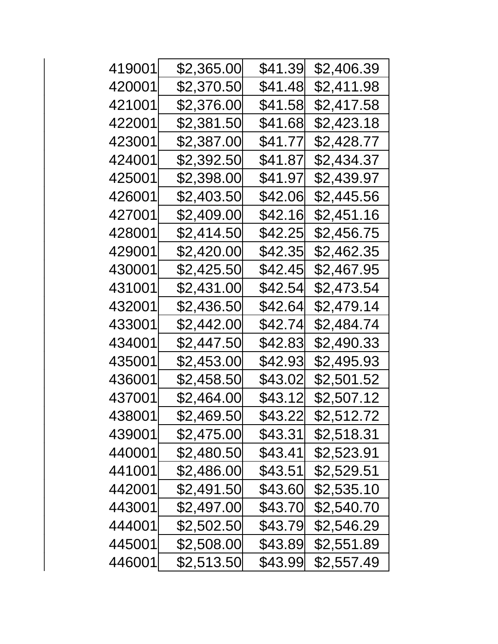| 419001 | \$2,365.00 | \$41.39 | \$2,406.39 |
|--------|------------|---------|------------|
| 420001 | \$2,370.50 | \$41.48 | \$2,411.98 |
| 421001 | \$2,376.00 | \$41.58 | \$2,417.58 |
| 422001 | \$2,381.50 | \$41.68 | \$2,423.18 |
| 423001 | \$2,387.00 | \$41.77 | \$2,428.77 |
| 424001 | \$2,392.50 | \$41.87 | \$2,434.37 |
| 425001 | \$2,398.00 | \$41.97 | \$2,439.97 |
| 426001 | \$2,403.50 | \$42.06 | \$2,445.56 |
| 427001 | \$2,409.00 | \$42.16 | \$2,451.16 |
| 428001 | \$2,414.50 | \$42.25 | \$2,456.75 |
| 429001 | \$2,420.00 | \$42.35 | \$2,462.35 |
| 430001 | \$2,425.50 | \$42.45 | \$2,467.95 |
| 431001 | \$2,431.00 | \$42.54 | \$2,473.54 |
| 432001 | \$2,436.50 | \$42.64 | \$2,479.14 |
| 433001 | \$2,442.00 | \$42.74 | \$2,484.74 |
| 434001 | \$2,447.50 | \$42.83 | \$2,490.33 |
| 435001 | \$2,453.00 | \$42.93 | \$2,495.93 |
| 436001 | \$2,458.50 | \$43.02 | \$2,501.52 |
| 437001 | \$2,464.00 | \$43.12 | \$2,507.12 |
| 438001 | \$2,469.50 | \$43.22 | \$2,512.72 |
| 439001 | \$2,475.00 | \$43.31 | \$2,518.31 |
| 440001 | \$2,480.50 | \$43.41 | \$2,523.91 |
| 441001 | \$2,486.00 | \$43.51 | \$2,529.51 |
| 442001 | \$2,491.50 | \$43.60 | \$2,535.10 |
| 443001 | \$2,497.00 | \$43.70 | \$2,540.70 |
| 444001 | \$2,502.50 | \$43.79 | \$2,546.29 |
| 445001 | \$2,508.00 | \$43.89 | \$2,551.89 |
| 446001 | \$2,513.50 | \$43.99 | \$2,557.49 |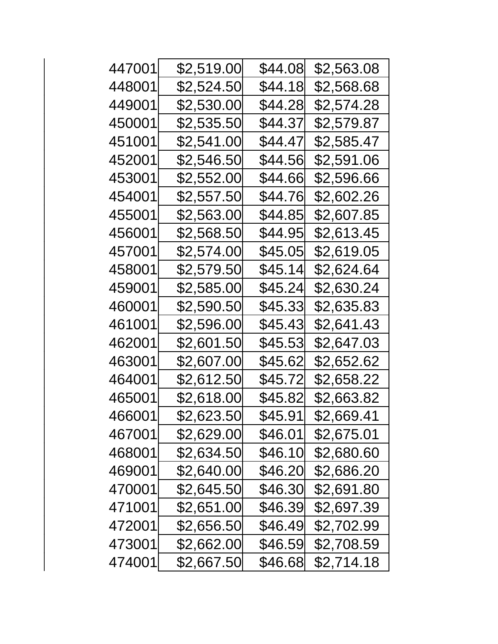| 447001 | \$2,519.00 | \$44.08 | \$2,563.08 |
|--------|------------|---------|------------|
| 448001 | \$2,524.50 | \$44.18 | \$2,568.68 |
| 449001 | \$2,530.00 | \$44.28 | \$2,574.28 |
| 450001 | \$2,535.50 | \$44.37 | \$2,579.87 |
| 451001 | \$2,541.00 | \$44.47 | \$2,585.47 |
| 452001 | \$2,546.50 | \$44.56 | \$2,591.06 |
| 453001 | \$2,552.00 | \$44.66 | \$2,596.66 |
| 454001 | \$2,557.50 | \$44.76 | \$2,602.26 |
| 455001 | \$2,563.00 | \$44.85 | \$2,607.85 |
| 456001 | \$2,568.50 | \$44.95 | \$2,613.45 |
| 457001 | \$2,574.00 | \$45.05 | \$2,619.05 |
| 458001 | \$2,579.50 | \$45.14 | \$2,624.64 |
| 459001 | \$2,585.00 | \$45.24 | \$2,630.24 |
| 460001 | \$2,590.50 | \$45.33 | \$2,635.83 |
| 461001 | \$2,596.00 | \$45.43 | \$2,641.43 |
| 462001 | \$2,601.50 | \$45.53 | \$2,647.03 |
| 463001 | \$2,607.00 | \$45.62 | \$2,652.62 |
| 464001 | \$2,612.50 | \$45.72 | \$2,658.22 |
| 465001 | \$2,618.00 | \$45.82 | \$2,663.82 |
| 466001 | \$2,623.50 | \$45.91 | \$2,669.41 |
| 467001 | \$2,629.00 | \$46.01 | \$2,675.01 |
| 468001 | \$2,634.50 | \$46.10 | \$2,680.60 |
| 469001 | \$2,640.00 | \$46.20 | \$2,686.20 |
| 470001 | \$2,645.50 | \$46.30 | \$2,691.80 |
| 471001 | \$2,651.00 | \$46.39 | \$2,697.39 |
| 472001 | \$2,656.50 | \$46.49 | \$2,702.99 |
| 473001 | \$2,662.00 | \$46.59 | \$2,708.59 |
| 474001 | \$2,667.50 | \$46.68 | \$2,714.18 |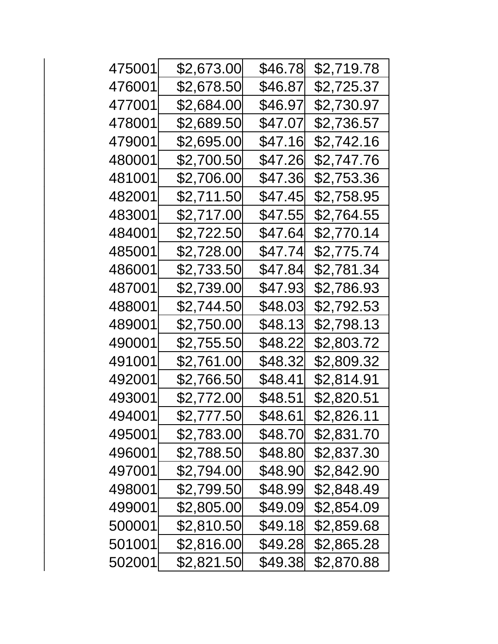| 475001 | \$2,673.00 | \$46.78 | \$2,719.78 |
|--------|------------|---------|------------|
| 476001 | \$2,678.50 | \$46.87 | \$2,725.37 |
| 477001 | \$2,684.00 | \$46.97 | \$2,730.97 |
| 478001 | \$2,689.50 | \$47.07 | \$2,736.57 |
| 479001 | \$2,695.00 | \$47.16 | \$2,742.16 |
| 480001 | \$2,700.50 | \$47.26 | \$2,747.76 |
| 481001 | \$2,706.00 | \$47.36 | \$2,753.36 |
| 482001 | \$2,711.50 | \$47.45 | \$2,758.95 |
| 483001 | \$2,717.00 | \$47.55 | \$2,764.55 |
| 484001 | \$2,722.50 | \$47.64 | \$2,770.14 |
| 485001 | \$2,728.00 | \$47.74 | \$2,775.74 |
| 486001 | \$2,733.50 | \$47.84 | \$2,781.34 |
| 487001 | \$2,739.00 | \$47.93 | \$2,786.93 |
| 488001 | \$2,744.50 | \$48.03 | \$2,792.53 |
| 489001 | \$2,750.00 | \$48.13 | \$2,798.13 |
| 490001 | \$2,755.50 | \$48.22 | \$2,803.72 |
| 491001 | \$2,761.00 | \$48.32 | \$2,809.32 |
| 492001 | \$2,766.50 | \$48.41 | \$2,814.91 |
| 493001 | \$2,772.00 | \$48.51 | \$2,820.51 |
| 494001 | \$2,777.50 | \$48.61 | \$2,826.11 |
| 495001 | \$2,783.00 | \$48.70 | \$2,831.70 |
| 496001 | \$2,788.50 | \$48.80 | \$2,837.30 |
| 497001 | \$2,794.00 | \$48.90 | \$2,842.90 |
| 498001 | \$2,799.50 | \$48.99 | \$2,848.49 |
| 499001 | \$2,805.00 | \$49.09 | \$2,854.09 |
| 500001 | \$2,810.50 | \$49.18 | \$2,859.68 |
| 501001 | \$2,816.00 | \$49.28 | \$2,865.28 |
| 502001 | \$2,821.50 | \$49.38 | \$2,870.88 |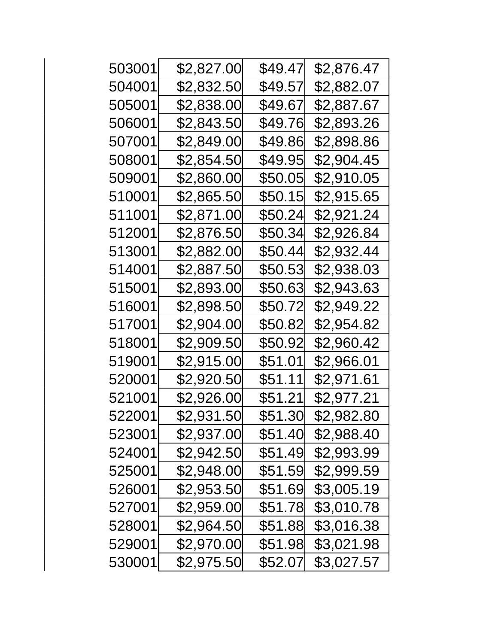| \$2,827.00 | \$49.47 | \$2,876.47 |
|------------|---------|------------|
| \$2,832.50 | \$49.57 | \$2,882.07 |
| \$2,838.00 | \$49.67 | \$2,887.67 |
| \$2,843.50 | \$49.76 | \$2,893.26 |
| \$2,849.00 | \$49.86 | \$2,898.86 |
| \$2,854.50 | \$49.95 | \$2,904.45 |
| \$2,860.00 | \$50.05 | \$2,910.05 |
| \$2,865.50 | \$50.15 | \$2,915.65 |
| \$2,871.00 | \$50.24 | \$2,921.24 |
| \$2,876.50 | \$50.34 | \$2,926.84 |
| \$2,882.00 | \$50.44 | \$2,932.44 |
| \$2,887.50 | \$50.53 | \$2,938.03 |
| \$2,893.00 | \$50.63 | \$2,943.63 |
| \$2,898.50 | \$50.72 | \$2,949.22 |
| \$2,904.00 | \$50.82 | \$2,954.82 |
| \$2,909.50 | \$50.92 | \$2,960.42 |
| \$2,915.00 | \$51.01 | \$2,966.01 |
| \$2,920.50 | \$51.11 | \$2,971.61 |
| \$2,926.00 | \$51.21 | \$2,977.21 |
| \$2,931.50 | \$51.30 | \$2,982.80 |
| \$2,937.00 | \$51.40 | \$2,988.40 |
| \$2,942.50 | \$51.49 | \$2,993.99 |
| \$2,948.00 | \$51.59 | \$2,999.59 |
| \$2,953.50 | \$51.69 | \$3,005.19 |
| \$2,959.00 | \$51.78 | \$3,010.78 |
| \$2,964.50 | \$51.88 | \$3,016.38 |
| \$2,970.00 | \$51.98 | \$3,021.98 |
| \$2,975.50 | \$52.07 | \$3,027.57 |
|            |         |            |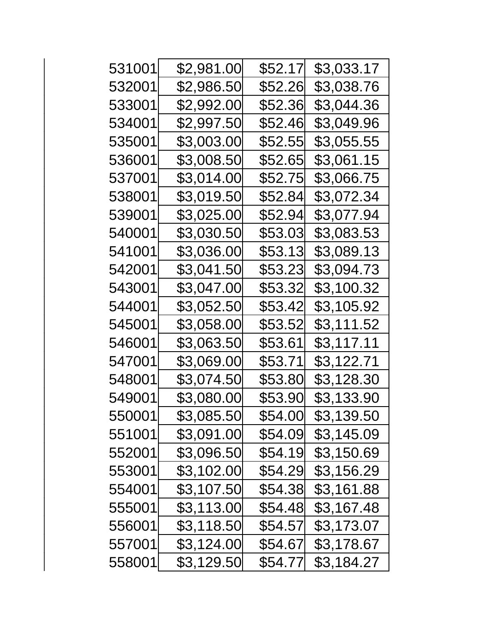| 531001 | \$2,981.00 | \$52.17        | \$3,033.17 |
|--------|------------|----------------|------------|
| 532001 | \$2,986.50 | \$52.26        | \$3,038.76 |
| 533001 | \$2,992.00 | \$52.36        | \$3,044.36 |
| 534001 | \$2,997.50 | \$52.46        | \$3,049.96 |
| 535001 | \$3,003.00 | \$52.55        | \$3,055.55 |
| 536001 | \$3,008.50 | \$52.65        | \$3,061.15 |
| 537001 | \$3,014.00 | \$52.75        | \$3,066.75 |
| 538001 | \$3,019.50 | \$52.84        | \$3,072.34 |
| 539001 | \$3,025.00 | \$52.94        | \$3,077.94 |
| 540001 | \$3,030.50 | \$53.03        | \$3,083.53 |
| 541001 | \$3,036.00 | \$53.13        | \$3,089.13 |
| 542001 | \$3,041.50 | \$53.23        | \$3,094.73 |
| 543001 | \$3,047.00 | \$53.32        | \$3,100.32 |
| 544001 | \$3,052.50 | \$53.42        | \$3,105.92 |
| 545001 | \$3,058.00 | \$53.52        | \$3,111.52 |
| 546001 | \$3,063.50 | \$53.61        | \$3,117.11 |
| 547001 | \$3,069.00 | \$53.71        | \$3,122.71 |
| 548001 | \$3,074.50 | \$53.80        | \$3,128.30 |
| 549001 | \$3,080.00 | \$53.90        | \$3,133.90 |
| 550001 | \$3,085.50 | \$54.00        | \$3,139.50 |
| 551001 | \$3,091.00 | \$54.09        | \$3,145.09 |
| 552001 | \$3,096.50 | <b>\$54.19</b> | \$3,150.69 |
| 553001 | \$3,102.00 | \$54.29        | \$3,156.29 |
| 554001 | \$3,107.50 | \$54.38        | \$3,161.88 |
| 555001 | \$3,113.00 | \$54.48        | \$3,167.48 |
| 556001 | \$3,118.50 | \$54.57        | \$3,173.07 |
| 557001 | \$3,124.00 | \$54.67        | \$3,178.67 |
| 558001 | \$3,129.50 | \$54.77        | \$3,184.27 |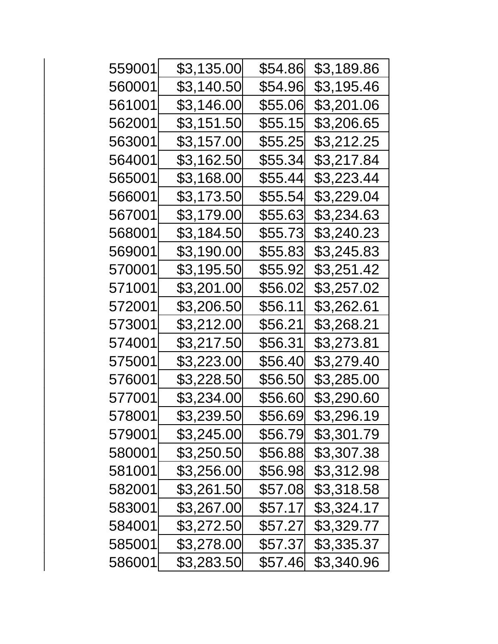| 559001 | \$3,135.00 | \$54.86 | \$3,189.86 |
|--------|------------|---------|------------|
| 560001 | \$3,140.50 | \$54.96 | \$3,195.46 |
| 561001 | \$3,146.00 | \$55.06 | \$3,201.06 |
| 562001 | \$3,151.50 | \$55.15 | \$3,206.65 |
| 563001 | \$3,157.00 | \$55.25 | \$3,212.25 |
| 564001 | \$3,162.50 | \$55.34 | \$3,217.84 |
| 565001 | \$3,168.00 | \$55.44 | \$3,223.44 |
| 566001 | \$3,173.50 | \$55.54 | \$3,229.04 |
| 567001 | \$3,179.00 | \$55.63 | \$3,234.63 |
| 568001 | \$3,184.50 | \$55.73 | \$3,240.23 |
| 569001 | \$3,190.00 | \$55.83 | \$3,245.83 |
| 570001 | \$3,195.50 | \$55.92 | \$3,251.42 |
| 571001 | \$3,201.00 | \$56.02 | \$3,257.02 |
| 572001 | \$3,206.50 | \$56.11 | \$3,262.61 |
| 573001 | \$3,212.00 | \$56.21 | \$3,268.21 |
| 574001 | \$3,217.50 | \$56.31 | \$3,273.81 |
| 575001 | \$3,223.00 | \$56.40 | \$3,279.40 |
| 576001 | \$3,228.50 | \$56.50 | \$3,285.00 |
| 577001 | \$3,234.00 | \$56.60 | \$3,290.60 |
| 578001 | \$3,239.50 | \$56.69 | \$3,296.19 |
| 579001 | \$3,245.00 | \$56.79 | \$3,301.79 |
| 580001 | \$3,250.50 | \$56.88 | \$3,307.38 |
| 581001 | \$3,256.00 | \$56.98 | \$3,312.98 |
| 582001 | \$3,261.50 | \$57.08 | \$3,318.58 |
| 583001 | \$3,267.00 | \$57.17 | \$3,324.17 |
| 584001 | \$3,272.50 | \$57.27 | \$3,329.77 |
| 585001 | \$3,278.00 | \$57.37 | \$3,335.37 |
| 586001 | \$3,283.50 | \$57.46 | \$3,340.96 |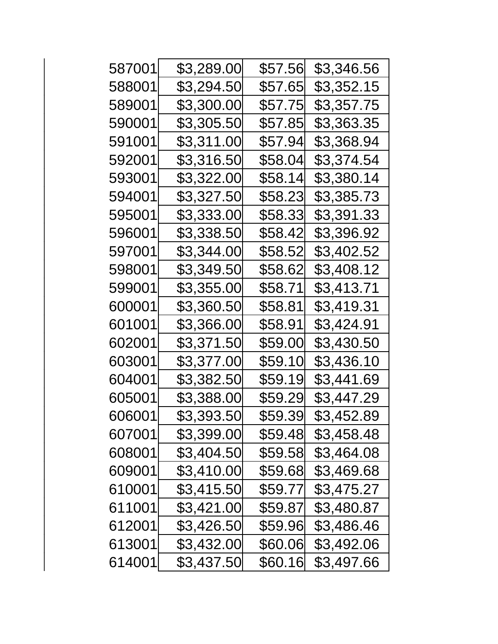| 587001 | \$3,289.00 | \$57.56 | \$3,346.56 |
|--------|------------|---------|------------|
| 588001 | \$3,294.50 | \$57.65 | \$3,352.15 |
| 589001 | \$3,300.00 | \$57.75 | \$3,357.75 |
| 590001 | \$3,305.50 | \$57.85 | \$3,363.35 |
| 591001 | \$3,311.00 | \$57.94 | \$3,368.94 |
| 592001 | \$3,316.50 | \$58.04 | \$3,374.54 |
| 593001 | \$3,322.00 | \$58.14 | \$3,380.14 |
| 594001 | \$3,327.50 | \$58.23 | \$3,385.73 |
| 595001 | \$3,333.00 | \$58.33 | \$3,391.33 |
| 596001 | \$3,338.50 | \$58.42 | \$3,396.92 |
| 597001 | \$3,344.00 | \$58.52 | \$3,402.52 |
| 598001 | \$3,349.50 | \$58.62 | \$3,408.12 |
| 599001 | \$3,355.00 | \$58.71 | \$3,413.71 |
| 600001 | \$3,360.50 | \$58.81 | \$3,419.31 |
| 601001 | \$3,366.00 | \$58.91 | \$3,424.91 |
| 602001 | \$3,371.50 | \$59.00 | \$3,430.50 |
| 603001 | \$3,377.00 | \$59.10 | \$3,436.10 |
| 604001 | \$3,382.50 | \$59.19 | \$3,441.69 |
| 605001 | \$3,388.00 | \$59.29 | \$3,447.29 |
| 606001 | \$3,393.50 | \$59.39 | \$3,452.89 |
| 607001 | \$3,399.00 | \$59.48 | \$3,458.48 |
| 608001 | \$3,404.50 | \$59.58 | \$3,464.08 |
| 609001 | \$3,410.00 | \$59.68 | \$3,469.68 |
| 610001 | \$3,415.50 | \$59.77 | \$3,475.27 |
| 611001 | \$3,421.00 | \$59.87 | \$3,480.87 |
| 612001 | \$3,426.50 | \$59.96 | \$3,486.46 |
| 613001 | \$3,432.00 | \$60.06 | \$3,492.06 |
| 614001 | \$3,437.50 | \$60.16 | \$3,497.66 |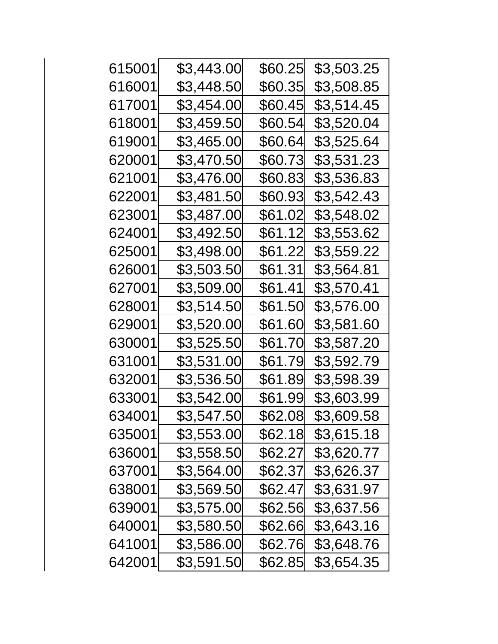| 615001 | \$3,443.00 | \$60.25 | \$3,503.25 |
|--------|------------|---------|------------|
| 616001 | \$3,448.50 | \$60.35 | \$3,508.85 |
| 617001 | \$3,454.00 | \$60.45 | \$3,514.45 |
| 618001 | \$3,459.50 | \$60.54 | \$3,520.04 |
| 619001 | \$3,465.00 | \$60.64 | \$3,525.64 |
| 620001 | \$3,470.50 | \$60.73 | \$3,531.23 |
| 621001 | \$3,476.00 | \$60.83 | \$3,536.83 |
| 622001 | \$3,481.50 | \$60.93 | \$3,542.43 |
| 623001 | \$3,487.00 | \$61.02 | \$3,548.02 |
| 624001 | \$3,492.50 | \$61.12 | \$3,553.62 |
| 625001 | \$3,498.00 | \$61.22 | \$3,559.22 |
| 626001 | \$3,503.50 | \$61.31 | \$3,564.81 |
| 627001 | \$3,509.00 | \$61.41 | \$3,570.41 |
| 628001 | \$3,514.50 | \$61.50 | \$3,576.00 |
| 629001 | \$3,520.00 | \$61.60 | \$3,581.60 |
| 630001 | \$3,525.50 | \$61.70 | \$3,587.20 |
| 631001 | \$3,531.00 | \$61.79 | \$3,592.79 |
| 632001 | \$3,536.50 | \$61.89 | \$3,598.39 |
| 633001 | \$3,542.00 | \$61.99 | \$3,603.99 |
| 634001 | \$3,547.50 | \$62.08 | \$3,609.58 |
| 635001 | \$3,553.00 | \$62.18 | \$3,615.18 |
| 636001 | \$3,558.50 | \$62.27 | \$3,620.77 |
| 637001 | \$3,564.00 | \$62.37 | \$3,626.37 |
| 638001 | \$3,569.50 | \$62.47 | \$3,631.97 |
| 639001 | \$3,575.00 | \$62.56 | \$3,637.56 |
| 640001 | \$3,580.50 | \$62.66 | \$3,643.16 |
| 641001 | \$3,586.00 | \$62.76 | \$3,648.76 |
| 642001 | \$3,591.50 | \$62.85 | \$3,654.35 |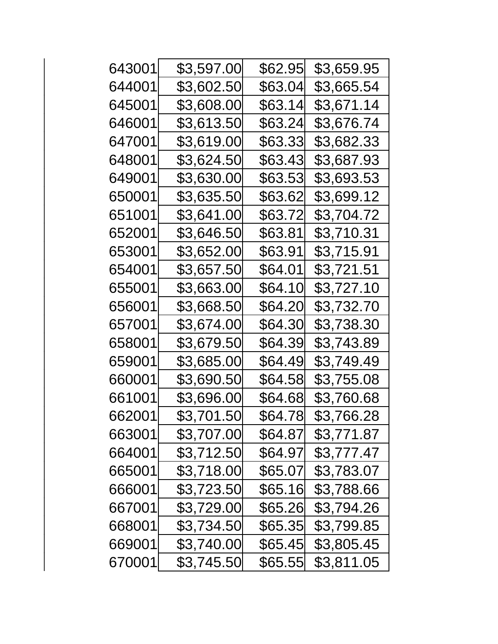| 643001 | \$3,597.00 | \$62.95 | \$3,659.95 |
|--------|------------|---------|------------|
| 644001 | \$3,602.50 | \$63.04 | \$3,665.54 |
| 645001 | \$3,608.00 | \$63.14 | \$3,671.14 |
| 646001 | \$3,613.50 | \$63.24 | \$3,676.74 |
| 647001 | \$3,619.00 | \$63.33 | \$3,682.33 |
| 648001 | \$3,624.50 | \$63.43 | \$3,687.93 |
| 649001 | \$3,630.00 | \$63.53 | \$3,693.53 |
| 650001 | \$3,635.50 | \$63.62 | \$3,699.12 |
| 651001 | \$3,641.00 | \$63.72 | \$3,704.72 |
| 652001 | \$3,646.50 | \$63.81 | \$3,710.31 |
| 653001 | \$3,652.00 | \$63.91 | \$3,715.91 |
| 654001 | \$3,657.50 | \$64.01 | \$3,721.51 |
| 655001 | \$3,663.00 | \$64.10 | \$3,727.10 |
| 656001 | \$3,668.50 | \$64.20 | \$3,732.70 |
| 657001 | \$3,674.00 | \$64.30 | \$3,738.30 |
| 658001 | \$3,679.50 | \$64.39 | \$3,743.89 |
| 659001 | \$3,685.00 | \$64.49 | \$3,749.49 |
| 660001 | \$3,690.50 | \$64.58 | \$3,755.08 |
| 661001 | \$3,696.00 | \$64.68 | \$3,760.68 |
| 662001 | \$3,701.50 | \$64.78 | \$3,766.28 |
| 663001 | \$3,707.00 | \$64.87 | \$3,771.87 |
| 664001 | \$3,712.50 | \$64.97 | \$3,777.47 |
| 665001 | \$3,718.00 | \$65.07 | \$3,783.07 |
| 666001 | \$3,723.50 | \$65.16 | \$3,788.66 |
| 667001 | \$3,729.00 | \$65.26 | \$3,794.26 |
| 668001 | \$3,734.50 | \$65.35 | \$3,799.85 |
| 669001 | \$3,740.00 | \$65.45 | \$3,805.45 |
| 670001 | \$3,745.50 | \$65.55 | \$3,811.05 |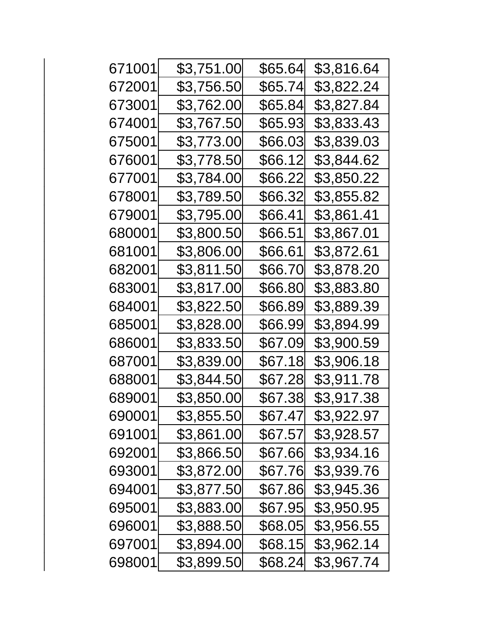| 671001 | \$3,751.00 | \$65.64 | \$3,816.64 |
|--------|------------|---------|------------|
| 672001 | \$3,756.50 | \$65.74 | \$3,822.24 |
| 673001 | \$3,762.00 | \$65.84 | \$3,827.84 |
| 674001 | \$3,767.50 | \$65.93 | \$3,833.43 |
| 675001 | \$3,773.00 | \$66.03 | \$3,839.03 |
| 676001 | \$3,778.50 | \$66.12 | \$3,844.62 |
| 677001 | \$3,784.00 | \$66.22 | \$3,850.22 |
| 678001 | \$3,789.50 | \$66.32 | \$3,855.82 |
| 679001 | \$3,795.00 | \$66.41 | \$3,861.41 |
| 680001 | \$3,800.50 | \$66.51 | \$3,867.01 |
| 681001 | \$3,806.00 | \$66.61 | \$3,872.61 |
| 682001 | \$3,811.50 | \$66.70 | \$3,878.20 |
| 683001 | \$3,817.00 | \$66.80 | \$3,883.80 |
| 684001 | \$3,822.50 | \$66.89 | \$3,889.39 |
| 685001 | \$3,828.00 | \$66.99 | \$3,894.99 |
| 686001 | \$3,833.50 | \$67.09 | \$3,900.59 |
| 687001 | \$3,839.00 | \$67.18 | \$3,906.18 |
| 688001 | \$3,844.50 | \$67.28 | \$3,911.78 |
| 689001 | \$3,850.00 | \$67.38 | \$3,917.38 |
| 690001 | \$3,855.50 | \$67.47 | \$3,922.97 |
| 691001 | \$3,861.00 | \$67.57 | \$3,928.57 |
| 692001 | \$3,866.50 | \$67.66 | \$3,934.16 |
| 693001 | \$3,872.00 | \$67.76 | \$3,939.76 |
| 694001 | \$3,877.50 | \$67.86 | \$3,945.36 |
| 695001 | \$3,883.00 | \$67.95 | \$3,950.95 |
| 696001 | \$3,888.50 | \$68.05 | \$3,956.55 |
| 697001 | \$3,894.00 | \$68.15 | \$3,962.14 |
| 698001 | \$3,899.50 | \$68.24 | \$3,967.74 |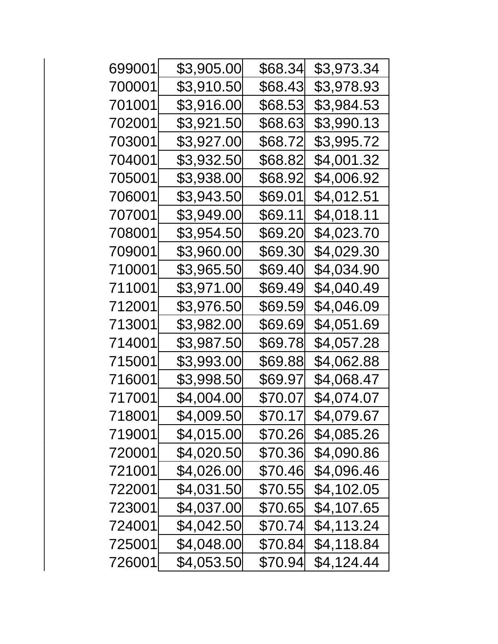| 699001 | \$3,905.00 | \$68.34 | \$3,973.34 |
|--------|------------|---------|------------|
| 700001 | \$3,910.50 | \$68.43 | \$3,978.93 |
| 701001 | \$3,916.00 | \$68.53 | \$3,984.53 |
| 702001 | \$3,921.50 | \$68.63 | \$3,990.13 |
| 703001 | \$3,927.00 | \$68.72 | \$3,995.72 |
| 704001 | \$3,932.50 | \$68.82 | \$4,001.32 |
| 705001 | \$3,938.00 | \$68.92 | \$4,006.92 |
| 706001 | \$3,943.50 | \$69.01 | \$4,012.51 |
| 707001 | \$3,949.00 | \$69.11 | \$4,018.11 |
| 708001 | \$3,954.50 | \$69.20 | \$4,023.70 |
| 709001 | \$3,960.00 | \$69.30 | \$4,029.30 |
| 710001 | \$3,965.50 | \$69.40 | \$4,034.90 |
| 711001 | \$3,971.00 | \$69.49 | \$4,040.49 |
| 712001 | \$3,976.50 | \$69.59 | \$4,046.09 |
| 713001 | \$3,982.00 | \$69.69 | \$4,051.69 |
| 714001 | \$3,987.50 | \$69.78 | \$4,057.28 |
| 715001 | \$3,993.00 | \$69.88 | \$4,062.88 |
| 716001 | \$3,998.50 | \$69.97 | \$4,068.47 |
| 717001 | \$4,004.00 | \$70.07 | \$4,074.07 |
| 718001 | \$4,009.50 | \$70.17 | \$4,079.67 |
| 719001 | \$4,015.00 | \$70.26 | \$4,085.26 |
| 720001 | \$4,020.50 | \$70.36 | \$4,090.86 |
| 721001 | \$4,026.00 | \$70.46 | \$4,096.46 |
| 722001 | \$4,031.50 | \$70.55 | \$4,102.05 |
| 723001 | \$4,037.00 | \$70.65 | \$4,107.65 |
| 724001 | \$4,042.50 | \$70.74 | \$4,113.24 |
| 725001 | \$4,048.00 | \$70.84 | \$4,118.84 |
| 726001 | \$4,053.50 | \$70.94 | \$4,124.44 |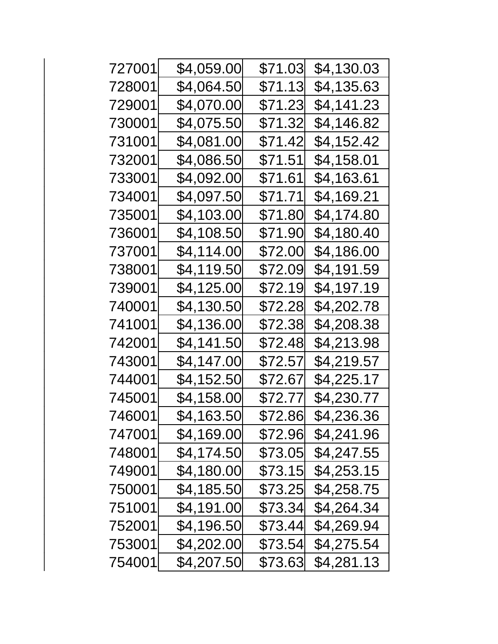| 727001 | \$4,059.00 | \$71.03 | \$4,130.03 |
|--------|------------|---------|------------|
| 728001 | \$4,064.50 | \$71.13 | \$4,135.63 |
| 729001 | \$4,070.00 | \$71.23 | \$4,141.23 |
| 730001 | \$4,075.50 | \$71.32 | \$4,146.82 |
| 731001 | \$4,081.00 | \$71.42 | \$4,152.42 |
| 732001 | \$4,086.50 | \$71.51 | \$4,158.01 |
| 733001 | \$4,092.00 | \$71.61 | \$4,163.61 |
| 734001 | \$4,097.50 | \$71.71 | \$4,169.21 |
| 735001 | \$4,103.00 | \$71.80 | \$4,174.80 |
| 736001 | \$4,108.50 | \$71.90 | \$4,180.40 |
| 737001 | \$4,114.00 | \$72.00 | \$4,186.00 |
| 738001 | \$4,119.50 | \$72.09 | \$4,191.59 |
| 739001 | \$4,125.00 | \$72.19 | \$4,197.19 |
| 740001 | \$4,130.50 | \$72.28 | \$4,202.78 |
| 741001 | \$4,136.00 | \$72.38 | \$4,208.38 |
| 742001 | \$4,141.50 | \$72.48 | \$4,213.98 |
| 743001 | \$4,147.00 | \$72.57 | \$4,219.57 |
| 744001 | \$4,152.50 | \$72.67 | \$4,225.17 |
| 745001 | \$4,158.00 | \$72.77 | \$4,230.77 |
| 746001 | \$4,163.50 | \$72.86 | \$4,236.36 |
| 747001 | \$4,169.00 | \$72.96 | \$4,241.96 |
| 748001 | \$4,174.50 | \$73.05 | \$4,247.55 |
| 749001 | \$4,180.00 | \$73.15 | \$4,253.15 |
| 750001 | \$4,185.50 | \$73.25 | \$4,258.75 |
| 751001 | \$4,191.00 | \$73.34 | \$4,264.34 |
| 752001 | \$4,196.50 | \$73.44 | \$4,269.94 |
| 753001 | \$4,202.00 | \$73.54 | \$4,275.54 |
| 754001 | \$4,207.50 | \$73.63 | \$4,281.13 |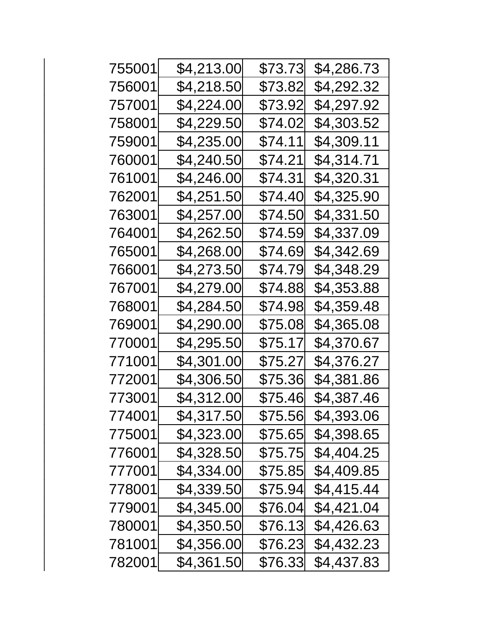| \$4,213.00 | \$73.73 | \$4,286.73 |
|------------|---------|------------|
| \$4,218.50 | \$73.82 | \$4,292.32 |
| \$4,224.00 | \$73.92 | \$4,297.92 |
| \$4,229.50 | \$74.02 | \$4,303.52 |
| \$4,235.00 | \$74.11 | \$4,309.11 |
| \$4,240.50 | \$74.21 | \$4,314.71 |
| \$4,246.00 | \$74.31 | \$4,320.31 |
| \$4,251.50 | \$74.40 | \$4,325.90 |
| \$4,257.00 | \$74.50 | \$4,331.50 |
| \$4,262.50 | \$74.59 | \$4,337.09 |
| \$4,268.00 | \$74.69 | \$4,342.69 |
| \$4,273.50 | \$74.79 | \$4,348.29 |
| \$4,279.00 | \$74.88 | \$4,353.88 |
| \$4,284.50 | \$74.98 | \$4,359.48 |
| \$4,290.00 | \$75.08 | \$4,365.08 |
| \$4,295.50 | \$75.17 | \$4,370.67 |
| \$4,301.00 | \$75.27 | \$4,376.27 |
| \$4,306.50 | \$75.36 | \$4,381.86 |
| \$4,312.00 | \$75.46 | \$4,387.46 |
| \$4,317.50 | \$75.56 | \$4,393.06 |
| \$4,323.00 | \$75.65 | \$4,398.65 |
| \$4,328.50 | \$75.75 | \$4,404.25 |
| \$4,334.00 | \$75.85 | \$4,409.85 |
| \$4,339.50 | \$75.94 | \$4,415.44 |
| \$4,345.00 | \$76.04 | \$4,421.04 |
| \$4,350.50 | \$76.13 | \$4,426.63 |
| \$4,356.00 | \$76.23 | \$4,432.23 |
| \$4,361.50 | \$76.33 | \$4,437.83 |
|            |         |            |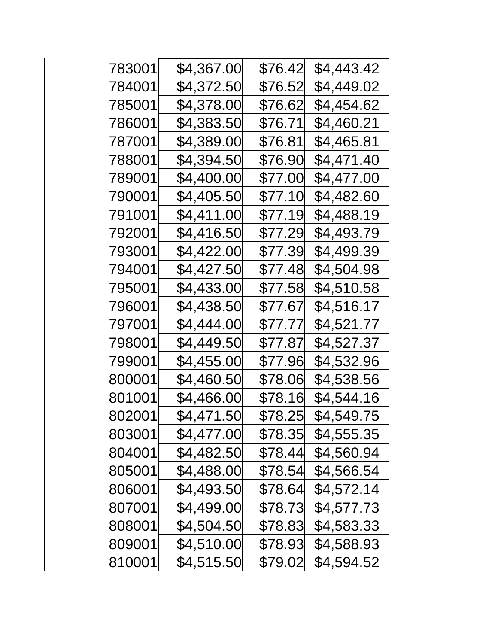| 783001 | \$4,367.00 | \$76.42 | \$4,443.42 |
|--------|------------|---------|------------|
| 784001 | \$4,372.50 | \$76.52 | \$4,449.02 |
| 785001 | \$4,378.00 | \$76.62 | \$4,454.62 |
| 786001 | \$4,383.50 | \$76.71 | \$4,460.21 |
| 787001 | \$4,389.00 | \$76.81 | \$4,465.81 |
| 788001 | \$4,394.50 | \$76.90 | \$4,471.40 |
| 789001 | \$4,400.00 | \$77.00 | \$4,477.00 |
| 790001 | \$4,405.50 | \$77.10 | \$4,482.60 |
| 791001 | \$4,411.00 | \$77.19 | \$4,488.19 |
| 792001 | \$4,416.50 | \$77.29 | \$4,493.79 |
| 793001 | \$4,422.00 | \$77.39 | \$4,499.39 |
| 794001 | \$4,427.50 | \$77.48 | \$4,504.98 |
| 795001 | \$4,433.00 | \$77.58 | \$4,510.58 |
| 796001 | \$4,438.50 | \$77.67 | \$4,516.17 |
| 797001 | \$4,444.00 | \$77.77 | \$4,521.77 |
| 798001 | \$4,449.50 | \$77.87 | \$4,527.37 |
| 799001 | \$4,455.00 | \$77.96 | \$4,532.96 |
| 800001 | \$4,460.50 | \$78.06 | \$4,538.56 |
| 801001 | \$4,466.00 | \$78.16 | \$4,544.16 |
| 802001 | \$4,471.50 | \$78.25 | \$4,549.75 |
| 803001 | \$4,477.00 | \$78.35 | \$4,555.35 |
| 804001 | \$4,482.50 | \$78.44 | \$4,560.94 |
| 805001 | \$4,488.00 | \$78.54 | \$4,566.54 |
| 806001 | \$4,493.50 | \$78.64 | \$4,572.14 |
| 807001 | \$4,499.00 | \$78.73 | \$4,577.73 |
| 808001 | \$4,504.50 | \$78.83 | \$4,583.33 |
| 809001 | \$4,510.00 | \$78.93 | \$4,588.93 |
| 810001 | \$4,515.50 | \$79.02 | \$4,594.52 |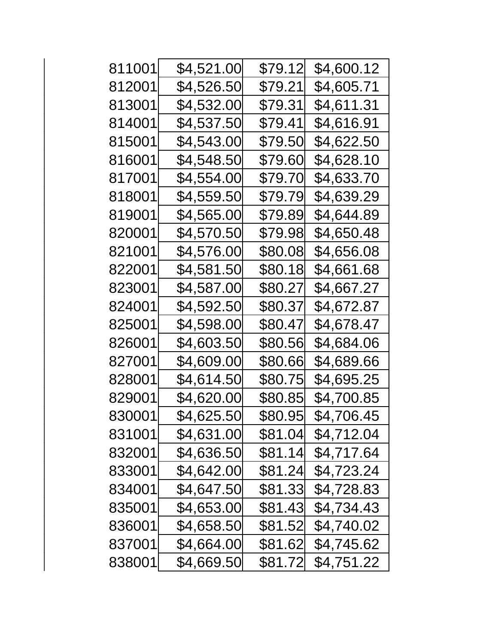| 811001 | \$4,521.00 | \$79.12 | \$4,600.12 |
|--------|------------|---------|------------|
| 812001 | \$4,526.50 | \$79.21 | \$4,605.71 |
| 813001 | \$4,532.00 | \$79.31 | \$4,611.31 |
| 814001 | \$4,537.50 | \$79.41 | \$4,616.91 |
| 815001 | \$4,543.00 | \$79.50 | \$4,622.50 |
| 816001 | \$4,548.50 | \$79.60 | \$4,628.10 |
| 817001 | \$4,554.00 | \$79.70 | \$4,633.70 |
| 818001 | \$4,559.50 | \$79.79 | \$4,639.29 |
| 819001 | \$4,565.00 | \$79.89 | \$4,644.89 |
| 820001 | \$4,570.50 | \$79.98 | \$4,650.48 |
| 821001 | \$4,576.00 | \$80.08 | \$4,656.08 |
| 822001 | \$4,581.50 | \$80.18 | \$4,661.68 |
| 823001 | \$4,587.00 | \$80.27 | \$4,667.27 |
| 824001 | \$4,592.50 | \$80.37 | \$4,672.87 |
| 825001 | \$4,598.00 | \$80.47 | \$4,678.47 |
| 826001 | \$4,603.50 | \$80.56 | \$4,684.06 |
| 827001 | \$4,609.00 | \$80.66 | \$4,689.66 |
| 828001 | \$4,614.50 | \$80.75 | \$4,695.25 |
| 829001 | \$4,620.00 | \$80.85 | \$4,700.85 |
| 830001 | \$4,625.50 | \$80.95 | \$4,706.45 |
| 831001 | \$4,631.00 | \$81.04 | \$4,712.04 |
| 832001 | \$4,636.50 | \$81.14 | \$4,717.64 |
| 833001 | \$4,642.00 | \$81.24 | \$4,723.24 |
| 834001 | \$4,647.50 | \$81.33 | \$4,728.83 |
| 835001 | \$4,653.00 | \$81.43 | \$4,734.43 |
| 836001 | \$4,658.50 | \$81.52 | \$4,740.02 |
| 837001 | \$4,664.00 | \$81.62 | \$4,745.62 |
| 838001 | \$4,669.50 | \$81.72 | \$4,751.22 |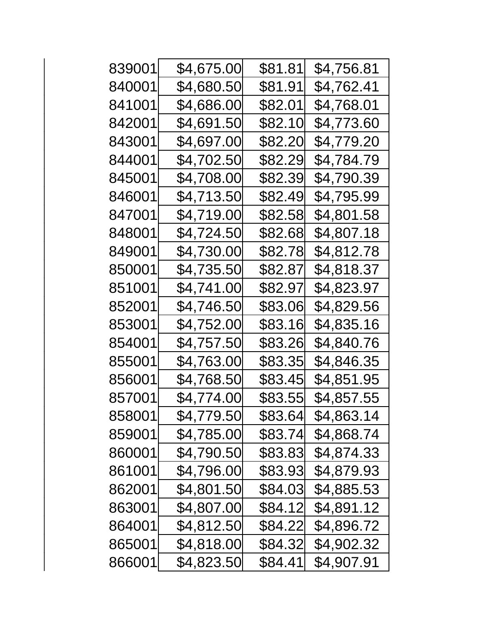| 839001 | \$4,675.00 | \$81.81 | \$4,756.81 |
|--------|------------|---------|------------|
| 840001 | \$4,680.50 | \$81.91 | \$4,762.41 |
| 841001 | \$4,686.00 | \$82.01 | \$4,768.01 |
| 842001 | \$4,691.50 | \$82.10 | \$4,773.60 |
| 843001 | \$4,697.00 | \$82.20 | \$4,779.20 |
| 844001 | \$4,702.50 | \$82.29 | \$4,784.79 |
| 845001 | \$4,708.00 | \$82.39 | \$4,790.39 |
| 846001 | \$4,713.50 | \$82.49 | \$4,795.99 |
| 847001 | \$4,719.00 | \$82.58 | \$4,801.58 |
| 848001 | \$4,724.50 | \$82.68 | \$4,807.18 |
| 849001 | \$4,730.00 | \$82.78 | \$4,812.78 |
| 850001 | \$4,735.50 | \$82.87 | \$4,818.37 |
| 851001 | \$4,741.00 | \$82.97 | \$4,823.97 |
| 852001 | \$4,746.50 | \$83.06 | \$4,829.56 |
| 853001 | \$4,752.00 | \$83.16 | \$4,835.16 |
| 854001 | \$4,757.50 | \$83.26 | \$4,840.76 |
| 855001 | \$4,763.00 | \$83.35 | \$4,846.35 |
| 856001 | \$4,768.50 | \$83.45 | \$4,851.95 |
| 857001 | \$4,774.00 | \$83.55 | \$4,857.55 |
| 858001 | \$4,779.50 | \$83.64 | \$4,863.14 |
| 859001 | \$4,785.00 | \$83.74 | \$4,868.74 |
| 860001 | \$4,790.50 | \$83.83 | \$4,874.33 |
| 861001 | \$4,796.00 | \$83.93 | \$4,879.93 |
| 862001 | \$4,801.50 | \$84.03 | \$4,885.53 |
| 863001 | \$4,807.00 | \$84.12 | \$4,891.12 |
| 864001 | \$4,812.50 | \$84.22 | \$4,896.72 |
| 865001 | \$4,818.00 | \$84.32 | \$4,902.32 |
| 866001 | \$4,823.50 | \$84.41 | \$4,907.91 |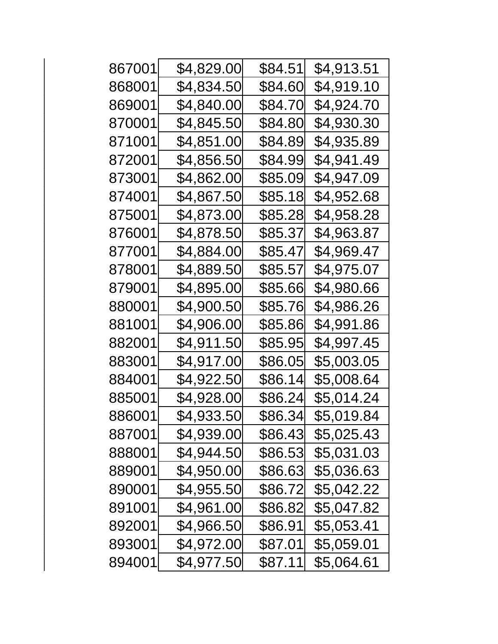| 867001 | \$4,829.00 | \$84.51 | \$4,913.51 |
|--------|------------|---------|------------|
| 868001 | \$4,834.50 | \$84.60 | \$4,919.10 |
| 869001 | \$4,840.00 | \$84.70 | \$4,924.70 |
| 870001 | \$4,845.50 | \$84.80 | \$4,930.30 |
| 871001 | \$4,851.00 | \$84.89 | \$4,935.89 |
| 872001 | \$4,856.50 | \$84.99 | \$4,941.49 |
| 873001 | \$4,862.00 | \$85.09 | \$4,947.09 |
| 874001 | \$4,867.50 | \$85.18 | \$4,952.68 |
| 875001 | \$4,873.00 | \$85.28 | \$4,958.28 |
| 876001 | \$4,878.50 | \$85.37 | \$4,963.87 |
| 877001 | \$4,884.00 | \$85.47 | \$4,969.47 |
| 878001 | \$4,889.50 | \$85.57 | \$4,975.07 |
| 879001 | \$4,895.00 | \$85.66 | \$4,980.66 |
| 880001 | \$4,900.50 | \$85.76 | \$4,986.26 |
| 881001 | \$4,906.00 | \$85.86 | \$4,991.86 |
| 882001 | \$4,911.50 | \$85.95 | \$4,997.45 |
| 883001 | \$4,917.00 | \$86.05 | \$5,003.05 |
| 884001 | \$4,922.50 | \$86.14 | \$5,008.64 |
| 885001 | \$4,928.00 | \$86.24 | \$5,014.24 |
| 886001 | \$4,933.50 | \$86.34 | \$5,019.84 |
| 887001 | \$4,939.00 | \$86.43 | \$5,025.43 |
| 888001 | \$4,944.50 | \$86.53 | \$5,031.03 |
| 889001 | \$4,950.00 | \$86.63 | \$5,036.63 |
| 890001 | \$4,955.50 | \$86.72 | \$5,042.22 |
| 891001 | \$4,961.00 | \$86.82 | \$5,047.82 |
| 892001 | \$4,966.50 | \$86.91 | \$5,053.41 |
| 893001 | \$4,972.00 | \$87.01 | \$5,059.01 |
| 894001 | \$4,977.50 | \$87.11 | \$5,064.61 |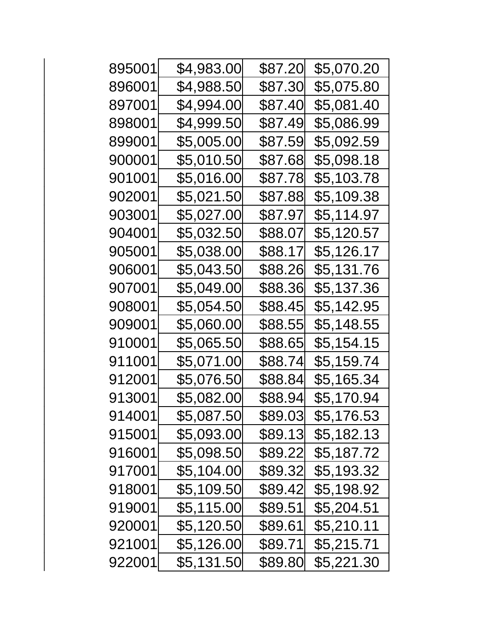| 895001 | \$4,983.00 | \$87.20 | \$5,070.20 |
|--------|------------|---------|------------|
| 896001 | \$4,988.50 | \$87.30 | \$5,075.80 |
| 897001 | \$4,994.00 | \$87.40 | \$5,081.40 |
| 898001 | \$4,999.50 | \$87.49 | \$5,086.99 |
| 899001 | \$5,005.00 | \$87.59 | \$5,092.59 |
| 900001 | \$5,010.50 | \$87.68 | \$5,098.18 |
| 901001 | \$5,016.00 | \$87.78 | \$5,103.78 |
| 902001 | \$5,021.50 | \$87.88 | \$5,109.38 |
| 903001 | \$5,027.00 | \$87.97 | \$5,114.97 |
| 904001 | \$5,032.50 | \$88.07 | \$5,120.57 |
| 905001 | \$5,038.00 | \$88.17 | \$5,126.17 |
| 906001 | \$5,043.50 | \$88.26 | \$5,131.76 |
| 907001 | \$5,049.00 | \$88.36 | \$5,137.36 |
| 908001 | \$5,054.50 | \$88.45 | \$5,142.95 |
| 909001 | \$5,060.00 | \$88.55 | \$5,148.55 |
| 910001 | \$5,065.50 | \$88.65 | \$5,154.15 |
| 911001 | \$5,071.00 | \$88.74 | \$5,159.74 |
| 912001 | \$5,076.50 | \$88.84 | \$5,165.34 |
| 913001 | \$5,082.00 | \$88.94 | \$5,170.94 |
| 914001 | \$5,087.50 | \$89.03 | \$5,176.53 |
| 915001 | \$5,093.00 | \$89.13 | \$5,182.13 |
| 916001 | \$5,098.50 | \$89.22 | \$5,187.72 |
| 917001 | \$5,104.00 | \$89.32 | \$5,193.32 |
| 918001 | \$5,109.50 | \$89.42 | \$5,198.92 |
| 919001 | \$5,115.00 | \$89.51 | \$5,204.51 |
| 920001 | \$5,120.50 | \$89.61 | \$5,210.11 |
| 921001 | \$5,126.00 | \$89.71 | \$5,215.71 |
| 922001 | \$5,131.50 | \$89.80 | \$5,221.30 |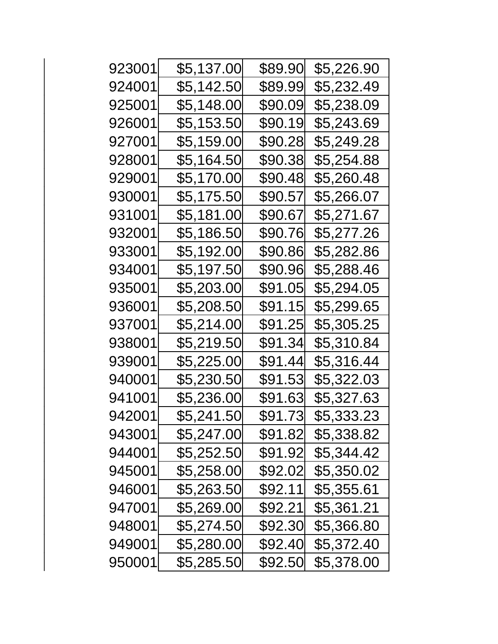| 923001 | \$5,137.00 | \$89.90 | \$5,226.90 |
|--------|------------|---------|------------|
| 924001 | \$5,142.50 | \$89.99 | \$5,232.49 |
| 925001 | \$5,148.00 | \$90.09 | \$5,238.09 |
| 926001 | \$5,153.50 | \$90.19 | \$5,243.69 |
| 927001 | \$5,159.00 | \$90.28 | \$5,249.28 |
| 928001 | \$5,164.50 | \$90.38 | \$5,254.88 |
| 929001 | \$5,170.00 | \$90.48 | \$5,260.48 |
| 930001 | \$5,175.50 | \$90.57 | \$5,266.07 |
| 931001 | \$5,181.00 | \$90.67 | \$5,271.67 |
| 932001 | \$5,186.50 | \$90.76 | \$5,277.26 |
| 933001 | \$5,192.00 | \$90.86 | \$5,282.86 |
| 934001 | \$5,197.50 | \$90.96 | \$5,288.46 |
| 935001 | \$5,203.00 | \$91.05 | \$5,294.05 |
| 936001 | \$5,208.50 | \$91.15 | \$5,299.65 |
| 937001 | \$5,214.00 | \$91.25 | \$5,305.25 |
| 938001 | \$5,219.50 | \$91.34 | \$5,310.84 |
| 939001 | \$5,225.00 | \$91.44 | \$5,316.44 |
| 940001 | \$5,230.50 | \$91.53 | \$5,322.03 |
| 941001 | \$5,236.00 | \$91.63 | \$5,327.63 |
| 942001 | \$5,241.50 | \$91.73 | \$5,333.23 |
| 943001 | \$5,247.00 | \$91.82 | \$5,338.82 |
| 944001 | \$5,252.50 | \$91.92 | \$5,344.42 |
| 945001 | \$5,258.00 | \$92.02 | \$5,350.02 |
| 946001 | \$5,263.50 | \$92.11 | \$5,355.61 |
| 947001 | \$5,269.00 | \$92.21 | \$5,361.21 |
| 948001 | \$5,274.50 | \$92.30 | \$5,366.80 |
| 949001 | \$5,280.00 | \$92.40 | \$5,372.40 |
| 950001 | \$5,285.50 | \$92.50 | \$5,378.00 |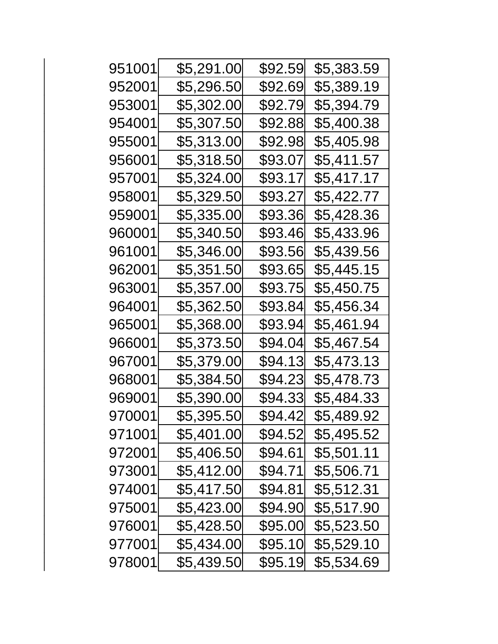| 951001 | \$5,291.00 | \$92.59 | \$5,383.59 |
|--------|------------|---------|------------|
| 952001 | \$5,296.50 | \$92.69 | \$5,389.19 |
| 953001 | \$5,302.00 | \$92.79 | \$5,394.79 |
| 954001 | \$5,307.50 | \$92.88 | \$5,400.38 |
| 955001 | \$5,313.00 | \$92.98 | \$5,405.98 |
| 956001 | \$5,318.50 | \$93.07 | \$5,411.57 |
| 957001 | \$5,324.00 | \$93.17 | \$5,417.17 |
| 958001 | \$5,329.50 | \$93.27 | \$5,422.77 |
| 959001 | \$5,335.00 | \$93.36 | \$5,428.36 |
| 960001 | \$5,340.50 | \$93.46 | \$5,433.96 |
| 961001 | \$5,346.00 | \$93.56 | \$5,439.56 |
| 962001 | \$5,351.50 | \$93.65 | \$5,445.15 |
| 963001 | \$5,357.00 | \$93.75 | \$5,450.75 |
| 964001 | \$5,362.50 | \$93.84 | \$5,456.34 |
| 965001 | \$5,368.00 | \$93.94 | \$5,461.94 |
| 966001 | \$5,373.50 | \$94.04 | \$5,467.54 |
| 967001 | \$5,379.00 | \$94.13 | \$5,473.13 |
| 968001 | \$5,384.50 | \$94.23 | \$5,478.73 |
| 969001 | \$5,390.00 | \$94.33 | \$5,484.33 |
| 970001 | \$5,395.50 | \$94.42 | \$5,489.92 |
| 971001 | \$5,401.00 | \$94.52 | \$5,495.52 |
| 972001 | \$5,406.50 | \$94.61 | \$5,501.11 |
| 973001 | \$5,412.00 | \$94.71 | \$5,506.71 |
| 974001 | \$5,417.50 | \$94.81 | \$5,512.31 |
| 975001 | \$5,423.00 | \$94.90 | \$5,517.90 |
| 976001 | \$5,428.50 | \$95.00 | \$5,523.50 |
| 977001 | \$5,434.00 | \$95.10 | \$5,529.10 |
| 978001 | \$5,439.50 | \$95.19 | \$5,534.69 |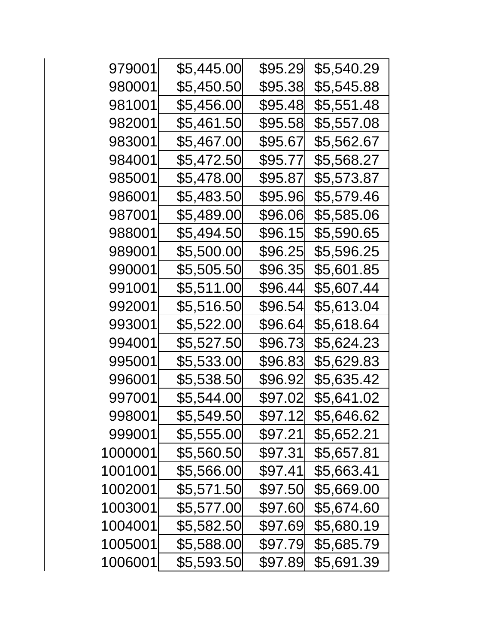| 979001  | \$5,445.00 | \$95.29 | \$5,540.29 |
|---------|------------|---------|------------|
| 980001  | \$5,450.50 | \$95.38 | \$5,545.88 |
| 981001  | \$5,456.00 | \$95.48 | \$5,551.48 |
| 982001  | \$5,461.50 | \$95.58 | \$5,557.08 |
| 983001  | \$5,467.00 | \$95.67 | \$5,562.67 |
| 984001  | \$5,472.50 | \$95.77 | \$5,568.27 |
| 985001  | \$5,478.00 | \$95.87 | \$5,573.87 |
| 986001  | \$5,483.50 | \$95.96 | \$5,579.46 |
| 987001  | \$5,489.00 | \$96.06 | \$5,585.06 |
| 988001  | \$5,494.50 | \$96.15 | \$5,590.65 |
| 989001  | \$5,500.00 | \$96.25 | \$5,596.25 |
| 990001  | \$5,505.50 | \$96.35 | \$5,601.85 |
| 991001  | \$5,511.00 | \$96.44 | \$5,607.44 |
| 992001  | \$5,516.50 | \$96.54 | \$5,613.04 |
| 993001  | \$5,522.00 | \$96.64 | \$5,618.64 |
| 994001  | \$5,527.50 | \$96.73 | \$5,624.23 |
| 995001  | \$5,533.00 | \$96.83 | \$5,629.83 |
| 996001  | \$5,538.50 | \$96.92 | \$5,635.42 |
| 997001  | \$5,544.00 | \$97.02 | \$5,641.02 |
| 998001  | \$5,549.50 | \$97.12 | \$5,646.62 |
| 999001  | \$5,555.00 | \$97.21 | \$5,652.21 |
| 1000001 | \$5,560.50 | \$97.31 | \$5,657.81 |
| 1001001 | \$5,566.00 | \$97.41 | \$5,663.41 |
| 1002001 | \$5,571.50 | \$97.50 | \$5,669.00 |
| 1003001 | \$5,577.00 | \$97.60 | \$5,674.60 |
| 1004001 | \$5,582.50 | \$97.69 | \$5,680.19 |
| 1005001 | \$5,588.00 | \$97.79 | \$5,685.79 |
| 1006001 | \$5,593.50 | \$97.89 | \$5,691.39 |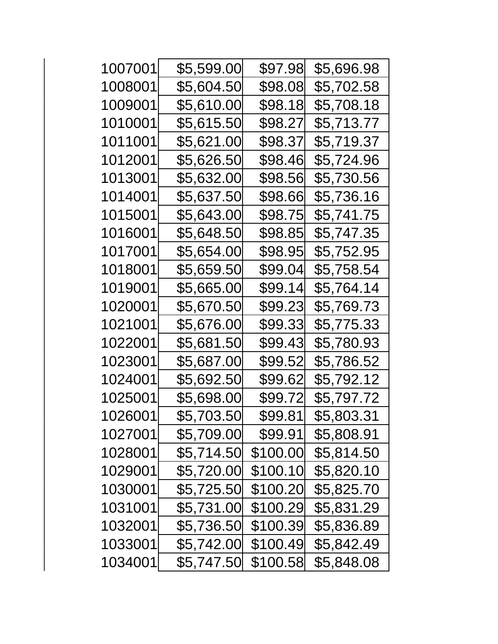| 1007001 | \$5,599.00 | \$97.98  | \$5,696.98 |
|---------|------------|----------|------------|
| 1008001 | \$5,604.50 | \$98.08  | \$5,702.58 |
| 1009001 | \$5,610.00 | \$98.18  | \$5,708.18 |
| 1010001 | \$5,615.50 | \$98.27  | \$5,713.77 |
| 1011001 | \$5,621.00 | \$98.37  | \$5,719.37 |
| 1012001 | \$5,626.50 | \$98.46  | \$5,724.96 |
| 1013001 | \$5,632.00 | \$98.56  | \$5,730.56 |
| 1014001 | \$5,637.50 | \$98.66  | \$5,736.16 |
| 1015001 | \$5,643.00 | \$98.75  | \$5,741.75 |
| 1016001 | \$5,648.50 | \$98.85  | \$5,747.35 |
| 1017001 | \$5,654.00 | \$98.95  | \$5,752.95 |
| 1018001 | \$5,659.50 | \$99.04  | \$5,758.54 |
| 1019001 | \$5,665.00 | \$99.14  | \$5,764.14 |
| 1020001 | \$5,670.50 | \$99.23  | \$5,769.73 |
| 1021001 | \$5,676.00 | \$99.33  | \$5,775.33 |
| 1022001 | \$5,681.50 | \$99.43  | \$5,780.93 |
| 1023001 | \$5,687.00 | \$99.52  | \$5,786.52 |
| 1024001 | \$5,692.50 | \$99.62  | \$5,792.12 |
| 1025001 | \$5,698.00 | \$99.72  | \$5,797.72 |
| 1026001 | \$5,703.50 | \$99.81  | \$5,803.31 |
| 1027001 | \$5,709.00 | \$99.91  | \$5,808.91 |
| 1028001 | \$5,714.50 | \$100.00 | \$5,814.50 |
| 1029001 | \$5,720.00 | \$100.10 | \$5,820.10 |
| 1030001 | \$5,725.50 | \$100.20 | \$5,825.70 |
| 1031001 | \$5,731.00 | \$100.29 | \$5,831.29 |
| 1032001 | \$5,736.50 | \$100.39 | \$5,836.89 |
| 1033001 | \$5,742.00 | \$100.49 | \$5,842.49 |
| 1034001 | \$5,747.50 | \$100.58 | \$5,848.08 |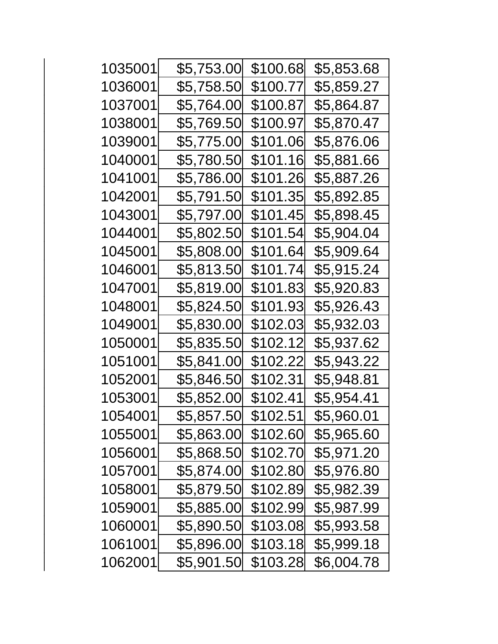| 1035001 | \$5,753.00 | \$100.68 | \$5,853.68 |
|---------|------------|----------|------------|
| 1036001 | \$5,758.50 | \$100.77 | \$5,859.27 |
| 1037001 | \$5,764.00 | \$100.87 | \$5,864.87 |
| 1038001 | \$5,769.50 | \$100.97 | \$5,870.47 |
| 1039001 | \$5,775.00 | \$101.06 | \$5,876.06 |
| 1040001 | \$5,780.50 | \$101.16 | \$5,881.66 |
| 1041001 | \$5,786.00 | \$101.26 | \$5,887.26 |
| 1042001 | \$5,791.50 | \$101.35 | \$5,892.85 |
| 1043001 | \$5,797.00 | \$101.45 | \$5,898.45 |
| 1044001 | \$5,802.50 | \$101.54 | \$5,904.04 |
| 1045001 | \$5,808.00 | \$101.64 | \$5,909.64 |
| 1046001 | \$5,813.50 | \$101.74 | \$5,915.24 |
| 1047001 | \$5,819.00 | \$101.83 | \$5,920.83 |
| 1048001 | \$5,824.50 | \$101.93 | \$5,926.43 |
| 1049001 | \$5,830.00 | \$102.03 | \$5,932.03 |
| 1050001 | \$5,835.50 | \$102.12 | \$5,937.62 |
| 1051001 | \$5,841.00 | \$102.22 | \$5,943.22 |
| 1052001 | \$5,846.50 | \$102.31 | \$5,948.81 |
| 1053001 | \$5,852.00 | \$102.41 | \$5,954.41 |
| 1054001 | \$5,857.50 | \$102.51 | \$5,960.01 |
| 1055001 | \$5,863.00 | \$102.60 | \$5,965.60 |
| 1056001 | \$5,868.50 | \$102.70 | \$5,971.20 |
| 1057001 | \$5,874.00 | \$102.80 | \$5,976.80 |
| 1058001 | \$5,879.50 | \$102.89 | \$5,982.39 |
| 1059001 | \$5,885.00 | \$102.99 | \$5,987.99 |
| 1060001 | \$5,890.50 | \$103.08 | \$5,993.58 |
| 1061001 | \$5,896.00 | \$103.18 | \$5,999.18 |
| 1062001 | \$5,901.50 | \$103.28 | \$6,004.78 |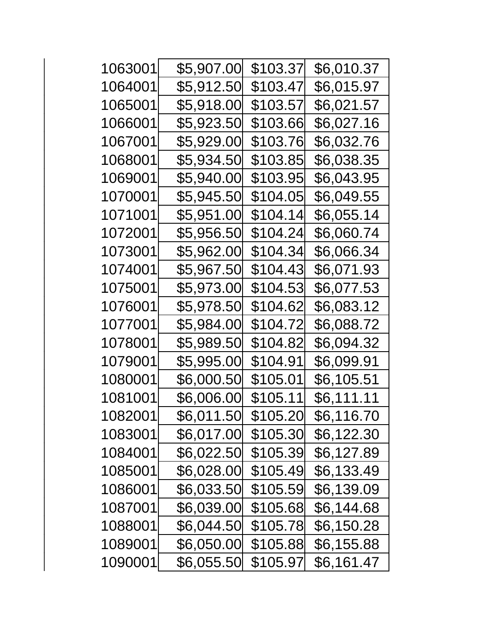| 1063001 | \$5,907.00 | \$103.37 | \$6,010.37 |
|---------|------------|----------|------------|
| 1064001 | \$5,912.50 | \$103.47 | \$6,015.97 |
| 1065001 | \$5,918.00 | \$103.57 | \$6,021.57 |
| 1066001 | \$5,923.50 | \$103.66 | \$6,027.16 |
| 1067001 | \$5,929.00 | \$103.76 | \$6,032.76 |
| 1068001 | \$5,934.50 | \$103.85 | \$6,038.35 |
| 1069001 | \$5,940.00 | \$103.95 | \$6,043.95 |
| 1070001 | \$5,945.50 | \$104.05 | \$6,049.55 |
| 1071001 | \$5,951.00 | \$104.14 | \$6,055.14 |
| 1072001 | \$5,956.50 | \$104.24 | \$6,060.74 |
| 1073001 | \$5,962.00 | \$104.34 | \$6,066.34 |
| 1074001 | \$5,967.50 | \$104.43 | \$6,071.93 |
| 1075001 | \$5,973.00 | \$104.53 | \$6,077.53 |
| 1076001 | \$5,978.50 | \$104.62 | \$6,083.12 |
| 1077001 | \$5,984.00 | \$104.72 | \$6,088.72 |
| 1078001 | \$5,989.50 | \$104.82 | \$6,094.32 |
| 1079001 | \$5,995.00 | \$104.91 | \$6,099.91 |
| 1080001 | \$6,000.50 | \$105.01 | \$6,105.51 |
| 1081001 | \$6,006.00 | \$105.11 | \$6,111.11 |
| 1082001 | \$6,011.50 | \$105.20 | \$6,116.70 |
| 1083001 | \$6,017.00 | \$105.30 | \$6,122.30 |
| 1084001 | \$6,022.50 | \$105.39 | \$6,127.89 |
| 1085001 | \$6,028.00 | \$105.49 | \$6,133.49 |
| 1086001 | \$6,033.50 | \$105.59 | \$6,139.09 |
| 1087001 | \$6,039.00 | \$105.68 | \$6,144.68 |
| 1088001 | \$6,044.50 | \$105.78 | \$6,150.28 |
| 1089001 | \$6,050.00 | \$105.88 | \$6,155.88 |
| 1090001 | \$6,055.50 | \$105.97 | \$6,161.47 |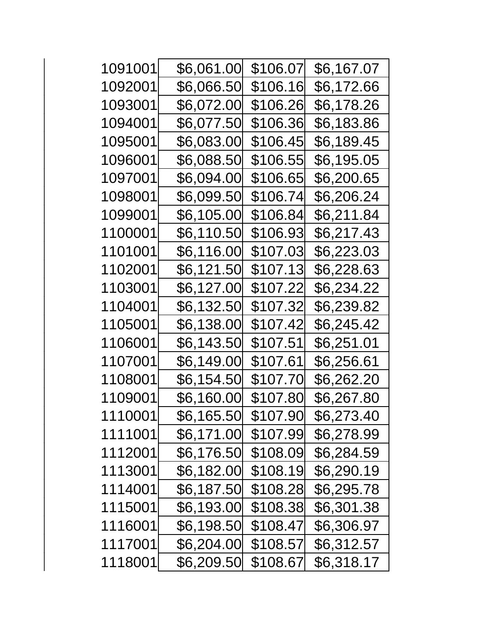| 1091001 | \$6,061.00        | \$106.07        | \$6,167.07        |
|---------|-------------------|-----------------|-------------------|
| 1092001 | \$6,066.50        | \$106.16        | \$6,172.66        |
| 1093001 | \$6,072.00        | \$106.26        | \$6,178.26        |
| 1094001 | \$6,077.50        | \$106.36        | \$6,183.86        |
| 1095001 | \$6,083.00        | \$106.45        | \$6,189.45        |
| 1096001 | \$6,088.50        | \$106.55        | \$6,195.05        |
| 1097001 | \$6,094.00        | <u>\$106.65</u> | \$6,200.65        |
| 1098001 | \$6,099.50        | <u>\$106.74</u> | \$6,206.24        |
| 1099001 | <u>\$6,105.00</u> | \$106.84        | \$6,211.84        |
| 1100001 | \$6,110.50        | \$106.93        | \$6,217.43        |
| 1101001 | <u>\$6,116.00</u> | \$107.03        | \$6,223.03        |
| 1102001 | \$6,121.50        | \$107.13        | \$6,228.63        |
| 1103001 | \$6,127.00        | \$107.22        | \$6,234.22        |
| 1104001 | \$6,132.50        | \$107.32        | \$6,239.82        |
| 1105001 | \$6,138.00        | \$107.42        | \$6,245.42        |
| 1106001 | \$6,143.50        | \$107.51        | <u>\$6,251.01</u> |
| 1107001 | \$6,149.00        | \$107.61        | \$6,256.61        |
| 1108001 | \$6,154.50        | \$107.70        | \$6,262.20        |
| 1109001 | <u>\$6,160.00</u> | \$107.80        | \$6,267.80        |
| 1110001 | \$6,165.50        | \$107.90        | \$6,273.40        |
| 1111001 | \$6,171.00        | \$107.99        | \$6,278.99        |
| 1112001 | \$6,176.50        | \$108.09        | \$6,284.59        |
| 1113001 | \$6,182.00        | \$108.19        | \$6,290.19        |
| 1114001 | \$6,187.50        | \$108.28        | \$6,295.78        |
| 1115001 | \$6,193.00        | \$108.38        | \$6,301.38        |
| 1116001 | \$6,198.50        | \$108.47        | \$6,306.97        |
| 1117001 | \$6,204.00        | \$108.57        | \$6,312.57        |
| 1118001 | \$6,209.50        | \$108.67        | \$6,318.17        |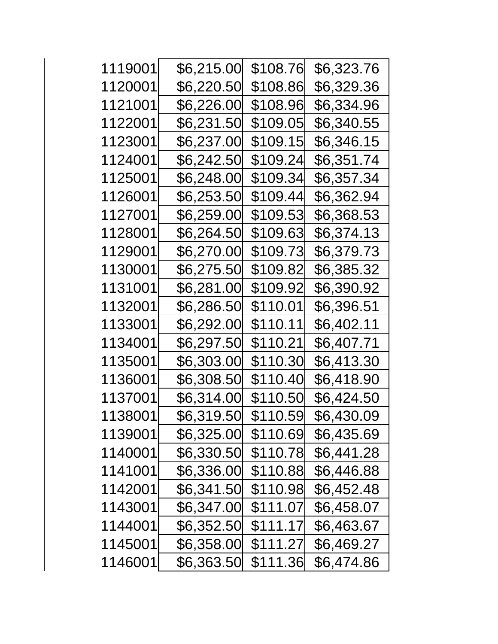| 1119001 | \$6,215.00        | \$108.76 | \$6,323.76        |
|---------|-------------------|----------|-------------------|
| 1120001 | \$6,220.50        | \$108.86 | \$6,329.36        |
| 1121001 | \$6,226.00        | \$108.96 | \$6,334.96        |
| 1122001 | \$6,231.50        | \$109.05 | \$6,340.55        |
| 1123001 | \$6,237.00        | \$109.15 | \$6,346.15        |
| 1124001 | \$6,242.50        | \$109.24 | \$6,351.74        |
| 1125001 | \$6,248.00        | \$109.34 | \$6,357.34        |
| 1126001 | \$6,253.50        | \$109.44 | \$6,362.94        |
| 1127001 | <b>\$6,259.00</b> | \$109.53 | \$6,368.53        |
| 1128001 | \$6,264.50        | \$109.63 | \$6,374.13        |
| 1129001 | \$6,270.00        | \$109.73 | \$6,379.73        |
| 1130001 | \$6,275.50        | \$109.82 | \$6,385.32        |
| 1131001 | \$6,281.00        | \$109.92 | \$6,390.92        |
| 1132001 | \$6,286.50        | \$110.01 | \$6,396.51        |
| 1133001 | \$6,292.00        | \$110.11 | <u>\$6,402.11</u> |
| 1134001 | \$6,297.50        | \$110.21 | \$6,407.71        |
| 1135001 | \$6,303.00        | \$110.30 | \$6,413.30        |
| 1136001 | \$6,308.50        | \$110.40 | \$6,418.90        |
| 1137001 | \$6,314.00        | \$110.50 | \$6,424.50        |
| 1138001 | \$6,319.50        | \$110.59 | \$6,430.09        |
| 1139001 | \$6,325.00        | \$110.69 | \$6,435.69        |
| 1140001 | \$6,330.50        | \$110.78 | \$6,441.28        |
| 1141001 | \$6,336.00        | \$110.88 | \$6,446.88        |
| 1142001 | \$6,341.50        | \$110.98 | \$6,452.48        |
| 1143001 | \$6,347.00        | \$111.07 | \$6,458.07        |
| 1144001 | \$6,352.50        | \$111.17 | \$6,463.67        |
| 1145001 | \$6,358.00        | \$111.27 | \$6,469.27        |
| 1146001 | \$6,363.50        | \$111.36 | \$6,474.86        |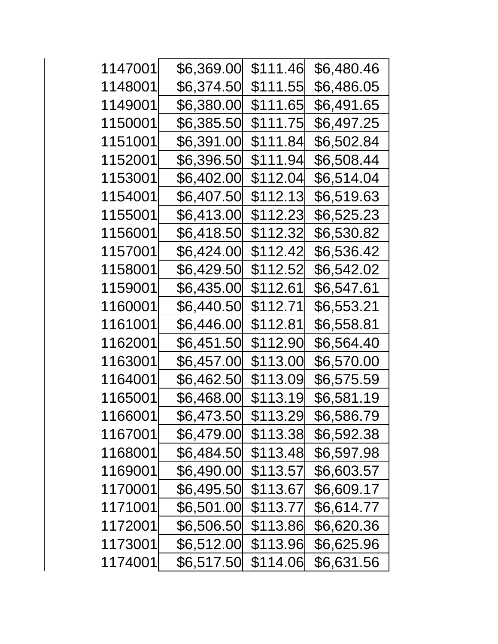| 1147001 | \$6,369.00 | \$111.46 | \$6,480.46        |
|---------|------------|----------|-------------------|
| 1148001 | \$6,374.50 | \$111.55 | \$6,486.05        |
| 1149001 | \$6,380.00 | \$111.65 | <u>\$6,491.65</u> |
| 1150001 | \$6,385.50 | \$111.75 | \$6,497.25        |
| 1151001 | \$6,391.00 | \$111.84 | \$6,502.84        |
| 1152001 | \$6,396.50 | \$111.94 | \$6,508.44        |
| 1153001 | \$6,402.00 | \$112.04 | \$6,514.04        |
| 1154001 | \$6,407.50 | \$112.13 | \$6,519.63        |
| 1155001 | \$6,413.00 | \$112.23 | \$6,525.23        |
| 1156001 | \$6,418.50 | \$112.32 | \$6,530.82        |
| 1157001 | \$6,424.00 | \$112.42 | \$6,536.42        |
| 1158001 | \$6,429.50 | \$112.52 | \$6,542.02        |
| 1159001 | \$6,435.00 | \$112.61 | \$6,547.61        |
| 1160001 | \$6,440.50 | \$112.71 | \$6,553.21        |
| 1161001 | \$6,446.00 | \$112.81 | \$6,558.81        |
| 1162001 | \$6,451.50 | \$112.90 | \$6,564.40        |
| 1163001 | \$6,457.00 | \$113.00 | \$6,570.00        |
| 1164001 | \$6,462.50 | \$113.09 | \$6,575.59        |
| 1165001 | \$6,468.00 | \$113.19 | \$6,581.19        |
| 1166001 | \$6,473.50 | \$113.29 | \$6,586.79        |
| 1167001 | \$6,479.00 | \$113.38 | \$6,592.38        |
| 1168001 | \$6,484.50 | \$113.48 | \$6,597.98        |
| 1169001 | \$6,490.00 | \$113.57 | \$6,603.57        |
| 1170001 | \$6,495.50 | \$113.67 | \$6,609.17        |
| 1171001 | \$6,501.00 | \$113.77 | \$6,614.77        |
| 1172001 | \$6,506.50 | \$113.86 | \$6,620.36        |
| 1173001 | \$6,512.00 | \$113.96 | \$6,625.96        |
| 1174001 | \$6,517.50 | \$114.06 | \$6,631.56        |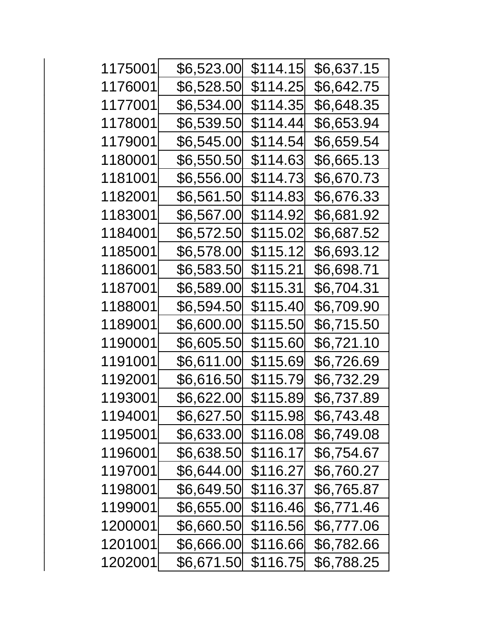| 1175001 | \$6,523.00 | \$114.15 | \$6,637.15 |
|---------|------------|----------|------------|
| 1176001 | \$6,528.50 | \$114.25 | \$6,642.75 |
| 1177001 | \$6,534.00 | \$114.35 | \$6,648.35 |
| 1178001 | \$6,539.50 | \$114.44 | \$6,653.94 |
| 1179001 | \$6,545.00 | \$114.54 | \$6,659.54 |
| 1180001 | \$6,550.50 | \$114.63 | \$6,665.13 |
| 1181001 | \$6,556.00 | \$114.73 | \$6,670.73 |
| 1182001 | \$6,561.50 | \$114.83 | \$6,676.33 |
| 1183001 | \$6,567.00 | \$114.92 | \$6,681.92 |
| 1184001 | \$6,572.50 | \$115.02 | \$6,687.52 |
| 1185001 | \$6,578.00 | \$115.12 | \$6,693.12 |
| 1186001 | \$6,583.50 | \$115.21 | \$6,698.71 |
| 1187001 | \$6,589.00 | \$115.31 | \$6,704.31 |
| 1188001 | \$6,594.50 | \$115.40 | \$6,709.90 |
| 1189001 | \$6,600.00 | \$115.50 | \$6,715.50 |
| 1190001 | \$6,605.50 | \$115.60 | \$6,721.10 |
| 1191001 | \$6,611.00 | \$115.69 | \$6,726.69 |
| 1192001 | \$6,616.50 | \$115.79 | \$6,732.29 |
| 1193001 | \$6,622.00 | \$115.89 | \$6,737.89 |
| 1194001 | \$6,627.50 | \$115.98 | \$6,743.48 |
| 1195001 | \$6,633.00 | \$116.08 | \$6,749.08 |
| 1196001 | \$6,638.50 | \$116.17 | \$6,754.67 |
| 1197001 | \$6,644.00 | \$116.27 | \$6,760.27 |
| 1198001 | \$6,649.50 | \$116.37 | \$6,765.87 |
| 1199001 | \$6,655.00 | \$116.46 | \$6,771.46 |
| 1200001 | \$6,660.50 | \$116.56 | \$6,777.06 |
| 1201001 | \$6,666.00 | \$116.66 | \$6,782.66 |
| 1202001 | \$6,671.50 | \$116.75 | \$6,788.25 |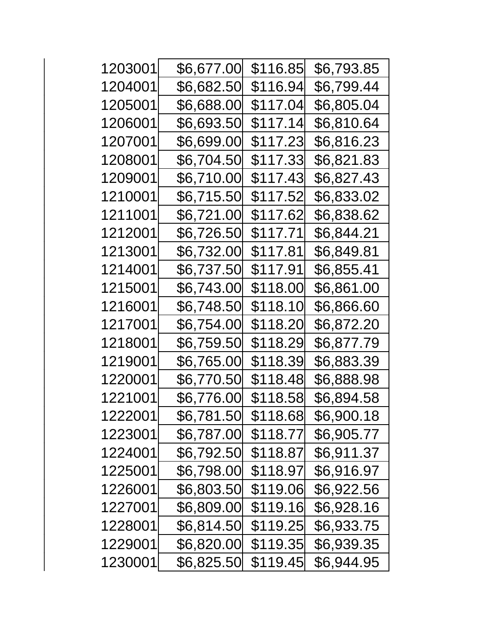| 1203001 | \$6,677.00 | \$116.85 | \$6,793.85         |
|---------|------------|----------|--------------------|
| 1204001 | \$6,682.50 | \$116.94 | \$6,799.44         |
| 1205001 | \$6,688.00 | \$117.04 | \$6,805.04         |
| 1206001 | \$6,693.50 | \$117.14 | \$6,810.64         |
| 1207001 | \$6,699.00 | \$117.23 | \$6,816.23         |
| 1208001 | \$6,704.50 | \$117.33 | \$6,821.83         |
| 1209001 | \$6,710.00 |          | \$6,827.43         |
| 1210001 | \$6,715.50 | \$117.52 | \$6,833.02         |
| 1211001 | \$6,721.00 | \$117.62 | \$6,838.62         |
| 1212001 | \$6,726.50 | \$117.71 | \$6,844.21         |
| 1213001 | \$6,732.00 | \$117.81 | \$6,849.81         |
| 1214001 | \$6,737.50 | \$117.91 | \$6,855.41         |
| 1215001 | \$6,743.00 | \$118.00 | <u>\$6,861.00</u>  |
| 1216001 | \$6,748.50 | \$118.10 | \$6,866.60         |
| 1217001 | \$6,754.00 | \$118.20 | \$6,872.20         |
| 1218001 | \$6,759.50 | \$118.29 | \$6,877.79         |
| 1219001 | \$6,765.00 | \$118.39 | \$6,88 <u>3.39</u> |
| 1220001 | \$6,770.50 | \$118.48 | \$6,888.98         |
| 1221001 | \$6,776.00 | \$118.58 | \$6,894.58         |
| 1222001 | \$6,781.50 | \$118.68 | \$6,900.18         |
| 1223001 | \$6,787.00 | \$118.77 | \$6,905.77         |
| 1224001 | \$6,792.50 | \$118.87 | \$6,911.37         |
| 1225001 | \$6,798.00 | \$118.97 | \$6,916.97         |
| 1226001 | \$6,803.50 | \$119.06 | \$6,922.56         |
| 1227001 | \$6,809.00 | \$119.16 | \$6,928.16         |
| 1228001 | \$6,814.50 | \$119.25 | \$6,933.75         |
| 1229001 | \$6,820.00 | \$119.35 | \$6,939.35         |
| 1230001 | \$6,825.50 | \$119.45 | \$6,944.95         |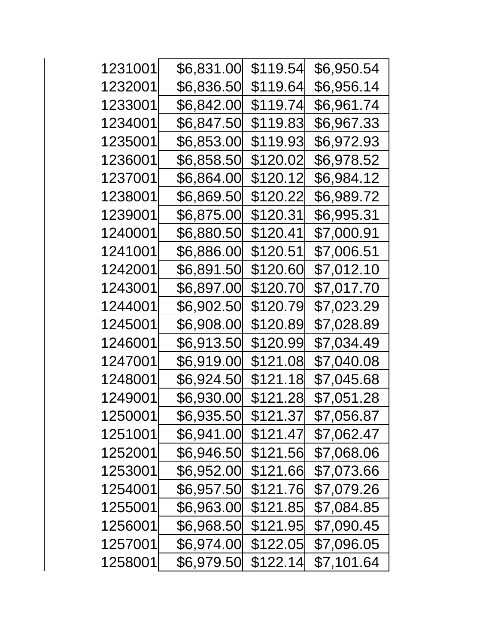| 1231001 | \$6,831.00 | \$119.54 | \$6,950.54 |
|---------|------------|----------|------------|
| 1232001 | \$6,836.50 | \$119.64 | \$6,956.14 |
| 1233001 | \$6,842.00 | \$119.74 | \$6,961.74 |
| 1234001 | \$6,847.50 | \$119.83 | \$6,967.33 |
| 1235001 | \$6,853.00 | \$119.93 | \$6,972.93 |
| 1236001 | \$6,858.50 | \$120.02 | \$6,978.52 |
| 1237001 | \$6,864.00 | \$120.12 | \$6,984.12 |
| 1238001 | \$6,869.50 | \$120.22 | \$6,989.72 |
| 1239001 | \$6,875.00 | \$120.31 | \$6,995.31 |
| 1240001 | \$6,880.50 | \$120.41 | \$7,000.91 |
| 1241001 | \$6,886.00 | \$120.51 | \$7,006.51 |
| 1242001 | \$6,891.50 | \$120.60 | \$7,012.10 |
| 1243001 | \$6,897.00 | \$120.70 | \$7,017.70 |
| 1244001 | \$6,902.50 | \$120.79 | \$7,023.29 |
| 1245001 | \$6,908.00 | \$120.89 | \$7,028.89 |
| 1246001 | \$6,913.50 | \$120.99 | \$7,034.49 |
| 1247001 | \$6,919.00 | \$121.08 | \$7,040.08 |
| 1248001 | \$6,924.50 | \$121.18 | \$7,045.68 |
| 1249001 | \$6,930.00 | \$121.28 | \$7,051.28 |
| 1250001 | \$6,935.50 | \$121.37 | \$7,056.87 |
| 1251001 | \$6,941.00 | \$121.47 | \$7,062.47 |
| 1252001 | \$6,946.50 | \$121.56 | \$7,068.06 |
| 1253001 | \$6,952.00 | \$121.66 | \$7,073.66 |
| 1254001 | \$6,957.50 | \$121.76 | \$7,079.26 |
| 1255001 | \$6,963.00 | \$121.85 | \$7,084.85 |
| 1256001 | \$6,968.50 | \$121.95 | \$7,090.45 |
| 1257001 | \$6,974.00 | \$122.05 | \$7,096.05 |
| 1258001 | \$6,979.50 | \$122.14 | \$7,101.64 |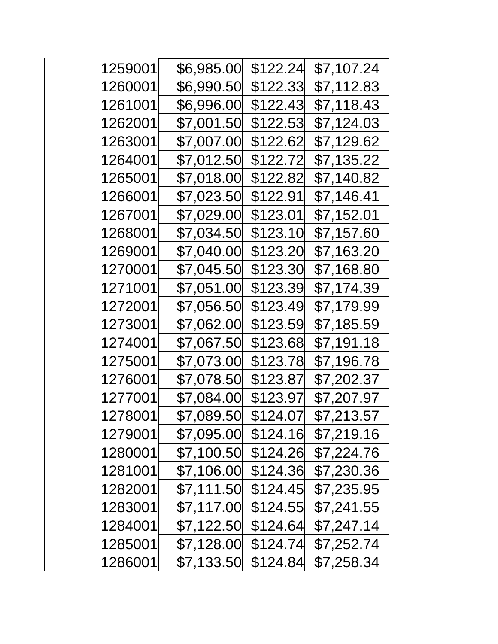| 1259001 | \$6,985.00  | \$122.24 | \$7,107.24 |
|---------|-------------|----------|------------|
| 1260001 | \$6,990.50  | \$122.33 | \$7,112.83 |
| 1261001 | \$6,996.00  | \$122.43 | \$7,118.43 |
| 1262001 | \$7,001.50  | \$122.53 | \$7,124.03 |
| 1263001 | \$7,007.00  | \$122.62 | \$7,129.62 |
| 1264001 | \$7,012.50  | \$122.72 | \$7,135.22 |
| 1265001 | \$7,018.00  | \$122.82 | \$7,140.82 |
| 1266001 | \$7,023.50  | \$122.91 | \$7,146.41 |
| 1267001 | \$7,029.00  | \$123.01 | \$7,152.01 |
| 1268001 | \$7,034.50  | \$123.10 | \$7,157.60 |
| 1269001 | \$7,040.00  | \$123.20 | \$7,163.20 |
| 1270001 | \$7,045.50  | \$123.30 | \$7,168.80 |
| 1271001 | \$7,051.00  | \$123.39 | \$7,174.39 |
| 1272001 | \$7,056.50  | \$123.49 | \$7,179.99 |
| 1273001 | \$7,062.00  | \$123.59 | \$7,185.59 |
| 1274001 | \$7,067.50  | \$123.68 | \$7,191.18 |
| 1275001 | \$7,073.00  | \$123.78 | \$7,196.78 |
| 1276001 | \$7,078.50  | \$123.87 | \$7,202.37 |
| 1277001 | \$7,084.00  | \$123.97 | \$7,207.97 |
| 1278001 | \$7,089.50  | \$124.07 | \$7,213.57 |
| 1279001 | \$7,095.00  | \$124.16 | \$7,219.16 |
| 1280001 | \$7,100.50  | \$124.26 | \$7,224.76 |
| 1281001 | \$7,106.00  | \$124.36 | \$7,230.36 |
| 1282001 | \$7,111.50  | \$124.45 | \$7,235.95 |
| 1283001 | \$7,117.00  | \$124.55 | \$7,241.55 |
| 1284001 | \$7,122.50  | \$124.64 | \$7,247.14 |
| 1285001 | \$7,128.00  | \$124.74 | \$7,252.74 |
| 1286001 | \$7,133.50∣ | \$124.84 | \$7,258.34 |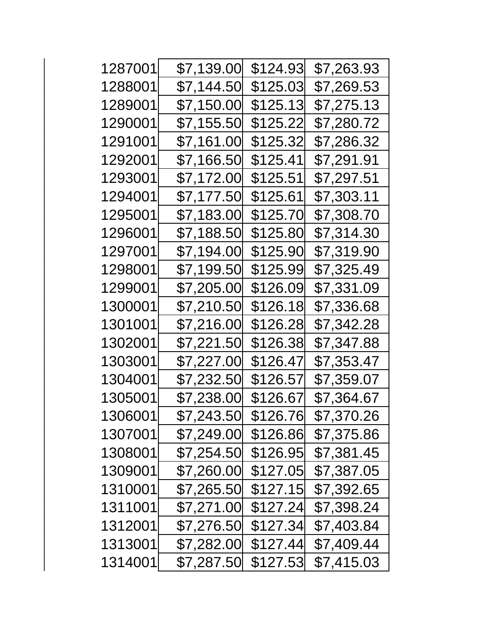| 1287001 | \$7,139.00  | \$124.93 | \$7,263.93 |
|---------|-------------|----------|------------|
| 1288001 | \$7,144.50  | \$125.03 | \$7,269.53 |
| 1289001 | \$7,150.00  | \$125.13 | \$7,275.13 |
| 1290001 | \$7,155.50  | \$125.22 | \$7,280.72 |
| 1291001 | \$7,161.00  | \$125.32 | \$7,286.32 |
| 1292001 | \$7,166.50  | \$125.41 | \$7,291.91 |
| 1293001 | \$7,172.00  | \$125.51 | \$7,297.51 |
| 1294001 | \$7,177.50  | \$125.61 | \$7,303.11 |
| 1295001 | \$7,183.00  | \$125.70 | \$7,308.70 |
| 1296001 | \$7,188.50  | \$125.80 | \$7,314.30 |
| 1297001 | \$7,194.00  | \$125.90 | \$7,319.90 |
| 1298001 | \$7,199.50  | \$125.99 | \$7,325.49 |
| 1299001 | \$7,205.00  | \$126.09 | \$7,331.09 |
| 1300001 | \$7,210.50  | \$126.18 | \$7,336.68 |
| 1301001 | \$7,216.00  | \$126.28 | \$7,342.28 |
| 1302001 | \$7,221.50  | \$126.38 | \$7,347.88 |
| 1303001 | \$7,227.00  | \$126.47 | \$7,353.47 |
| 1304001 | \$7,232.50  | \$126.57 | \$7,359.07 |
| 1305001 | \$7,238.00  | \$126.67 | \$7,364.67 |
| 1306001 | \$7,243.50  | \$126.76 | \$7,370.26 |
| 1307001 | \$7,249.00  | \$126.86 | \$7,375.86 |
| 1308001 | \$7,254.50  | \$126.95 | \$7,381.45 |
| 1309001 | \$7,260.00  | \$127.05 | \$7,387.05 |
| 1310001 | \$7,265.50  | \$127.15 | \$7,392.65 |
| 1311001 | \$7,271.00  | \$127.24 | \$7,398.24 |
| 1312001 | \$7,276.50  | \$127.34 | \$7,403.84 |
| 1313001 | \$7,282.00  | \$127.44 | \$7,409.44 |
| 1314001 | \$7,287.50∣ | \$127.53 | \$7,415.03 |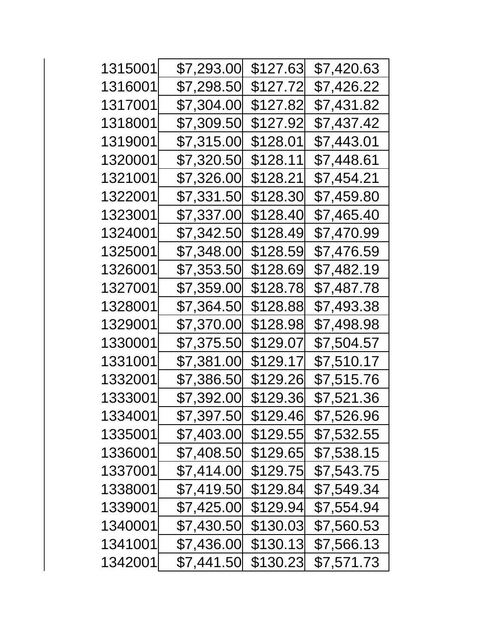| 1315001 | \$7,293.00 | \$127.63 | \$7,420.63 |
|---------|------------|----------|------------|
| 1316001 | \$7,298.50 | \$127.72 | \$7,426.22 |
| 1317001 | \$7,304.00 | \$127.82 | \$7,431.82 |
| 1318001 | \$7,309.50 | \$127.92 | \$7,437.42 |
| 1319001 | \$7,315.00 | \$128.01 | \$7,443.01 |
| 1320001 | \$7,320.50 | \$128.11 | \$7,448.61 |
| 1321001 | \$7,326.00 | \$128.21 | \$7,454.21 |
| 1322001 | \$7,331.50 | \$128.30 | \$7,459.80 |
| 1323001 | \$7,337.00 | \$128.40 | \$7,465.40 |
| 1324001 | \$7,342.50 | \$128.49 | \$7,470.99 |
| 1325001 | \$7,348.00 | \$128.59 | \$7,476.59 |
| 1326001 | \$7,353.50 | \$128.69 | \$7,482.19 |
| 1327001 | \$7,359.00 | \$128.78 | \$7,487.78 |
| 1328001 | \$7,364.50 | \$128.88 | \$7,493.38 |
| 1329001 | \$7,370.00 | \$128.98 | \$7,498.98 |
| 1330001 | \$7,375.50 | \$129.07 | \$7,504.57 |
| 1331001 | \$7,381.00 | \$129.17 | \$7,510.17 |
| 1332001 | \$7,386.50 | \$129.26 | \$7,515.76 |
| 1333001 | \$7,392.00 | \$129.36 | \$7,521.36 |
| 1334001 | \$7,397.50 | \$129.46 | \$7,526.96 |
| 1335001 | \$7,403.00 | \$129.55 | \$7,532.55 |
| 1336001 | \$7,408.50 | \$129.65 | \$7,538.15 |
| 1337001 | \$7,414.00 | \$129.75 | \$7,543.75 |
| 1338001 | \$7,419.50 | \$129.84 | \$7,549.34 |
| 1339001 | \$7,425.00 | \$129.94 | \$7,554.94 |
| 1340001 | \$7,430.50 | \$130.03 | \$7,560.53 |
| 1341001 | \$7,436.00 | \$130.13 | \$7,566.13 |
| 1342001 | \$7,441.50 | \$130.23 | \$7,571.73 |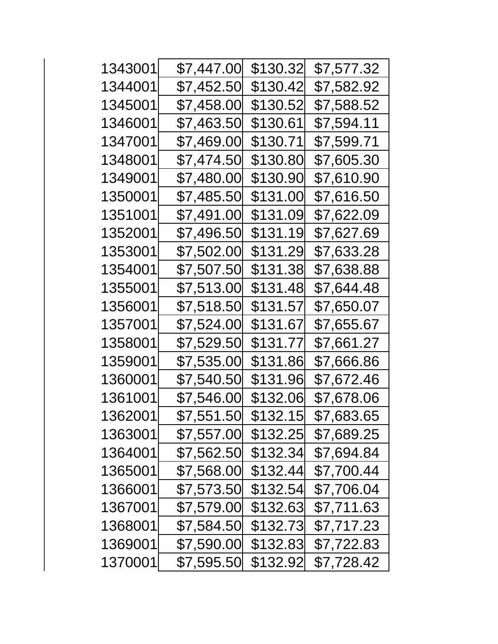| 1343001 | \$7,447.00 | \$130.32 | \$7,577.32        |
|---------|------------|----------|-------------------|
| 1344001 | \$7,452.50 | \$130.42 | \$7,582.92        |
| 1345001 | \$7,458.00 | \$130.52 | \$7,588.52        |
| 1346001 | \$7,463.50 | \$130.61 | \$7,594.11        |
| 1347001 | \$7,469.00 | \$130.71 | \$7,599.71        |
| 1348001 | \$7,474.50 | \$130.80 | \$7,605.30        |
| 1349001 | \$7,480.00 | \$130.90 | <b>\$7,610.90</b> |
| 1350001 | \$7,485.50 | \$131.00 | \$7,616.50        |
| 1351001 | \$7,491.00 | \$131.09 | \$7,622.09        |
| 1352001 | \$7,496.50 | \$131.19 | \$7,627.69        |
| 1353001 | \$7,502.00 | \$131.29 | \$7,633.28        |
| 1354001 | \$7,507.50 | \$131.38 | \$7,638.88        |
| 1355001 | \$7,513.00 | \$131.48 | \$7,644.48        |
| 1356001 | \$7,518.50 | \$131.57 | \$7,650.07        |
| 1357001 | \$7,524.00 | \$131.67 | \$7,655.67        |
| 1358001 | \$7,529.50 | \$131.77 | \$7,661.27        |
| 1359001 | \$7,535.00 | \$131.86 | \$7,666.86        |
| 1360001 | \$7,540.50 | \$131.96 | \$7,672.46        |
| 1361001 | \$7,546.00 | \$132.06 | \$7,678.06        |
| 1362001 | \$7,551.50 | \$132.15 | \$7,683.65        |
| 1363001 | \$7,557.00 | \$132.25 | \$7,689.25        |
| 1364001 | \$7,562.50 | \$132.34 | \$7,694.84        |
| 1365001 | \$7,568.00 | \$132.44 | \$7,700.44        |
| 1366001 | \$7,573.50 | \$132.54 | \$7,706.04        |
| 1367001 | \$7,579.00 | \$132.63 | \$7,711.63        |
| 1368001 | \$7,584.50 | \$132.73 | \$7,717.23        |
| 1369001 | \$7,590.00 | \$132.83 | \$7,722.83        |
| 1370001 | \$7,595.50 | \$132.92 | \$7,728.42        |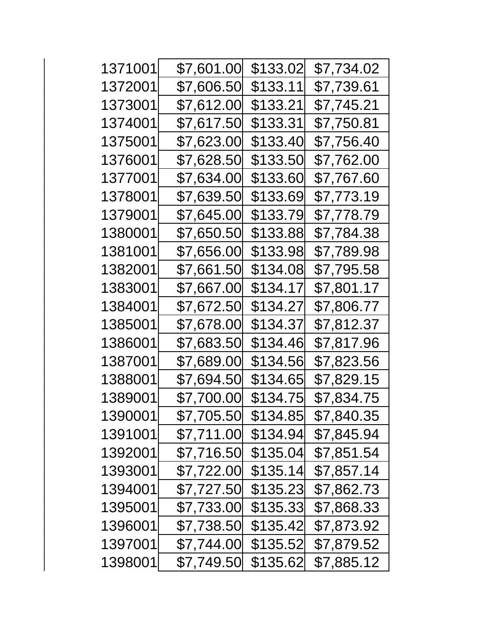| 1371001 | \$7,601.00 | \$133.02 | \$7,734.02 |
|---------|------------|----------|------------|
| 1372001 | \$7,606.50 | \$133.11 | \$7,739.61 |
| 1373001 | \$7,612.00 | \$133.21 | \$7,745.21 |
| 1374001 | \$7,617.50 | \$133.31 | \$7,750.81 |
| 1375001 | \$7,623.00 | \$133.40 | \$7,756.40 |
| 1376001 | \$7,628.50 | \$133.50 | \$7,762.00 |
| 1377001 | \$7,634.00 | \$133.60 | \$7,767.60 |
| 1378001 | \$7,639.50 | \$133.69 | \$7,773.19 |
| 1379001 | \$7,645.00 | \$133.79 | \$7,778.79 |
| 1380001 | \$7,650.50 | \$133.88 | \$7,784.38 |
| 1381001 | \$7,656.00 | \$133.98 | \$7,789.98 |
| 1382001 | \$7,661.50 | \$134.08 | \$7,795.58 |
| 1383001 | \$7,667.00 | \$134.17 | \$7,801.17 |
| 1384001 | \$7,672.50 | \$134.27 | \$7,806.77 |
| 1385001 | \$7,678.00 | \$134.37 | \$7,812.37 |
| 1386001 | \$7,683.50 | \$134.46 | \$7,817.96 |
| 1387001 | \$7,689.00 | \$134.56 | \$7,823.56 |
| 1388001 | \$7,694.50 | \$134.65 | \$7,829.15 |
| 1389001 | \$7,700.00 | \$134.75 | \$7,834.75 |
| 1390001 | \$7,705.50 | \$134.85 | \$7,840.35 |
| 1391001 | \$7,711.00 | \$134.94 | \$7,845.94 |
| 1392001 | \$7,716.50 | \$135.04 | \$7,851.54 |
| 1393001 | \$7,722.00 | \$135.14 | \$7,857.14 |
| 1394001 | \$7,727.50 | \$135.23 | \$7,862.73 |
| 1395001 | \$7,733.00 | \$135.33 | \$7,868.33 |
| 1396001 | \$7,738.50 | \$135.42 | \$7,873.92 |
| 1397001 | \$7,744.00 | \$135.52 | \$7,879.52 |
| 1398001 | \$7,749.50 | \$135.62 | \$7,885.12 |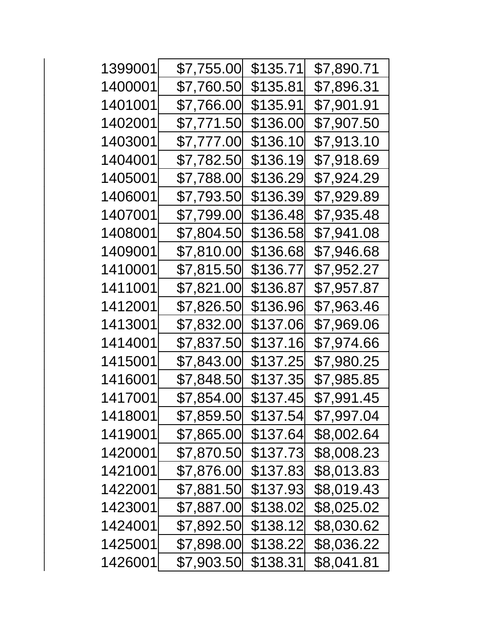| 1399001 | \$7,755.00 | \$135.71 | \$7,890.71 |
|---------|------------|----------|------------|
| 1400001 | \$7,760.50 | \$135.81 | \$7,896.31 |
| 1401001 | \$7,766.00 | \$135.91 | \$7,901.91 |
| 1402001 | \$7,771.50 | \$136.00 | \$7,907.50 |
| 1403001 | \$7,777.00 | \$136.10 | \$7,913.10 |
| 1404001 | \$7,782.50 | \$136.19 | \$7,918.69 |
| 1405001 | \$7,788.00 | \$136.29 | \$7,924.29 |
| 1406001 | \$7,793.50 | \$136.39 | \$7,929.89 |
| 1407001 | \$7,799.00 | \$136.48 | \$7,935.48 |
| 1408001 | \$7,804.50 | \$136.58 | \$7,941.08 |
| 1409001 | \$7,810.00 | \$136.68 | \$7,946.68 |
| 1410001 | \$7,815.50 | \$136.77 | \$7,952.27 |
| 1411001 | \$7,821.00 | \$136.87 | \$7,957.87 |
| 1412001 | \$7,826.50 | \$136.96 | \$7,963.46 |
| 1413001 | \$7,832.00 | \$137.06 | \$7,969.06 |
| 1414001 | \$7,837.50 | \$137.16 | \$7,974.66 |
| 1415001 | \$7,843.00 | \$137.25 | \$7,980.25 |
| 1416001 | \$7,848.50 | \$137.35 | \$7,985.85 |
| 1417001 | \$7,854.00 | \$137.45 | \$7,991.45 |
| 1418001 | \$7,859.50 | \$137.54 | \$7,997.04 |
| 1419001 | \$7,865.00 | \$137.64 | \$8,002.64 |
| 1420001 | \$7,870.50 | \$137.73 | \$8,008.23 |
| 1421001 | \$7,876.00 | \$137.83 | \$8,013.83 |
| 1422001 | \$7,881.50 | \$137.93 | \$8,019.43 |
| 1423001 | \$7,887.00 | \$138.02 | \$8,025.02 |
| 1424001 | \$7,892.50 | \$138.12 | \$8,030.62 |
| 1425001 | \$7,898.00 | \$138.22 | \$8,036.22 |
| 1426001 | \$7,903.50 | \$138.31 | \$8,041.81 |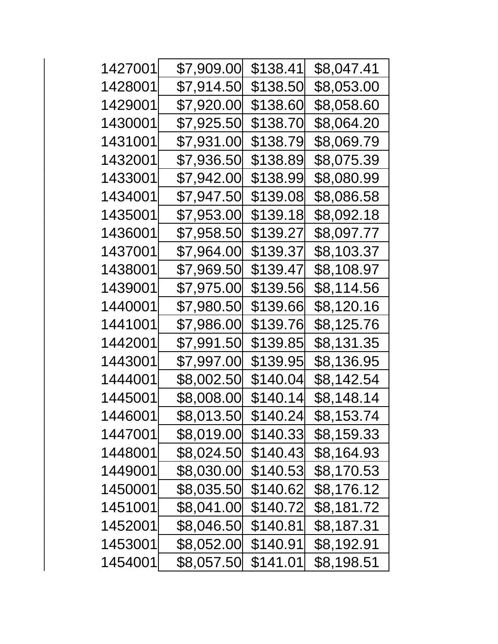| 1427001 | \$7,909.00 | \$138.41 | \$8,047.41 |
|---------|------------|----------|------------|
| 1428001 | \$7,914.50 | \$138.50 | \$8,053.00 |
| 1429001 | \$7,920.00 | \$138.60 | \$8,058.60 |
| 1430001 | \$7,925.50 | \$138.70 | \$8,064.20 |
| 1431001 | \$7,931.00 | \$138.79 | \$8,069.79 |
| 1432001 | \$7,936.50 | \$138.89 | \$8,075.39 |
| 1433001 | \$7,942.00 | \$138.99 | \$8,080.99 |
| 1434001 | \$7,947.50 | \$139.08 | \$8,086.58 |
| 1435001 | \$7,953.00 | \$139.18 | \$8,092.18 |
| 1436001 | \$7,958.50 | \$139.27 | \$8,097.77 |
| 1437001 | \$7,964.00 | \$139.37 | \$8,103.37 |
| 1438001 | \$7,969.50 | \$139.47 | \$8,108.97 |
| 1439001 | \$7,975.00 | \$139.56 | \$8,114.56 |
| 1440001 | \$7,980.50 | \$139.66 | \$8,120.16 |
| 1441001 | \$7,986.00 | \$139.76 | \$8,125.76 |
| 1442001 | \$7,991.50 | \$139.85 | \$8,131.35 |
| 1443001 | \$7,997.00 | \$139.95 | \$8,136.95 |
| 1444001 | \$8,002.50 | \$140.04 | \$8,142.54 |
| 1445001 | \$8,008.00 | \$140.14 | \$8,148.14 |
| 1446001 | \$8,013.50 | \$140.24 | \$8,153.74 |
| 1447001 | \$8,019.00 | \$140.33 | \$8,159.33 |
| 1448001 | \$8,024.50 | \$140.43 | \$8,164.93 |
| 1449001 | \$8,030.00 | \$140.53 | \$8,170.53 |
| 1450001 | \$8,035.50 | \$140.62 | \$8,176.12 |
| 1451001 | \$8,041.00 | \$140.72 | \$8,181.72 |
| 1452001 | \$8,046.50 | \$140.81 | \$8,187.31 |
| 1453001 | \$8,052.00 | \$140.91 | \$8,192.91 |
| 1454001 | \$8,057.50 | \$141.01 | \$8,198.51 |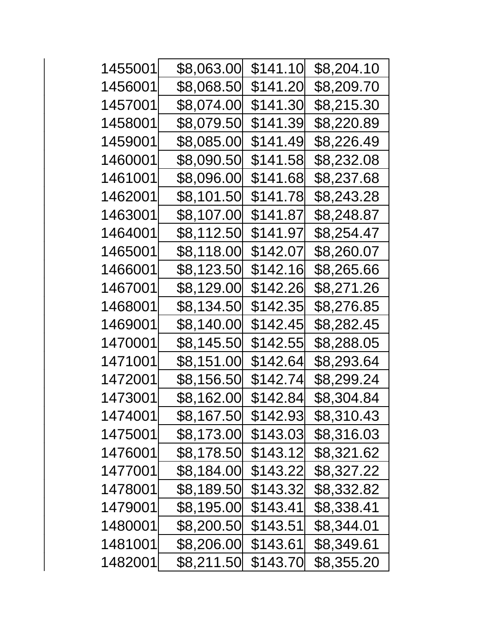| 1455001 | \$8,063.00 | \$141.10 | \$8,204.10         |
|---------|------------|----------|--------------------|
| 1456001 | \$8,068.50 | \$141.20 | \$8,209.70         |
| 1457001 | \$8,074.00 | \$141.30 | \$8,215.30         |
| 1458001 | \$8,079.50 | \$141.39 | \$8,220.89         |
| 1459001 | \$8,085.00 | \$141.49 | \$8,226.49         |
| 1460001 | \$8,090.50 | \$141.58 | \$8,232.08         |
| 1461001 | \$8,096.00 | \$141.68 | \$8,237.68         |
| 1462001 | \$8,101.50 | \$141.78 | \$8,243.28         |
| 1463001 | \$8,107.00 | \$141.87 | \$8,248.87         |
| 1464001 | \$8,112.50 | \$141.97 | \$8,254.47         |
| 1465001 | \$8,118.00 | \$142.07 | \$8,260.07         |
| 1466001 | \$8,123.50 | \$142.16 | \$8,265.66         |
| 1467001 | \$8,129.00 | \$142.26 | \$8,271.26         |
| 1468001 | \$8,134.50 | \$142.35 | \$8,276.85         |
| 1469001 | \$8,140.00 | \$142.45 | \$8,282.45         |
| 1470001 | \$8,145.50 | \$142.55 | \$8,288. <u>05</u> |
| 1471001 | \$8,151.00 | \$142.64 | \$8,293.64         |
| 1472001 | \$8,156.50 | \$142.74 | \$8,299.24         |
| 1473001 | \$8,162.00 | \$142.84 | \$8,304.84         |
| 1474001 | \$8,167.50 | \$142.93 | \$8,310.43         |
| 1475001 | \$8,173.00 | \$143.03 | \$8,316.03         |
| 1476001 | \$8,178.50 | \$143.12 | \$8,321.62         |
| 1477001 | \$8,184.00 | \$143.22 | \$8,327.22         |
| 1478001 | \$8,189.50 | \$143.32 | \$8,332.82         |
| 1479001 | \$8,195.00 | \$143.41 | \$8,338.41         |
| 1480001 | \$8,200.50 | \$143.51 | \$8,344.01         |
| 1481001 | \$8,206.00 | \$143.61 | \$8,349.61         |
| 1482001 | \$8,211.50 | \$143.70 | \$8,355.20         |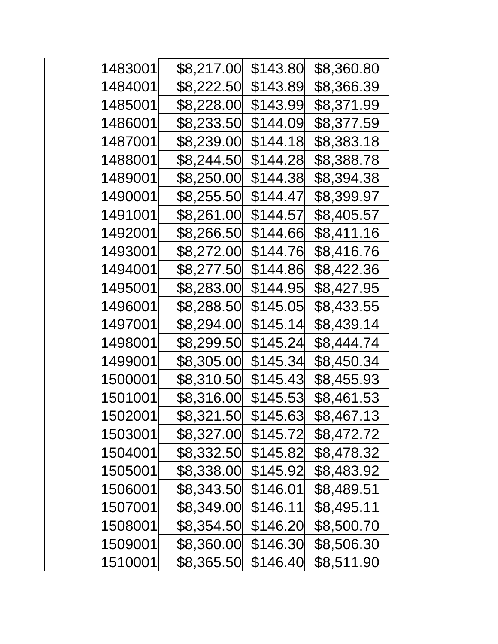| 1483001 | \$8,217.00 | \$143.80 | \$8,360.80 |
|---------|------------|----------|------------|
| 1484001 | \$8,222.50 | \$143.89 | \$8,366.39 |
| 1485001 | \$8,228.00 | \$143.99 | \$8,371.99 |
| 1486001 | \$8,233.50 | \$144.09 | \$8,377.59 |
| 1487001 | \$8,239.00 | \$144.18 | \$8,383.18 |
| 1488001 | \$8,244.50 | \$144.28 | \$8,388.78 |
| 1489001 | \$8,250.00 | \$144.38 | \$8,394.38 |
| 1490001 | \$8,255.50 | \$144.47 | \$8,399.97 |
| 1491001 | \$8,261.00 | \$144.57 | \$8,405.57 |
| 1492001 | \$8,266.50 | \$144.66 | \$8,411.16 |
| 1493001 | \$8,272.00 | \$144.76 | \$8,416.76 |
| 1494001 | \$8,277.50 | \$144.86 | \$8,422.36 |
| 1495001 | \$8,283.00 | \$144.95 | \$8,427.95 |
| 1496001 | \$8,288.50 | \$145.05 | \$8,433.55 |
| 1497001 | \$8,294.00 | \$145.14 | \$8,439.14 |
| 1498001 | \$8,299.50 | \$145.24 | \$8,444.74 |
| 1499001 | \$8,305.00 | \$145.34 | \$8,450.34 |
| 1500001 | \$8,310.50 | \$145.43 | \$8,455.93 |
| 1501001 | \$8,316.00 | \$145.53 | \$8,461.53 |
| 1502001 | \$8,321.50 | \$145.63 | \$8,467.13 |
| 1503001 | \$8,327.00 | \$145.72 | \$8,472.72 |
| 1504001 | \$8,332.50 | \$145.82 | \$8,478.32 |
| 1505001 | \$8,338.00 | \$145.92 | \$8,483.92 |
| 1506001 | \$8,343.50 | \$146.01 | \$8,489.51 |
| 1507001 | \$8,349.00 | \$146.11 | \$8,495.11 |
| 1508001 | \$8,354.50 | \$146.20 | \$8,500.70 |
| 1509001 | \$8,360.00 | \$146.30 | \$8,506.30 |
| 1510001 | \$8,365.50 | \$146.40 | \$8,511.90 |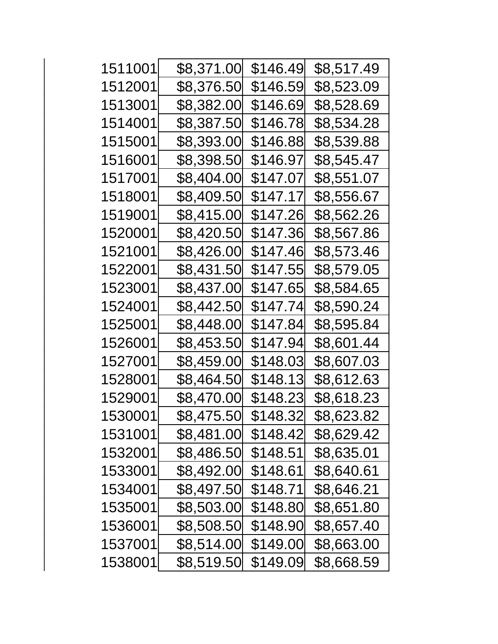| 1511001 | \$8,371.00 | \$146.49 | \$8,517.49 |
|---------|------------|----------|------------|
| 1512001 | \$8,376.50 | \$146.59 | \$8,523.09 |
| 1513001 | \$8,382.00 | \$146.69 | \$8,528.69 |
| 1514001 | \$8,387.50 | \$146.78 | \$8,534.28 |
| 1515001 | \$8,393.00 | \$146.88 | \$8,539.88 |
| 1516001 | \$8,398.50 | \$146.97 | \$8,545.47 |
| 1517001 | \$8,404.00 | \$147.07 | \$8,551.07 |
| 1518001 | \$8,409.50 | \$147.17 | \$8,556.67 |
| 1519001 | \$8,415.00 | \$147.26 | \$8,562.26 |
| 1520001 | \$8,420.50 | \$147.36 | \$8,567.86 |
| 1521001 | \$8,426.00 | \$147.46 | \$8,573.46 |
| 1522001 | \$8,431.50 | \$147.55 | \$8,579.05 |
| 1523001 | \$8,437.00 | \$147.65 | \$8,584.65 |
| 1524001 | \$8,442.50 | \$147.74 | \$8,590.24 |
| 1525001 | \$8,448.00 | \$147.84 | \$8,595.84 |
| 1526001 | \$8,453.50 | \$147.94 | \$8,601.44 |
| 1527001 | \$8,459.00 | \$148.03 | \$8,607.03 |
| 1528001 | \$8,464.50 | \$148.13 | \$8,612.63 |
| 1529001 | \$8,470.00 | \$148.23 | \$8,618.23 |
| 1530001 | \$8,475.50 | \$148.32 | \$8,623.82 |
| 1531001 | \$8,481.00 | \$148.42 | \$8,629.42 |
| 1532001 | \$8,486.50 | \$148.51 | \$8,635.01 |
| 1533001 | \$8,492.00 | \$148.61 | \$8,640.61 |
| 1534001 | \$8,497.50 | \$148.71 | \$8,646.21 |
| 1535001 | \$8,503.00 | \$148.80 | \$8,651.80 |
| 1536001 | \$8,508.50 | \$148.90 | \$8,657.40 |
| 1537001 | \$8,514.00 | \$149.00 | \$8,663.00 |
| 1538001 | \$8,519.50 | \$149.09 | \$8,668.59 |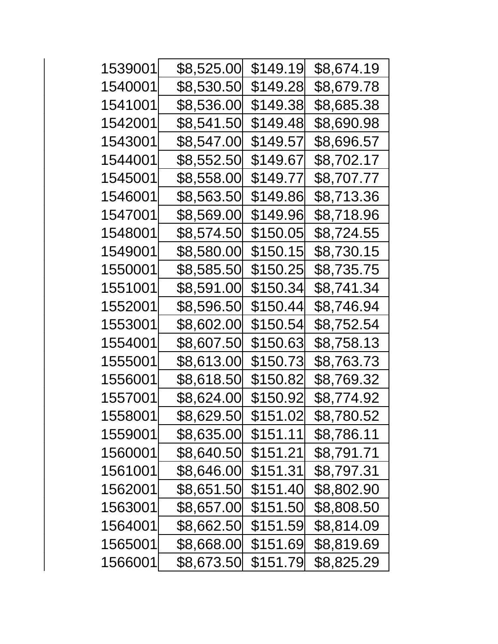| 1539001 | \$8,525.00 | \$149.19 | \$8,674.19 |
|---------|------------|----------|------------|
| 1540001 | \$8,530.50 | \$149.28 | \$8,679.78 |
| 1541001 | \$8,536.00 | \$149.38 | \$8,685.38 |
| 1542001 | \$8,541.50 | \$149.48 | \$8,690.98 |
| 1543001 | \$8,547.00 | \$149.57 | \$8,696.57 |
| 1544001 | \$8,552.50 | \$149.67 | \$8,702.17 |
| 1545001 | \$8,558.00 | \$149.77 | \$8,707.77 |
| 1546001 | \$8,563.50 | \$149.86 | \$8,713.36 |
| 1547001 | \$8,569.00 | \$149.96 | \$8,718.96 |
| 1548001 | \$8,574.50 | \$150.05 | \$8,724.55 |
| 1549001 | \$8,580.00 | \$150.15 | \$8,730.15 |
| 1550001 | \$8,585.50 | \$150.25 | \$8,735.75 |
| 1551001 | \$8,591.00 | \$150.34 | \$8,741.34 |
| 1552001 | \$8,596.50 | \$150.44 | \$8,746.94 |
| 1553001 | \$8,602.00 | \$150.54 | \$8,752.54 |
| 1554001 | \$8,607.50 | \$150.63 | \$8,758.13 |
| 1555001 | \$8,613.00 | \$150.73 | \$8,763.73 |
| 1556001 | \$8,618.50 | \$150.82 | \$8,769.32 |
| 1557001 | \$8,624.00 | \$150.92 | \$8,774.92 |
| 1558001 | \$8,629.50 | \$151.02 | \$8,780.52 |
| 1559001 | \$8,635.00 | \$151.11 | \$8,786.11 |
| 1560001 | \$8,640.50 | \$151.21 | \$8,791.71 |
| 1561001 | \$8,646.00 | \$151.31 | \$8,797.31 |
| 1562001 | \$8,651.50 | \$151.40 | \$8,802.90 |
| 1563001 | \$8,657.00 | \$151.50 | \$8,808.50 |
| 1564001 | \$8,662.50 | \$151.59 | \$8,814.09 |
| 1565001 | \$8,668.00 | \$151.69 | \$8,819.69 |
| 1566001 | \$8,673.50 | \$151.79 | \$8,825.29 |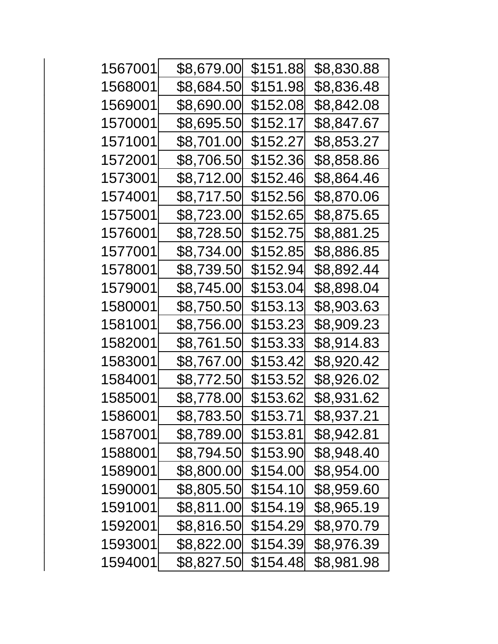| 1567001 | \$8,679.00 | \$151.88 | \$8,830.88 |
|---------|------------|----------|------------|
| 1568001 | \$8,684.50 | \$151.98 | \$8,836.48 |
| 1569001 | \$8,690.00 | \$152.08 | \$8,842.08 |
| 1570001 | \$8,695.50 | \$152.17 | \$8,847.67 |
| 1571001 | \$8,701.00 | \$152.27 | \$8,853.27 |
| 1572001 | \$8,706.50 | \$152.36 | \$8,858.86 |
| 1573001 | \$8,712.00 | \$152.46 | \$8,864.46 |
| 1574001 | \$8,717.50 | \$152.56 | \$8,870.06 |
| 1575001 | \$8,723.00 | \$152.65 | \$8,875.65 |
| 1576001 | \$8,728.50 | \$152.75 | \$8,881.25 |
| 1577001 | \$8,734.00 | \$152.85 | \$8,886.85 |
| 1578001 | \$8,739.50 | \$152.94 | \$8,892.44 |
| 1579001 | \$8,745.00 | \$153.04 | \$8,898.04 |
| 1580001 | \$8,750.50 | \$153.13 | \$8,903.63 |
| 1581001 | \$8,756.00 | \$153.23 | \$8,909.23 |
| 1582001 | \$8,761.50 | \$153.33 | \$8,914.83 |
| 1583001 | \$8,767.00 | \$153.42 | \$8,920.42 |
| 1584001 | \$8,772.50 | \$153.52 | \$8,926.02 |
| 1585001 | \$8,778.00 | \$153.62 | \$8,931.62 |
| 1586001 | \$8,783.50 | \$153.71 | \$8,937.21 |
| 1587001 | \$8,789.00 | \$153.81 | \$8,942.81 |
| 1588001 | \$8,794.50 | \$153.90 | \$8,948.40 |
| 1589001 | \$8,800.00 | \$154.00 | \$8,954.00 |
| 1590001 | \$8,805.50 | \$154.10 | \$8,959.60 |
| 1591001 | \$8,811.00 | \$154.19 | \$8,965.19 |
| 1592001 | \$8,816.50 | \$154.29 | \$8,970.79 |
| 1593001 | \$8,822.00 | \$154.39 | \$8,976.39 |
| 1594001 | \$8,827.50 | \$154.48 | \$8,981.98 |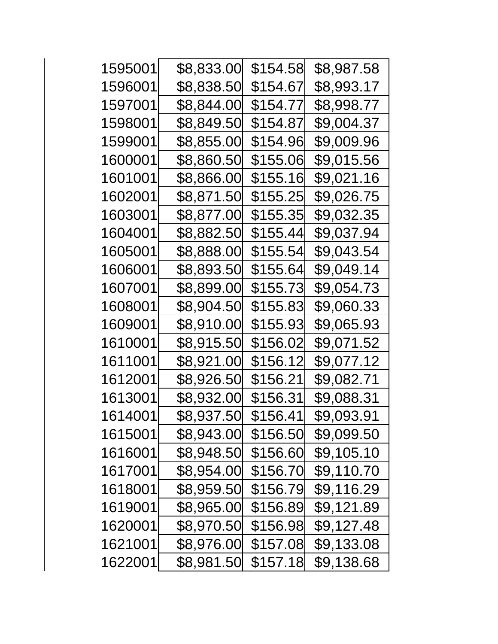| 1595001 | \$8,833.00  | \$154.58 | \$8,987.58 |
|---------|-------------|----------|------------|
| 1596001 | \$8,838.50  | \$154.67 | \$8,993.17 |
| 1597001 | \$8,844.00  | \$154.77 | \$8,998.77 |
| 1598001 | \$8,849.50  | \$154.87 | \$9,004.37 |
| 1599001 | \$8,855.00  | \$154.96 | \$9,009.96 |
| 1600001 | \$8,860.50  | \$155.06 | \$9,015.56 |
| 1601001 | \$8,866.00  | \$155.16 | \$9,021.16 |
| 1602001 | \$8,871.50  | \$155.25 | \$9,026.75 |
| 1603001 | \$8,877.00  | \$155.35 | \$9,032.35 |
| 1604001 | \$8,882.50  | \$155.44 | \$9,037.94 |
| 1605001 | \$8,888.00  | \$155.54 | \$9,043.54 |
| 1606001 | \$8,893.50  | \$155.64 | \$9,049.14 |
| 1607001 | \$8,899.00  | \$155.73 | \$9,054.73 |
| 1608001 | \$8,904.50  | \$155.83 | \$9,060.33 |
| 1609001 | \$8,910.00  | \$155.93 | \$9,065.93 |
| 1610001 | \$8,915.50  | \$156.02 | \$9,071.52 |
| 1611001 | \$8,921.00  | \$156.12 | \$9,077.12 |
| 1612001 | \$8,926.50  | \$156.21 | \$9,082.71 |
| 1613001 | \$8,932.00  | \$156.31 | \$9,088.31 |
| 1614001 | \$8,937.50  | \$156.41 | \$9,093.91 |
| 1615001 | \$8,943.00  | \$156.50 | \$9,099.50 |
| 1616001 | \$8,948.50  | \$156.60 | \$9,105.10 |
| 1617001 | \$8,954.00  | \$156.70 | \$9,110.70 |
| 1618001 | \$8,959.50  | \$156.79 | \$9,116.29 |
| 1619001 | \$8,965.00  | \$156.89 | \$9,121.89 |
| 1620001 | \$8,970.50  | \$156.98 | \$9,127.48 |
| 1621001 | \$8,976.00  | \$157.08 | \$9,133.08 |
| 1622001 | \$8,981.50∣ | \$157.18 | \$9,138.68 |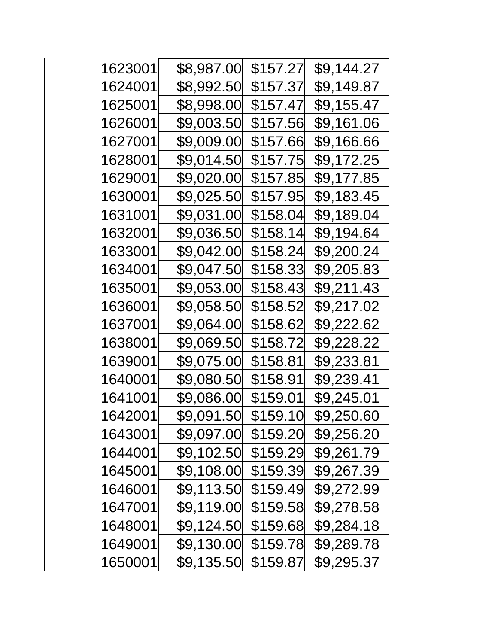| 1623001 | \$8,987.00 | \$157.27 | \$9,144.27 |
|---------|------------|----------|------------|
| 1624001 | \$8,992.50 | \$157.37 | \$9,149.87 |
| 1625001 | \$8,998.00 | \$157.47 | \$9,155.47 |
| 1626001 | \$9,003.50 | \$157.56 | \$9,161.06 |
| 1627001 | \$9,009.00 | \$157.66 | \$9,166.66 |
| 1628001 | \$9,014.50 | \$157.75 | \$9,172.25 |
| 1629001 | \$9,020.00 | \$157.85 | \$9,177.85 |
| 1630001 | \$9,025.50 | \$157.95 | \$9,183.45 |
| 1631001 | \$9,031.00 | \$158.04 | \$9,189.04 |
| 1632001 | \$9,036.50 | \$158.14 | \$9,194.64 |
| 1633001 | \$9,042.00 | \$158.24 | \$9,200.24 |
| 1634001 | \$9,047.50 | \$158.33 | \$9,205.83 |
| 1635001 | \$9,053.00 | \$158.43 | \$9,211.43 |
| 1636001 | \$9,058.50 | \$158.52 | \$9,217.02 |
| 1637001 | \$9,064.00 | \$158.62 | \$9,222.62 |
| 1638001 | \$9,069.50 | \$158.72 | \$9,228.22 |
| 1639001 | \$9,075.00 | \$158.81 | \$9,233.81 |
| 1640001 | \$9,080.50 | \$158.91 | \$9,239.41 |
| 1641001 | \$9,086.00 | \$159.01 | \$9,245.01 |
| 1642001 | \$9,091.50 | \$159.10 | \$9,250.60 |
| 1643001 | \$9,097.00 | \$159.20 | \$9,256.20 |
| 1644001 | \$9,102.50 | \$159.29 | \$9,261.79 |
| 1645001 | \$9,108.00 | \$159.39 | \$9,267.39 |
| 1646001 | \$9,113.50 | \$159.49 | \$9,272.99 |
| 1647001 | \$9,119.00 | \$159.58 | \$9,278.58 |
| 1648001 | \$9,124.50 | \$159.68 | \$9,284.18 |
| 1649001 | \$9,130.00 | \$159.78 | \$9,289.78 |
| 1650001 | \$9,135.50 | \$159.87 | \$9,295.37 |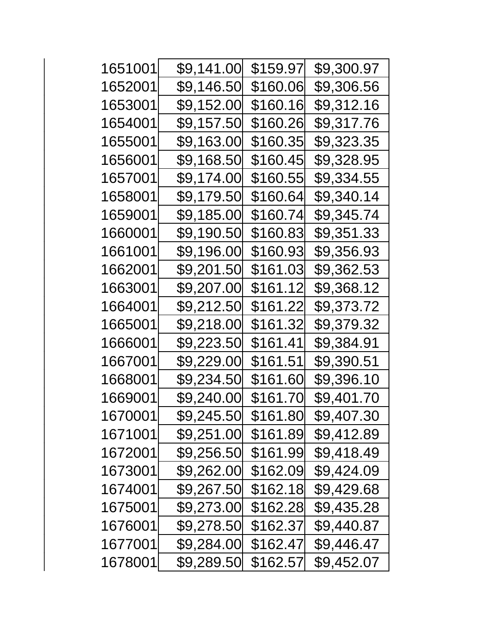| 1651001 | \$9,141.00 | \$159.97 | \$9,300.97 |
|---------|------------|----------|------------|
| 1652001 | \$9,146.50 | \$160.06 | \$9,306.56 |
| 1653001 | \$9,152.00 | \$160.16 | \$9,312.16 |
| 1654001 | \$9,157.50 | \$160.26 | \$9,317.76 |
| 1655001 | \$9,163.00 | \$160.35 | \$9,323.35 |
| 1656001 | \$9,168.50 | \$160.45 | \$9,328.95 |
| 1657001 | \$9,174.00 | \$160.55 | \$9,334.55 |
| 1658001 | \$9,179.50 | \$160.64 | \$9,340.14 |
| 1659001 | \$9,185.00 | \$160.74 | \$9,345.74 |
| 1660001 | \$9,190.50 | \$160.83 | \$9,351.33 |
| 1661001 | \$9,196.00 | \$160.93 | \$9,356.93 |
| 1662001 | \$9,201.50 | \$161.03 | \$9,362.53 |
| 1663001 | \$9,207.00 | \$161.12 | \$9,368.12 |
| 1664001 | \$9,212.50 | \$161.22 | \$9,373.72 |
| 1665001 | \$9,218.00 | \$161.32 | \$9,379.32 |
| 1666001 | \$9,223.50 | \$161.41 | \$9,384.91 |
| 1667001 | \$9,229.00 | \$161.51 | \$9,390.51 |
| 1668001 | \$9,234.50 | \$161.60 | \$9,396.10 |
| 1669001 | \$9,240.00 | \$161.70 | \$9,401.70 |
| 1670001 | \$9,245.50 | \$161.80 | \$9,407.30 |
| 1671001 | \$9,251.00 | \$161.89 | \$9,412.89 |
| 1672001 | \$9,256.50 | \$161.99 | \$9,418.49 |
| 1673001 | \$9,262.00 | \$162.09 | \$9,424.09 |
| 1674001 | \$9,267.50 | \$162.18 | \$9,429.68 |
| 1675001 | \$9,273.00 | \$162.28 | \$9,435.28 |
| 1676001 | \$9,278.50 | \$162.37 | \$9,440.87 |
| 1677001 | \$9,284.00 | \$162.47 | \$9,446.47 |
| 1678001 | \$9,289.50 | \$162.57 | \$9,452.07 |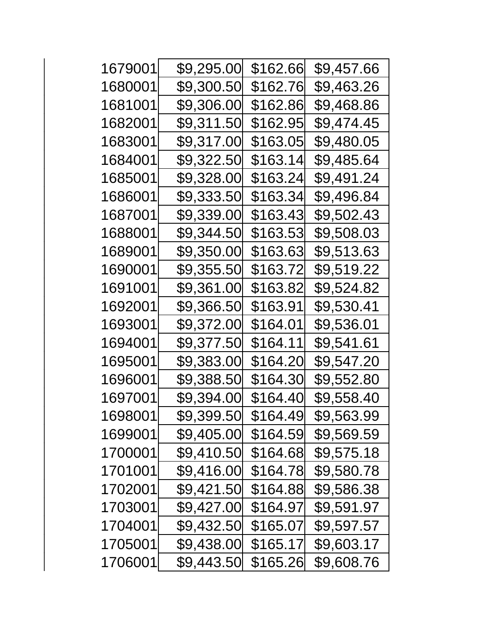| 1679001 | \$9,295.00 | \$162.66 | \$9,457.66 |
|---------|------------|----------|------------|
| 1680001 | \$9,300.50 | \$162.76 | \$9,463.26 |
| 1681001 | \$9,306.00 | \$162.86 | \$9,468.86 |
| 1682001 | \$9,311.50 | \$162.95 | \$9,474.45 |
| 1683001 | \$9,317.00 | \$163.05 | \$9,480.05 |
| 1684001 | \$9,322.50 | \$163.14 | \$9,485.64 |
| 1685001 | \$9,328.00 | \$163.24 | \$9,491.24 |
| 1686001 | \$9,333.50 | \$163.34 | \$9,496.84 |
| 1687001 | \$9,339.00 | \$163.43 | \$9,502.43 |
| 1688001 | \$9,344.50 | \$163.53 | \$9,508.03 |
| 1689001 | \$9,350.00 | \$163.63 | \$9,513.63 |
| 1690001 | \$9,355.50 | \$163.72 | \$9,519.22 |
| 1691001 | \$9,361.00 | \$163.82 | \$9,524.82 |
| 1692001 | \$9,366.50 | \$163.91 | \$9,530.41 |
| 1693001 | \$9,372.00 | \$164.01 | \$9,536.01 |
| 1694001 | \$9,377.50 | \$164.11 | \$9,541.61 |
| 1695001 | \$9,383.00 | \$164.20 | \$9,547.20 |
| 1696001 | \$9,388.50 | \$164.30 | \$9,552.80 |
| 1697001 | \$9,394.00 | \$164.40 | \$9,558.40 |
| 1698001 | \$9,399.50 | \$164.49 | \$9,563.99 |
| 1699001 | \$9,405.00 | \$164.59 | \$9,569.59 |
| 1700001 | \$9,410.50 | \$164.68 | \$9,575.18 |
| 1701001 | \$9,416.00 | \$164.78 | \$9,580.78 |
| 1702001 | \$9,421.50 | \$164.88 | \$9,586.38 |
| 1703001 | \$9,427.00 | \$164.97 | \$9,591.97 |
| 1704001 | \$9,432.50 | \$165.07 | \$9,597.57 |
| 1705001 | \$9,438.00 | \$165.17 | \$9,603.17 |
| 1706001 | \$9,443.50 | \$165.26 | \$9,608.76 |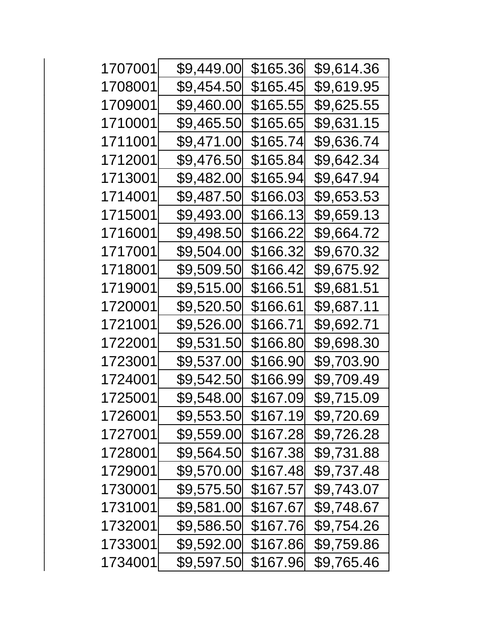| 1707001 | \$9,449.00 | \$165.36 | \$9,614.36 |
|---------|------------|----------|------------|
| 1708001 | \$9,454.50 | \$165.45 | \$9,619.95 |
| 1709001 | \$9,460.00 | \$165.55 | \$9,625.55 |
| 1710001 | \$9,465.50 | \$165.65 | \$9,631.15 |
| 1711001 | \$9,471.00 | \$165.74 | \$9,636.74 |
| 1712001 | \$9,476.50 | \$165.84 | \$9,642.34 |
| 1713001 | \$9,482.00 | \$165.94 | \$9,647.94 |
| 1714001 | \$9,487.50 | \$166.03 | \$9,653.53 |
| 1715001 | \$9,493.00 | \$166.13 | \$9,659.13 |
| 1716001 | \$9,498.50 | \$166.22 | \$9,664.72 |
| 1717001 | \$9,504.00 | \$166.32 | \$9,670.32 |
| 1718001 | \$9,509.50 | \$166.42 | \$9,675.92 |
| 1719001 | \$9,515.00 | \$166.51 | \$9,681.51 |
| 1720001 | \$9,520.50 | \$166.61 | \$9,687.11 |
| 1721001 | \$9,526.00 | \$166.71 | \$9,692.71 |
| 1722001 | \$9,531.50 | \$166.80 | \$9,698.30 |
| 1723001 | \$9,537.00 | \$166.90 | \$9,703.90 |
| 1724001 | \$9,542.50 | \$166.99 | \$9,709.49 |
| 1725001 | \$9,548.00 | \$167.09 | \$9,715.09 |
| 1726001 | \$9,553.50 | \$167.19 | \$9,720.69 |
| 1727001 | \$9,559.00 | \$167.28 | \$9,726.28 |
| 1728001 | \$9,564.50 | \$167.38 | \$9,731.88 |
| 1729001 | \$9,570.00 | \$167.48 | \$9,737.48 |
| 1730001 | \$9,575.50 | \$167.57 | \$9,743.07 |
| 1731001 | \$9,581.00 | \$167.67 | \$9,748.67 |
| 1732001 | \$9,586.50 | \$167.76 | \$9,754.26 |
| 1733001 | \$9,592.00 | \$167.86 | \$9,759.86 |
| 1734001 | \$9,597.50 | \$167.96 | \$9,765.46 |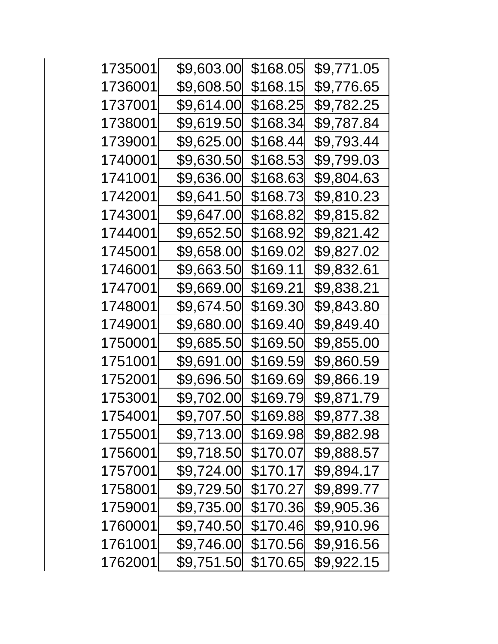| 1735001 | \$9,603.00 | \$168.05 | \$9,771.05 |
|---------|------------|----------|------------|
| 1736001 | \$9,608.50 | \$168.15 | \$9,776.65 |
| 1737001 | \$9,614.00 | \$168.25 | \$9,782.25 |
| 1738001 | \$9,619.50 | \$168.34 | \$9,787.84 |
| 1739001 | \$9,625.00 | \$168.44 | \$9,793.44 |
| 1740001 | \$9,630.50 | \$168.53 | \$9,799.03 |
| 1741001 | \$9,636.00 | \$168.63 | \$9,804.63 |
| 1742001 | \$9,641.50 | \$168.73 | \$9,810.23 |
| 1743001 | \$9,647.00 | \$168.82 | \$9,815.82 |
| 1744001 | \$9,652.50 | \$168.92 | \$9,821.42 |
| 1745001 | \$9,658.00 | \$169.02 | \$9,827.02 |
| 1746001 | \$9,663.50 | \$169.11 | \$9,832.61 |
| 1747001 | \$9,669.00 | \$169.21 | \$9,838.21 |
| 1748001 | \$9,674.50 | \$169.30 | \$9,843.80 |
| 1749001 | \$9,680.00 | \$169.40 | \$9,849.40 |
| 1750001 | \$9,685.50 | \$169.50 | \$9,855.00 |
| 1751001 | \$9,691.00 | \$169.59 | \$9,860.59 |
| 1752001 | \$9,696.50 | \$169.69 | \$9,866.19 |
| 1753001 | \$9,702.00 | \$169.79 | \$9,871.79 |
| 1754001 | \$9,707.50 | \$169.88 | \$9,877.38 |
| 1755001 | \$9,713.00 | \$169.98 | \$9,882.98 |
| 1756001 | \$9,718.50 | \$170.07 | \$9,888.57 |
| 1757001 | \$9,724.00 | \$170.17 | \$9,894.17 |
| 1758001 | \$9,729.50 | \$170.27 | \$9,899.77 |
| 1759001 | \$9,735.00 | \$170.36 | \$9,905.36 |
| 1760001 | \$9,740.50 | \$170.46 | \$9,910.96 |
| 1761001 | \$9,746.00 | \$170.56 | \$9,916.56 |
| 1762001 | \$9,751.50 | \$170.65 | \$9,922.15 |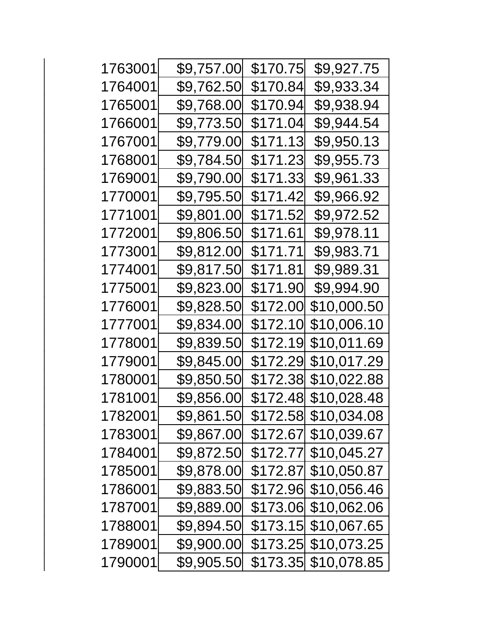| 1763001 | \$9,757.00 | \$170.75 | \$9,927.75  |
|---------|------------|----------|-------------|
| 1764001 | \$9,762.50 | \$170.84 | \$9,933.34  |
| 1765001 | \$9,768.00 | \$170.94 | \$9,938.94  |
| 1766001 | \$9,773.50 | \$171.04 | \$9,944.54  |
| 1767001 | \$9,779.00 | \$171.13 | \$9,950.13  |
| 1768001 | \$9,784.50 | \$171.23 | \$9,955.73  |
| 1769001 | \$9,790.00 | \$171.33 | \$9,961.33  |
| 1770001 | \$9,795.50 | \$171.42 | \$9,966.92  |
| 1771001 | \$9,801.00 | \$171.52 | \$9,972.52  |
| 1772001 | \$9,806.50 | \$171.61 | \$9,978.11  |
| 1773001 | \$9,812.00 | \$171.71 | \$9,983.71  |
| 1774001 | \$9,817.50 | \$171.81 | \$9,989.31  |
| 1775001 | \$9,823.00 | \$171.90 | \$9,994.90  |
| 1776001 | \$9,828.50 | \$172.00 | \$10,000.50 |
| 1777001 | \$9,834.00 | \$172.10 | \$10,006.10 |
| 1778001 | \$9,839.50 | \$172.19 | \$10,011.69 |
| 1779001 | \$9,845.00 | \$172.29 | \$10,017.29 |
| 1780001 | \$9,850.50 | \$172.38 | \$10,022.88 |
| 1781001 | \$9,856.00 | \$172.48 | \$10,028.48 |
| 1782001 | \$9,861.50 | \$172.58 | \$10,034.08 |
| 1783001 | \$9,867.00 | \$172.67 | \$10,039.67 |
| 1784001 | \$9,872.50 | \$172.77 | \$10,045.27 |
| 1785001 | \$9,878.00 | \$172.87 | \$10,050.87 |
| 1786001 | \$9,883.50 | \$172.96 | \$10,056.46 |
| 1787001 | \$9,889.00 | \$173.06 | \$10,062.06 |
| 1788001 | \$9,894.50 | \$173.15 | \$10,067.65 |
| 1789001 | \$9,900.00 | \$173.25 | \$10,073.25 |
| 1790001 | \$9,905.50 | \$173.35 | \$10,078.85 |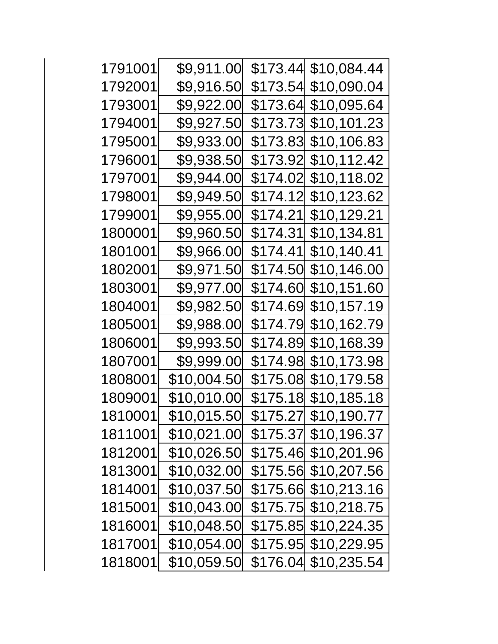| 1791001 | \$9,911.00  |          |                       |
|---------|-------------|----------|-----------------------|
| 1792001 | \$9,916.50  |          | \$173.54 \$10,090.04  |
| 1793001 | \$9,922.00  | \$173.64 | \$10,095.64           |
| 1794001 | \$9,927.50  | \$173.73 | \$10,101.23           |
| 1795001 | \$9,933.00  | \$173.83 | \$10,106.83           |
| 1796001 | \$9,938.50  | \$173.92 | \$10,112.42           |
| 1797001 | \$9,944.00  | \$174.02 | \$10,118.02           |
| 1798001 | \$9,949.50  | \$174.12 | \$10,123.62           |
| 1799001 | \$9,955.00  | \$174.21 | \$10,129.21           |
| 1800001 | \$9,960.50  | \$174.31 | \$10,134.81           |
| 1801001 | \$9,966.00  | \$174.41 | \$10,140.41           |
| 1802001 | \$9,971.50  | \$174.50 | \$10,146.00           |
| 1803001 | \$9,977.00  | \$174.60 | \$10,151.60           |
| 1804001 | \$9,982.50  | \$174.69 | \$10,157.19           |
| 1805001 | \$9,988.00  | \$174.79 | \$10,162.79           |
| 1806001 | \$9,993.50  | \$174.89 | \$10,168.39           |
| 1807001 | \$9,999.00  |          | \$174.98 \$10,173.98  |
| 1808001 | \$10,004.50 |          | \$175.08  \$10,179.58 |
| 1809001 | \$10,010.00 |          |                       |
| 1810001 | \$10,015.50 |          | \$175.27 \$10,190.77  |
| 1811001 | \$10,021.00 |          | \$175.37 \$10,196.37  |
| 1812001 | \$10,026.50 |          | \$175.46 \$10,201.96  |
| 1813001 | \$10,032.00 |          | \$175.56 \$10,207.56  |
| 1814001 | \$10,037.50 |          | \$175.66 \$10,213.16  |
| 1815001 | \$10,043.00 |          |                       |
| 1816001 | \$10,048.50 |          |                       |
| 1817001 | \$10,054.00 |          |                       |
| 1818001 | \$10,059.50 |          | \$176.04 \$10,235.54  |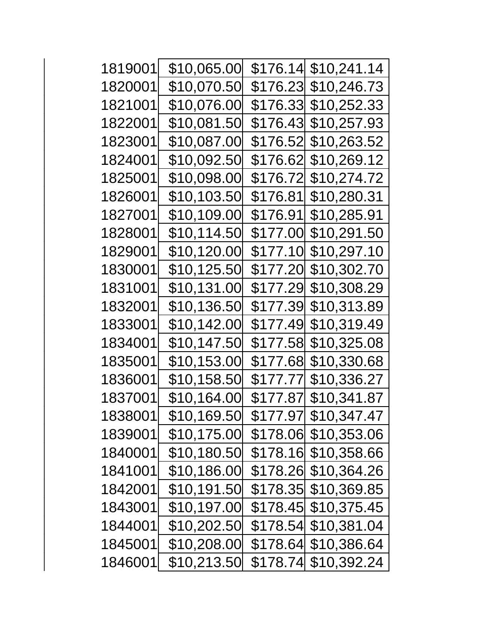| 1819001 | \$10,065.00 |           |                       |
|---------|-------------|-----------|-----------------------|
| 1820001 | \$10,070.50 |           | \$176.23  \$10,246.73 |
| 1821001 | \$10,076.00 | \$176.33  | \$10,252.33           |
| 1822001 | \$10,081.50 | \$176.43  | \$10,257.93           |
| 1823001 | \$10,087.00 | \$176.52  | \$10,263.52           |
| 1824001 | \$10,092.50 | \$176.62  | \$10,269.12           |
| 1825001 | \$10,098.00 | \$176.72  | \$10,274.72           |
| 1826001 | \$10,103.50 | \$176.81∣ | <u>\$10,280.31</u>    |
| 1827001 | \$10,109.00 | \$176.91  | \$10,285.91           |
| 1828001 | \$10,114.50 | \$177.00  | \$10,291.50           |
| 1829001 | \$10,120.00 | \$177.10  | \$10,297.10           |
| 1830001 | \$10,125.50 | \$177.20  | \$10,302.70           |
| 1831001 | \$10,131.00 | \$177.29  | \$10,308.29           |
| 1832001 | \$10,136.50 | \$177.39  | \$10,313.89           |
| 1833001 | \$10,142.00 | \$177.49  | \$10,319.49           |
| 1834001 | \$10,147.50 | \$177.58  | \$10,325.08           |
| 1835001 | \$10,153.00 |           | \$177.68  \$10,330.68 |
| 1836001 | \$10,158.50 | \$177.77  | \$10,336.27           |
| 1837001 | \$10,164.00 |           | \$177.87  \$10,341.87 |
| 1838001 | \$10,169.50 |           |                       |
| 1839001 | \$10,175.00 |           | \$178.06 \$10,353.06  |
| 1840001 | \$10,180.50 | \$178.16  | \$10,358.66           |
| 1841001 | \$10,186.00 |           |                       |
| 1842001 | \$10,191.50 |           |                       |
| 1843001 | \$10,197.00 |           |                       |
| 1844001 | \$10,202.50 | \$178.54  | \$10,381.04           |
| 1845001 | \$10,208.00 |           | \$178.64 \$10,386.64  |
| 1846001 | \$10,213.50 |           |                       |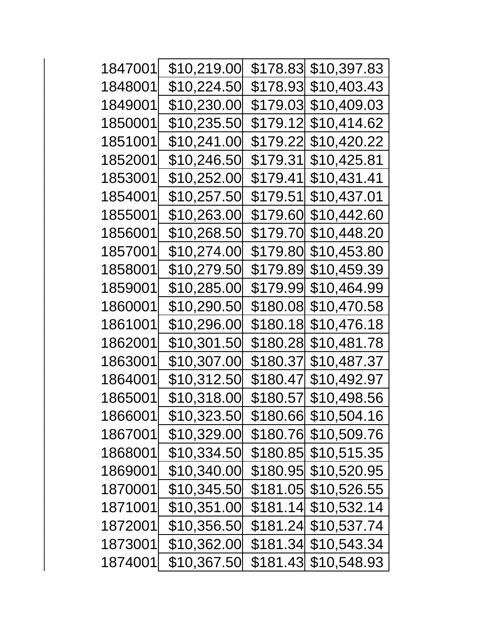| 1847001 | \$10,219.00         | \$178.83        | \$10,397.83 |
|---------|---------------------|-----------------|-------------|
| 1848001 | \$10,224.50         | \$178.93        | \$10,403.43 |
| 1849001 | \$10,230.00         | \$179.03        | \$10,409.03 |
| 1850001 | \$10,235.50         | \$179.12        | \$10,414.62 |
| 1851001 | \$10,241.00         | \$179.22        | \$10,420.22 |
| 1852001 | \$10,246.50         | \$179.31        | \$10,425.81 |
| 1853001 | \$10,252.00         | <u>\$179.41</u> | \$10,431.41 |
| 1854001 | \$10,25 <u>7.50</u> | \$179.51        | \$10,437.01 |
| 1855001 | \$10,263.00         | \$179.60        | \$10,442.60 |
| 1856001 | \$10,268.50         | <u>\$179.70</u> | \$10,448.20 |
| 1857001 | \$10,274.00         | <u>\$179.80</u> | \$10,453.80 |
| 1858001 | \$10,279.50         | \$179.89        | \$10,459.39 |
| 1859001 | \$10,285.00         | \$179.99        | \$10,464.99 |
| 1860001 | \$10,290.50         | \$180.08        | \$10,470.58 |
| 1861001 | \$10,296.00         | \$180.18        | \$10,476.18 |
| 1862001 | \$10,301.50         | \$180.28        | \$10,481.78 |
| 1863001 | \$10,307.00         | \$180.37        | \$10,487.37 |
| 1864001 | \$10,312.50         | \$180.47        | \$10,492.97 |
| 1865001 | \$10,318.00         | \$180.57        | \$10,498.56 |
| 1866001 | \$10,323.50         | \$180.66        | \$10,504.16 |
| 1867001 | \$10,329.00         | \$180.76        | \$10,509.76 |
| 1868001 | \$10,334.50         | \$180.85        | \$10,515.35 |
| 1869001 | \$10,340.00         | \$180.95        | \$10,520.95 |
| 1870001 | \$10,345.50         | \$181.05        | \$10,526.55 |
| 1871001 | \$10,351.00         | \$181.14        | \$10,532.14 |
| 1872001 | \$10,356.50         | \$181.24        | \$10,537.74 |
| 1873001 | \$10,362.00         | \$181.34        | \$10,543.34 |
| 1874001 | \$10,367.50         | \$181.43        | \$10,548.93 |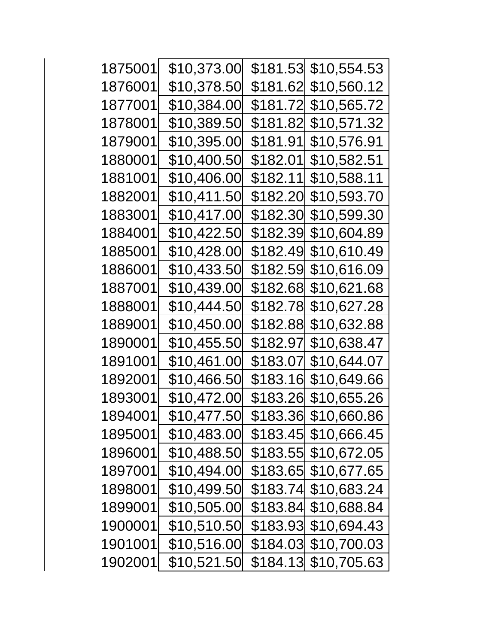| 1875001 | \$10,373.00         | \$181.53 | \$10,554.53 |
|---------|---------------------|----------|-------------|
| 1876001 | \$10,378.50         | \$181.62 | \$10,560.12 |
| 1877001 | \$10,384.00         | \$181.72 | \$10,565.72 |
| 1878001 | \$10,389.50         | \$181.82 | \$10,571.32 |
| 1879001 | \$10,395.00         | \$181.91 | \$10,576.91 |
| 1880001 | \$10,400.50         | \$182.01 | \$10,582.51 |
| 1881001 | \$10,406.00         | \$182.11 | \$10,588.11 |
| 1882001 | \$10,411.50         | \$182.20 | \$10,593.70 |
| 1883001 | \$10,417.00         | \$182.30 | \$10,599.30 |
| 1884001 | \$10,422.50         | \$182.39 | \$10,604.89 |
| 1885001 | \$10,428.00         | \$182.49 | \$10,610.49 |
| 1886001 | \$10,433.50         | \$182.59 | \$10,616.09 |
| 1887001 | \$10,439.00         | \$182.68 | \$10,621.68 |
| 1888001 | \$10,444.50         | \$182.78 | \$10,627.28 |
| 1889001 | \$10,450.00         | \$182.88 | \$10,632.88 |
| 1890001 | \$10,455 <u>.50</u> | \$182.97 | \$10,638.47 |
| 1891001 | \$10,461.00         | \$183.07 | \$10,644.07 |
| 1892001 | \$10,466.50         | \$183.16 | \$10,649.66 |
| 1893001 | \$10,472.00         | \$183.26 | \$10,655.26 |
| 1894001 | \$10,477.50         | \$183.36 | \$10,660.86 |
| 1895001 | \$10,483.00         | \$183.45 | \$10,666.45 |
| 1896001 | \$10,488.50         | \$183.55 | \$10,672.05 |
| 1897001 | \$10,494.00         | \$183.65 | \$10,677.65 |
| 1898001 | \$10,499.50         | \$183.74 | \$10,683.24 |
| 1899001 | \$10,505.00         | \$183.84 | \$10,688.84 |
| 1900001 | \$10,510.50         | \$183.93 | \$10,694.43 |
| 1901001 | \$10,516.00         | \$184.03 | \$10,700.03 |
| 1902001 | \$10,521.50         | \$184.13 | \$10,705.63 |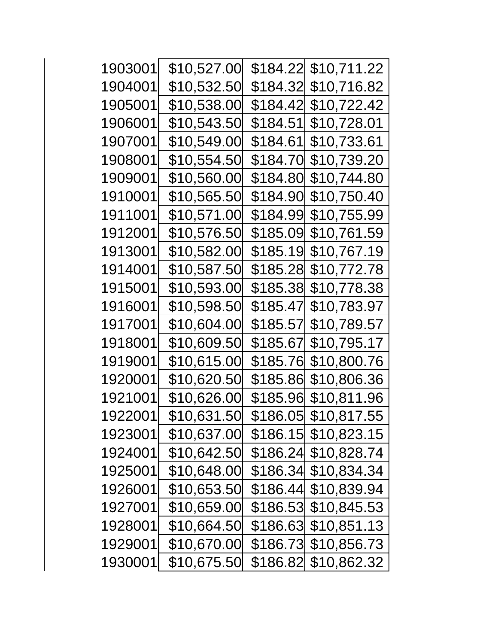| 1903001 | \$10,527.00 | \$184.22 | \$10,711.22 |
|---------|-------------|----------|-------------|
| 1904001 | \$10,532.50 | \$184.32 | \$10,716.82 |
| 1905001 | \$10,538.00 | \$184.42 | \$10,722.42 |
| 1906001 | \$10,543.50 | \$184.51 | \$10,728.01 |
| 1907001 | \$10,549.00 | \$184.61 | \$10,733.61 |
| 1908001 | \$10,554.50 | \$184.70 | \$10,739.20 |
| 1909001 | \$10,560.00 | \$184.80 | \$10,744.80 |
| 1910001 | \$10,565.50 | \$184.90 | \$10,750.40 |
| 1911001 | \$10,571.00 | \$184.99 | \$10,755.99 |
| 1912001 | \$10,576.50 | \$185.09 | \$10,761.59 |
| 1913001 | \$10,582.00 | \$185.19 | \$10,767.19 |
| 1914001 | \$10,587.50 | \$185.28 | \$10,772.78 |
| 1915001 | \$10,593.00 | \$185.38 | \$10,778.38 |
| 1916001 | \$10,598.50 | \$185.47 | \$10,783.97 |
| 1917001 | \$10,604.00 | \$185.57 | \$10,789.57 |
| 1918001 | \$10,609.50 | \$185.67 | \$10,795.17 |
| 1919001 | \$10,615.00 | \$185.76 | \$10,800.76 |
| 1920001 | \$10,620.50 | \$185.86 | \$10,806.36 |
| 1921001 | \$10,626.00 | \$185.96 | \$10,811.96 |
| 1922001 | \$10,631.50 | \$186.05 | \$10,817.55 |
| 1923001 | \$10,637.00 | \$186.15 | \$10,823.15 |
| 1924001 | \$10,642.50 | \$186.24 | \$10,828.74 |
| 1925001 | \$10,648.00 | \$186.34 | \$10,834.34 |
| 1926001 | \$10,653.50 | \$186.44 | \$10,839.94 |
| 1927001 | \$10,659.00 | \$186.53 | \$10,845.53 |
| 1928001 | \$10,664.50 | \$186.63 | \$10,851.13 |
| 1929001 | \$10,670.00 | \$186.73 | \$10,856.73 |
| 1930001 | \$10,675.50 | \$186.82 | \$10,862.32 |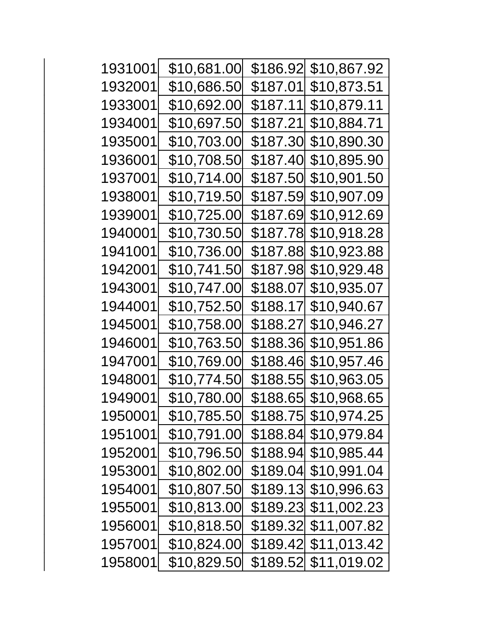| 1931001 | \$10,681.00 | \$186.92 | \$10,867.92           |
|---------|-------------|----------|-----------------------|
| 1932001 | \$10,686.50 | \$187.01 | <u>\$10,873.51</u>    |
| 1933001 | \$10,692.00 | \$187.11 | \$10,879.11           |
| 1934001 | \$10,697.50 | \$187.21 | \$10,884.71           |
| 1935001 | \$10,703.00 | \$187.30 | \$10,890.30           |
| 1936001 | \$10,708.50 | \$187.40 | \$10,895.90           |
| 1937001 | \$10,714.00 | \$187.50 | \$10,901.50           |
| 1938001 | \$10,719.50 | \$187.59 | \$10,907.09           |
| 1939001 | \$10,725.00 | \$187.69 | \$10,912.69           |
| 1940001 | \$10,730.50 | \$187.78 | \$10,918.28           |
| 1941001 | \$10,736.00 | \$187.88 | \$10,923.88           |
| 1942001 | \$10,741.50 | \$187.98 | \$10,929.48           |
| 1943001 | \$10,747.00 | \$188.07 | \$10,935.07           |
| 1944001 | \$10,752.50 | \$188.17 | \$10,940.67           |
| 1945001 | \$10,758.00 | \$188.27 | \$10,946.27           |
| 1946001 | \$10,763.50 | \$188.36 | \$10,951.86           |
| 1947001 | \$10,769.00 | \$188.46 | \$10,957.46           |
| 1948001 | \$10,774.50 | \$188.55 | \$10,963.05           |
| 1949001 | \$10,780.00 | \$188.65 | \$10,968.65           |
| 1950001 | \$10,785.50 |          | \$188.75  \$10,974.25 |
| 1951001 | \$10,791.00 |          | \$188.84 \$10,979.84  |
| 1952001 | \$10,796.50 | \$188.94 | \$10,985.44           |
| 1953001 | \$10,802.00 |          | \$189.04 \$10,991.04  |
| 1954001 | \$10,807.50 |          | \$189.13 \$10,996.63  |
| 1955001 | \$10,813.00 |          | \$189.23 \$11,002.23  |
| 1956001 | \$10,818.50 | \$189.32 | \$11,007.82           |
| 1957001 | \$10,824.00 | \$189.42 | \$11,013.42           |
| 1958001 | \$10,829.50 |          | \$189.52 \$11,019.02  |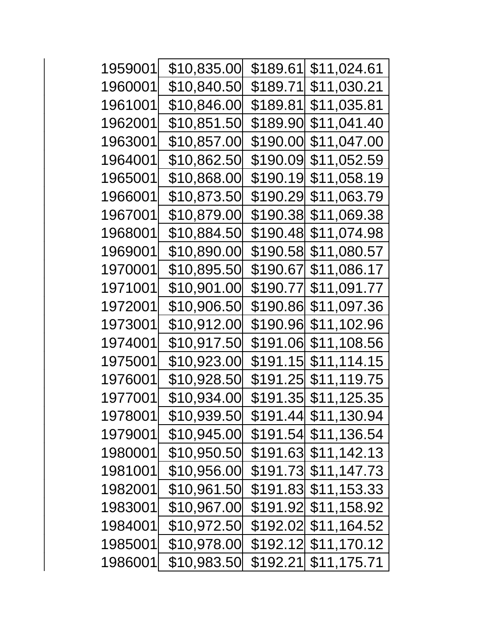| 1959001 | \$10,835.00         | \$189.61  | \$11,024.61           |
|---------|---------------------|-----------|-----------------------|
| 1960001 | \$10,840.50         | \$189.71  | \$11,030.21           |
| 1961001 | \$10,846.00         | \$189.81  | \$11,035.81           |
| 1962001 | \$10,851.50         | \$189.90  | \$11,041.40           |
| 1963001 | \$10,857.00         | \$190.00  | \$11,047.00           |
| 1964001 | \$10,862.50         | \$190.09  | \$11,052.59           |
| 1965001 | \$10,868.00         | \$190.19∣ | \$11,058.19           |
| 1966001 | \$10,87 <u>3.50</u> | \$190.29  | \$11,063.79           |
| 1967001 | \$10,879.00         |           | \$190.38 \$11,069.38  |
| 1968001 | \$10,884.50         | \$190.48∣ | \$11,074.98           |
| 1969001 | \$10,890.00         | \$190.58  | \$11,080.57           |
| 1970001 | \$10,895.50         | \$190.67  | \$11,086.17           |
| 1971001 | \$10,901.00         | \$190.77  | \$11,091.77           |
| 1972001 | \$10,906.50         |           |                       |
| 1973001 | \$10,912.00         |           | \$190.96  \$11,102.96 |
| 1974001 | \$10,917.50         |           | \$191.06 \$11,108.56  |
| 1975001 | \$10,923.00         |           | \$191.15  \$11,114.15 |
| 1976001 | \$10,928.50         |           |                       |
| 1977001 | \$10,934.00         |           | \$191.35  \$11,125.35 |
| 1978001 | \$10,939.50         |           | \$191.44  \$11,130.94 |
| 1979001 | \$10,945.00         |           | \$191.54 \$11,136.54  |
| 1980001 | \$10,950.50         |           | \$191.63 \$11,142.13  |
| 1981001 | \$10,956.00         |           | \$191.73 \$11,147.73  |
| 1982001 | \$10,961.50         |           | \$191.83 \$11,153.33  |
| 1983001 | \$10,967.00         | \$191.92  | \$11,158.92           |
| 1984001 | \$10,972.50         |           | \$192.02 \$11,164.52  |
| 1985001 | \$10,978.00         |           | \$192.12 \$11,170.12  |
| 1986001 | \$10,983.50         |           | \$192.21 \$11,175.71  |